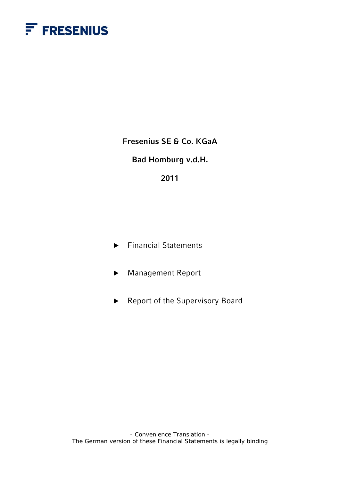

**Fresenius SE & Co. KGaA** 

**Bad Homburg v.d.H.** 

# **2011**

- $\blacktriangleright$  Financial Statements
- ▶ Management Report
- $\blacktriangleright$  Report of the Supervisory Board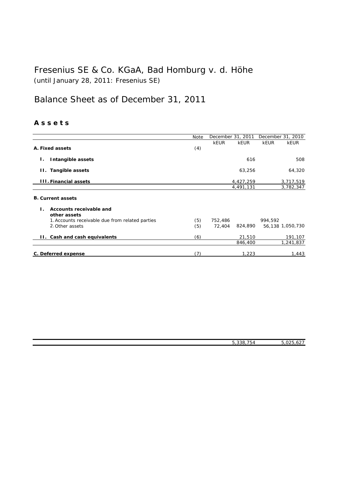# Fresenius SE & Co. KGaA, Bad Homburg v. d. Höhe (until January 28, 2011: Fresenius SE)

# Balance Sheet as of December 31, 2011

# **A s s e t s**

|                                                 | Note | December 31, 2011 |             |             | December 31, 2010 |
|-------------------------------------------------|------|-------------------|-------------|-------------|-------------------|
|                                                 |      | <b>kEUR</b>       | <b>kEUR</b> | <b>kEUR</b> | <b>kEUR</b>       |
| A. Fixed assets                                 | (4)  |                   |             |             |                   |
| Intangible assets<br>Ι.                         |      |                   | 616         |             | 508               |
| Tangible assets<br>H.,                          |      |                   | 63,256      |             | 64,320            |
| <b>III. Financial assets</b>                    |      |                   | 4,427,259   |             | 3,717,519         |
|                                                 |      |                   | 4,491,131   |             | 3,782,347         |
| <b>B. Current assets</b>                        |      |                   |             |             |                   |
| Accounts receivable and<br>Ι.<br>other assets   |      |                   |             |             |                   |
| 1. Accounts receivable due from related parties | (5)  | 752,486           |             | 994,592     |                   |
| 2. Other assets                                 | (5)  | 72,404            | 824,890     |             | 56,138 1,050,730  |
| Cash and cash equivalents<br>н.                 | (6)  |                   | 21,510      |             | 191,107           |
|                                                 |      |                   | 846,400     |             | 1,241,837         |
| C. Deferred expense                             | (7)  |                   | 1,223       |             | 1,443             |

5,338,754 5,025,627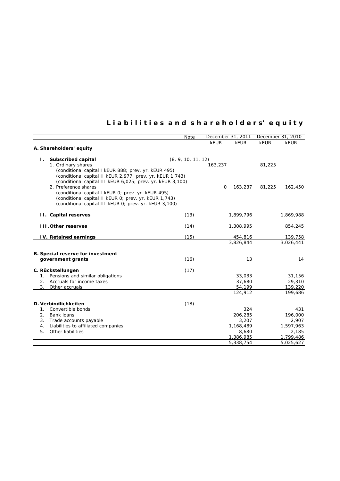# **L i a b i l i t i e s a n d s h a r e h o l d e r s' e q u i t y**

|                                                            | Note               |          | December 31, 2011 |        | December 31, 2010 |
|------------------------------------------------------------|--------------------|----------|-------------------|--------|-------------------|
|                                                            |                    | kEUR     | <b>kEUR</b>       | kEUR   | <b>kEUR</b>       |
| A. Shareholders' equity                                    |                    |          |                   |        |                   |
| Subscribed capital<br>$\mathbf{L}$                         | (8, 9, 10, 11, 12) |          |                   |        |                   |
| 1. Ordinary shares                                         |                    | 163,237  |                   | 81,225 |                   |
| (conditional capital I kEUR 888; prev. yr. kEUR 495)       |                    |          |                   |        |                   |
| (conditional capital II kEUR 2,977; prev. yr. kEUR 1,743)  |                    |          |                   |        |                   |
| (conditional capital III kEUR 6,025; prev. yr. kEUR 3,100) |                    |          |                   |        |                   |
| 2. Preference shares                                       |                    | $\Omega$ | 163,237           | 81,225 | 162,450           |
| (conditional capital I kEUR 0; prev. yr. kEUR 495)         |                    |          |                   |        |                   |
| (conditional capital II kEUR 0; prev. yr. kEUR 1,743)      |                    |          |                   |        |                   |
| (conditional capital III kEUR 0; prev. yr. kEUR 3,100)     |                    |          |                   |        |                   |
| <b>II.</b> Capital reserves                                | (13)               |          | 1,899,796         |        | 1,869,988         |
|                                                            |                    |          |                   |        |                   |
| <b>III. Other reserves</b>                                 | (14)               |          | 1,308,995         |        | 854,245           |
| IV. Retained earnings                                      | (15)               |          | 454,816           |        | 139,758           |
|                                                            |                    |          | 3,826,844         |        | 3,026,441         |
|                                                            |                    |          |                   |        |                   |
| B. Special reserve for investment                          |                    |          |                   |        |                   |
| government grants                                          | (16)               |          | 13                |        | 14                |
| C. Rückstellungen                                          | (17)               |          |                   |        |                   |
| Pensions and similar obligations<br>1.                     |                    |          | 33,033            |        | 31,156            |
| Accruals for income taxes<br>2.                            |                    |          | 37,680            |        | 29,310            |
| 3.<br>Other accruals                                       |                    |          | 54,199            |        | 139,220           |
|                                                            |                    |          | 124,912           |        | 199,686           |
| D. Verbindlichkeiten                                       | (18)               |          |                   |        |                   |
| Convertible bonds<br>$\mathbf{1}$ .                        |                    |          | 324               |        | 431               |
| 2.<br>Bank loans                                           |                    |          | 206,285           |        | 196,000           |
| 3.<br>Trade accounts payable                               |                    |          | 3,207             |        | 2,907             |
| Liabilities to affiliated companies<br>4.                  |                    |          | 1,168,489         |        | 1,597,963         |
| 5.<br>Other liabilities                                    |                    |          | 8,680             |        | 2,185             |
|                                                            |                    |          | 1,386,985         |        | 1,799,486         |
|                                                            |                    |          | 5,338,754         |        | 5,025,627         |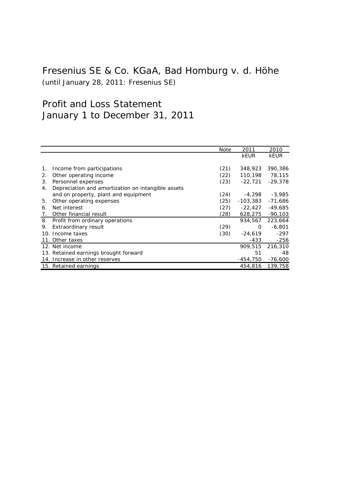# Fresenius SE & Co. KGaA, Bad Homburg v. d. Höhe (until January 28, 2011: Fresenius SE)

# Profit and Loss Statement January 1 to December 31, 2011

|    |                                                    | Note | 2011        | 2010        |
|----|----------------------------------------------------|------|-------------|-------------|
|    |                                                    |      | <b>kEUR</b> | <b>kEUR</b> |
|    |                                                    |      |             |             |
| 1. | Income from participations                         | (21) | 348,923     | 390,386     |
| 2. | Other operating income                             | (22) | 110,198     | 78,115      |
| 3. | Personnel expenses                                 | (23) | $-22,721$   | $-29,378$   |
| 4. | Depreciation and amortization on intangible assets |      |             |             |
|    | and on property, plant and equipment               | (24) | -4,298      | -3,985      |
| 5. | Other operating expenses                           | (25) | $-103,383$  | -71,686     |
| 6. | Net interest                                       | (27) | $-22,427$   | $-49,685$   |
| 7. | Other financial result                             | (28) | 628,275     | $-90,103$   |
|    | 8. Profit from ordinary operations                 |      | 934,567     | 223,664     |
| 9. | Extraordinary result                               | (29) | 0           | $-6,801$    |
|    | 10. Income taxes                                   | (30) | -24,619     | $-297$      |
|    | 11. Other taxes                                    |      | -433        | $-256$      |
|    | 12. Net income                                     |      | 909,515     | 216,310     |
|    | 13. Retained earnings brought forward              |      | 51          | 48          |
|    | 14. Increase in other reserves                     |      | -454,750    | -76,600     |
|    | 15. Retained earnings                              |      | 454,816     | 139,758     |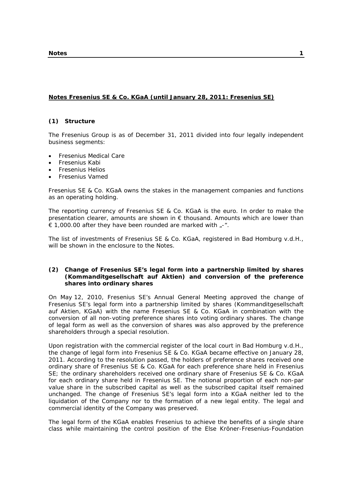# **Notes Fresenius SE & Co. KGaA (until January 28, 2011: Fresenius SE)**

# **(1) Structure**

The Fresenius Group is as of December 31, 2011 divided into four legally independent business segments:

- Fresenius Medical Care
- Fresenius Kabi
- Fresenius Helios
- Fresenius Vamed

Fresenius SE & Co. KGaA owns the stakes in the management companies and functions as an operating holding.

The reporting currency of Fresenius SE & Co. KGaA is the euro. In order to make the presentation clearer, amounts are shown in € thousand. Amounts which are lower than € 1,000.00 after they have been rounded are marked with  $-$ -".

The list of investments of Fresenius SE & Co. KGaA, registered in Bad Homburg v.d.H., will be shown in the enclosure to the Notes.

#### **(2) Change of Fresenius SE's legal form into a partnership limited by shares (Kommanditgesellschaft auf Aktien) and conversion of the preference shares into ordinary shares**

On May 12, 2010, Fresenius SE's Annual General Meeting approved the change of Fresenius SE's legal form into a partnership limited by shares (Kommanditgesellschaft auf Aktien, KGaA) with the name Fresenius SE & Co. KGaA in combination with the conversion of all non-voting preference shares into voting ordinary shares. The change of legal form as well as the conversion of shares was also approved by the preference shareholders through a special resolution.

Upon registration with the commercial register of the local court in Bad Homburg v.d.H., the change of legal form into Fresenius SE & Co. KGaA became effective on January 28, 2011. According to the resolution passed, the holders of preference shares received one ordinary share of Fresenius SE & Co. KGaA for each preference share held in Fresenius SE; the ordinary shareholders received one ordinary share of Fresenius SE & Co. KGaA for each ordinary share held in Fresenius SE. The notional proportion of each non-par value share in the subscribed capital as well as the subscribed capital itself remained unchanged. The change of Fresenius SE's legal form into a KGaA neither led to the liquidation of the Company nor to the formation of a new legal entity. The legal and commercial identity of the Company was preserved.

The legal form of the KGaA enables Fresenius to achieve the benefits of a single share class while maintaining the control position of the Else Kröner-Fresenius-Foundation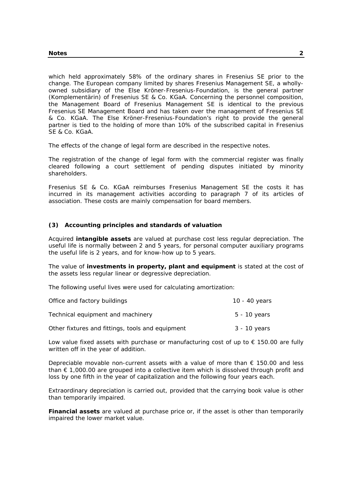which held approximately 58% of the ordinary shares in Fresenius SE prior to the change. The European company limited by shares Fresenius Management SE, a whollyowned subsidiary of the Else Kröner-Fresenius-Foundation, is the general partner (Komplementärin) of Fresenius SE & Co. KGaA. Concerning the personnel composition, the Management Board of Fresenius Management SE is identical to the previous Fresenius SE Management Board and has taken over the management of Fresenius SE & Co. KGaA. The Else Kröner-Fresenius-Foundation's right to provide the general partner is tied to the holding of more than 10% of the subscribed capital in Fresenius SE & Co. KGaA.

The effects of the change of legal form are described in the respective notes.

The registration of the change of legal form with the commercial register was finally cleared following a court settlement of pending disputes initiated by minority shareholders.

Fresenius SE & Co. KGaA reimburses Fresenius Management SE the costs it has incurred in its management activities according to paragraph 7 of its articles of association. These costs are mainly compensation for board members.

#### **(3) Accounting principles and standards of valuation**

Acquired **intangible assets** are valued at purchase cost less regular depreciation. The useful life is normally between 2 and 5 years, for personal computer auxiliary programs the useful life is 2 years, and for know-how up to 5 years.

The value of **investments in property, plant and equipment** is stated at the cost of the assets less regular linear or degressive depreciation.

The following useful lives were used for calculating amortization:

| Office and factory buildings                     | 10 - 40 years |
|--------------------------------------------------|---------------|
| Technical equipment and machinery                | 5 - 10 years  |
| Other fixtures and fittings, tools and equipment | 3 - 10 years  |

Low value fixed assets with purchase or manufacturing cost of up to  $\epsilon$  150.00 are fully written off in the year of addition.

Depreciable movable non-current assets with a value of more than  $\epsilon$  150.00 and less than  $\epsilon$  1,000.00 are grouped into a collective item which is dissolved through profit and loss by one fifth in the year of capitalization and the following four years each.

Extraordinary depreciation is carried out, provided that the carrying book value is other than temporarily impaired.

**Financial assets** are valued at purchase price or, if the asset is other than temporarily impaired the lower market value.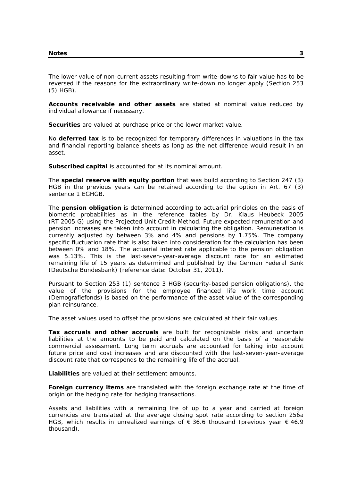The lower value of non-current assets resulting from write-downs to fair value has to be reversed if the reasons for the extraordinary write-down no longer apply (Section 253 (5) HGB).

**Accounts receivable and other assets** are stated at nominal value reduced by individual allowance if necessary.

**Securities** are valued at purchase price or the lower market value.

No **deferred tax** is to be recognized for temporary differences in valuations in the tax and financial reporting balance sheets as long as the net difference would result in an asset.

**Subscribed capital** is accounted for at its nominal amount.

The **special reserve with equity portion** that was build according to Section 247 (3) HGB in the previous years can be retained according to the option in Art. 67 (3) sentence 1 EGHGB.

The **pension obligation** is determined according to actuarial principles on the basis of biometric probabilities as in the reference tables by Dr. Klaus Heubeck 2005 (RT 2005 G) using the Projected Unit Credit-Method. Future expected remuneration and pension increases are taken into account in calculating the obligation. Remuneration is currently adjusted by between 3% and 4% and pensions by 1.75%. The company specific fluctuation rate that is also taken into consideration for the calculation has been between 0% and 18%. The actuarial interest rate applicable to the pension obligation was 5.13%. This is the last-seven-year-average discount rate for an estimated remaining life of 15 years as determined and published by the German Federal Bank (Deutsche Bundesbank) (reference date: October 31, 2011).

Pursuant to Section 253 (1) sentence 3 HGB (security-based pension obligations), the value of the provisions for the employee financed life work time account (Demografiefonds) is based on the performance of the asset value of the corresponding plan reinsurance.

The asset values used to offset the provisions are calculated at their fair values.

**Tax accruals and other accruals** are built for recognizable risks and uncertain liabilities at the amounts to be paid and calculated on the basis of a reasonable commercial assessment. Long term accruals are accounted for taking into account future price and cost increases and are discounted with the last-seven-year-average discount rate that corresponds to the remaining life of the accrual.

**Liabilities** are valued at their settlement amounts.

**Foreign currency items** are translated with the foreign exchange rate at the time of origin or the hedging rate for hedging transactions.

Assets and liabilities with a remaining life of up to a year and carried at foreign currencies are translated at the average closing spot rate according to section 256a HGB, which results in unrealized earnings of  $\epsilon$  36.6 thousand (previous year  $\epsilon$  46.9 thousand).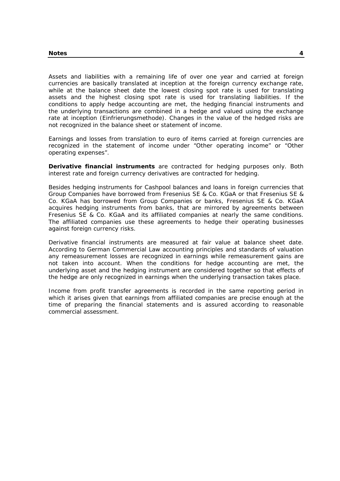Assets and liabilities with a remaining life of over one year and carried at foreign currencies are basically translated at inception at the foreign currency exchange rate, while at the balance sheet date the lowest closing spot rate is used for translating assets and the highest closing spot rate is used for translating liabilities. If the conditions to apply hedge accounting are met, the hedging financial instruments and the underlying transactions are combined in a hedge and valued using the exchange rate at inception (Einfrierungsmethode). Changes in the value of the hedged risks are not recognized in the balance sheet or statement of income.

Earnings and losses from translation to euro of items carried at foreign currencies are recognized in the statement of income under "Other operating income" or "Other operating expenses".

**Derivative financial instruments** are contracted for hedging purposes only. Both interest rate and foreign currency derivatives are contracted for hedging.

Besides hedging instruments for Cashpool balances and loans in foreign currencies that Group Companies have borrowed from Fresenius SE & Co. KGaA or that Fresenius SE & Co. KGaA has borrowed from Group Companies or banks, Fresenius SE & Co. KGaA acquires hedging instruments from banks, that are mirrored by agreements between Fresenius SE & Co. KGaA and its affiliated companies at nearly the same conditions. The affiliated companies use these agreements to hedge their operating businesses against foreign currency risks.

Derivative financial instruments are measured at fair value at balance sheet date. According to German Commercial Law accounting principles and standards of valuation any remeasurement losses are recognized in earnings while remeasurement gains are not taken into account. When the conditions for hedge accounting are met, the underlying asset and the hedging instrument are considered together so that effects of the hedge are only recognized in earnings when the underlying transaction takes place.

Income from profit transfer agreements is recorded in the same reporting period in which it arises given that earnings from affiliated companies are precise enough at the time of preparing the financial statements and is assured according to reasonable commercial assessment.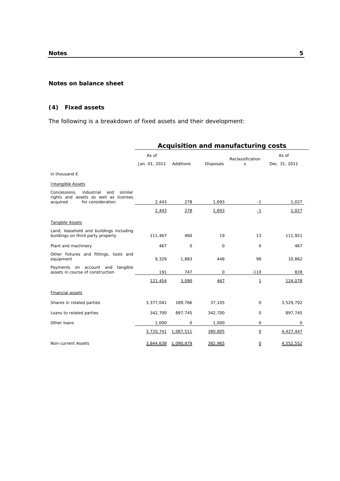#### **Notes on balance sheet**

# **(4) Fixed assets**

The following is a breakdown of fixed assets and their development:

|                                                                                                                        | <b>Acquisition and manufacturing costs</b> |             |                  |                       |                        |  |  |  |
|------------------------------------------------------------------------------------------------------------------------|--------------------------------------------|-------------|------------------|-----------------------|------------------------|--|--|--|
|                                                                                                                        | As of<br>Jan. 01, 2011                     | Additions   | <b>Disposals</b> | Reclassification<br>S | As of<br>Dec. 31, 2011 |  |  |  |
| in thousand $\epsilon$                                                                                                 |                                            |             |                  |                       |                        |  |  |  |
| <b>Intangible Assets</b>                                                                                               |                                            |             |                  |                       |                        |  |  |  |
| Concessions,<br>industrial<br>similar<br>and<br>rights and assets as well as licenses<br>acquired<br>for consideration | 2,443                                      | 278         | 1,693            | -1                    | 1,027                  |  |  |  |
|                                                                                                                        |                                            |             |                  |                       |                        |  |  |  |
|                                                                                                                        | 2,443                                      | 278         | 1,693            | $-1$                  | 1,027                  |  |  |  |
| <b>Tangible Assets</b>                                                                                                 |                                            |             |                  |                       |                        |  |  |  |
| Land, leasehold and buildings including<br>buildings on third party property                                           | 111,467                                    | 460         | 19               | 13                    | 111,921                |  |  |  |
| Plant and machinery                                                                                                    | 467                                        | 0           | 0                | 0                     | 467                    |  |  |  |
| Other fixtures and fittings, tools and<br>equipment                                                                    | 9,329                                      | 1,883       | 448              | 98                    | 10,862                 |  |  |  |
| Payments on account and<br>tangible<br>assets in course of construction                                                | 191                                        | 747         | 0                | $-110$                | 828                    |  |  |  |
|                                                                                                                        | 121,454                                    | 3,090       | 467              | $\mathbf{1}$          | 124,078                |  |  |  |
| <b>Financial assets</b>                                                                                                |                                            |             |                  |                       |                        |  |  |  |
| Shares in related parties                                                                                              | 3,377,041                                  | 189,766     | 37,105           | $\mathbf 0$           | 3,529,702              |  |  |  |
| Loans to related parties                                                                                               | 342,700                                    | 897,745     | 342,700          | $\mathbf 0$           | 897,745                |  |  |  |
| Other Ioans                                                                                                            | 1,000                                      | $\mathbf 0$ | 1,000            | $\mathbf 0$           | 0                      |  |  |  |
|                                                                                                                        | 3,720,741                                  | 1,087,511   | 380,805          | $\Omega$              | 4,427,447              |  |  |  |
| Non-current Assets                                                                                                     | 3.844.638                                  | 1.090.879   | 382,965          | $\Omega$              | 4,552,552              |  |  |  |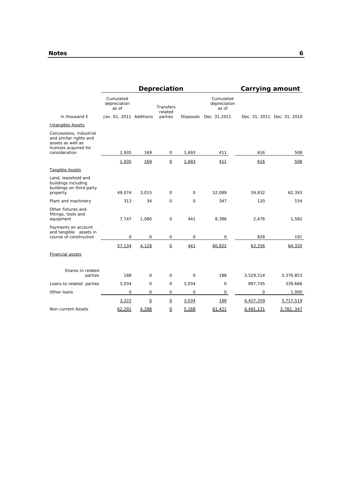|                                                                                                                  |                                    |                | Depreciation             |             |                                    | Carrying amount |                             |
|------------------------------------------------------------------------------------------------------------------|------------------------------------|----------------|--------------------------|-------------|------------------------------------|-----------------|-----------------------------|
|                                                                                                                  | Cumulated<br>depreciation<br>as of |                | Transfers<br>related     |             | Cumulated<br>depreciation<br>as of |                 |                             |
| in thousand $\epsilon$                                                                                           | Jan. 01, 2011 Additions            |                | parties                  |             | Disposals Dec. 31,2011             |                 | Dec. 31, 2011 Dec. 31, 2010 |
| Intangible Assets                                                                                                |                                    |                |                          |             |                                    |                 |                             |
| Concessions, industrial<br>and similar rights and<br>assets as well as<br>licenses acquired for<br>consideration | 1,935                              | 169            | $\mathbf 0$              | 1,693       |                                    | 616             |                             |
|                                                                                                                  |                                    |                |                          |             | 411                                |                 | 508                         |
|                                                                                                                  | 1,935                              | 169            | $\underline{\mathsf{O}}$ | 1,693       | 411                                | 616             | 508                         |
| Tangible Assets                                                                                                  |                                    |                |                          |             |                                    |                 |                             |
| Land, leasehold and<br>buildings including<br>buildings on third party<br>property                               | 49,074                             | 3,015          | $\mathbf 0$              | 0           | 52,089                             | 59,832          | 62,393                      |
|                                                                                                                  |                                    | 34             | $\mathbf 0$              | $\mathbf 0$ |                                    |                 | 154                         |
| Plant and machinery                                                                                              | 313                                |                |                          |             | 347                                | 120             |                             |
| Other fixtures and<br>fittings, tools and<br>equipment                                                           | 7,747                              | 1,080          | $\mathsf O$              | 441         | 8,386                              | 2,476           | 1,582                       |
| Payments on account<br>and tangible assets in<br>course of construction                                          | 0                                  | 0              | $\mathsf O$              | 0           | 0                                  | 828             | 191                         |
|                                                                                                                  | 57,134                             | 4,129          | $\Omega$                 | 441         | 60,822                             | 63,256          | 64,320                      |
| Financial assets                                                                                                 |                                    |                |                          |             |                                    |                 |                             |
| Shares in related<br>parties                                                                                     | 188                                | $\Omega$       | $\Omega$                 | $\Omega$    | 188                                | 3,529,514       | 3,376,853                   |
| Loans to related parties                                                                                         | 3,034                              | $\Omega$       | $\Omega$                 | 3,034       | $\mathbf 0$                        | 897,745         | 339,666                     |
| Other Ioans                                                                                                      | $\mathbf{O}$                       | $\Omega$       | $\mathbf 0$              | $\mathbf 0$ | 0                                  | $\mathbf 0$     | 1,000                       |
|                                                                                                                  | 3,222                              | $\overline{0}$ | $\overline{0}$           | 3,034       | <u> 188</u>                        | 4,427,259       | 3,717,519                   |
| Non-current Assets                                                                                               | 62,291                             | 4.298          | Ω                        | 5,168       | 61,421                             | 4,491,131       | 3,782, 347                  |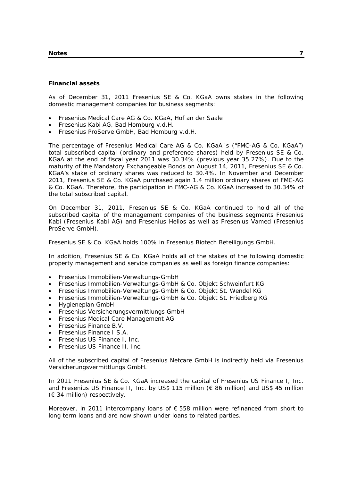#### **Notes 7**

#### **Financial assets**

As of December 31, 2011 Fresenius SE & Co. KGaA owns stakes in the following domestic management companies for business segments:

- Fresenius Medical Care AG & Co. KGaA, Hof an der Saale
- Fresenius Kabi AG, Bad Homburg v.d.H.
- Fresenius ProServe GmbH, Bad Homburg v.d.H.

The percentage of Fresenius Medical Care AG & Co. KGaA´s ("FMC-AG & Co. KGaA") total subscribed capital (ordinary and preference shares) held by Fresenius SE & Co. KGaA at the end of fiscal year 2011 was 30.34% (previous year 35.27%). Due to the maturity of the Mandatory Exchangeable Bonds on August 14, 2011, Fresenius SE & Co. KGaA's stake of ordinary shares was reduced to 30.4%. In November and December 2011, Fresenius SE & Co. KGaA purchased again 1.4 million ordinary shares of FMC-AG & Co. KGaA. Therefore, the participation in FMC-AG & Co. KGaA increased to 30.34% of the total subscribed capital.

On December 31, 2011, Fresenius SE & Co. KGaA continued to hold all of the subscribed capital of the management companies of the business segments Fresenius Kabi (Fresenius Kabi AG) and Fresenius Helios as well as Fresenius Vamed (Fresenius ProServe GmbH).

Fresenius SE & Co. KGaA holds 100% in Fresenius Biotech Beteiligungs GmbH.

In addition, Fresenius SE & Co. KGaA holds all of the stakes of the following domestic property management and service companies as well as foreign finance companies:

- Fresenius Immobilien-Verwaltungs-GmbH
- Fresenius Immobilien-Verwaltungs-GmbH & Co. Objekt Schweinfurt KG
- Fresenius Immobilien-Verwaltungs-GmbH & Co. Objekt St. Wendel KG
- Fresenius Immobilien-Verwaltungs-GmbH & Co. Objekt St. Friedberg KG
- Hygieneplan GmbH
- Fresenius Versicherungsvermittlungs GmbH
- Fresenius Medical Care Management AG
- Fresenius Finance B.V.
- Fresenius Finance I S.A.
- Fresenius US Finance I, Inc.
- Fresenius US Finance II, Inc.

All of the subscribed capital of Fresenius Netcare GmbH is indirectly held via Fresenius Versicherungsvermittlungs GmbH.

In 2011 Fresenius SE & Co. KGaA increased the capital of Fresenius US Finance I, Inc. and Fresenius US Finance II, Inc. by US\$ 115 million (€ 86 million) and US\$ 45 million (€ 34 million) respectively.

Moreover, in 2011 intercompany loans of € 558 million were refinanced from short to long term loans and are now shown under loans to related parties.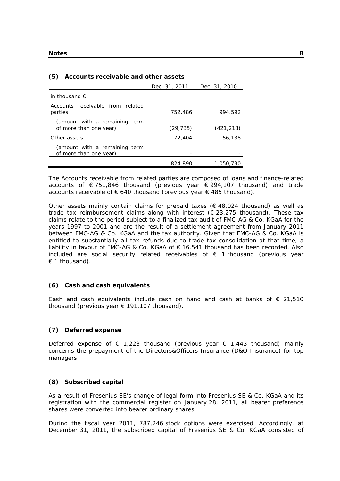#### **(5) Accounts receivable and other assets**

|                                                         | Dec. 31, 2011 | Dec. 31, 2010 |
|---------------------------------------------------------|---------------|---------------|
| in thousand $\epsilon$                                  |               |               |
| Accounts receivable from related<br>parties             | 752,486       | 994.592       |
| (amount with a remaining term<br>of more than one year) | (29, 735)     | (421, 213)    |
| Other assets                                            | 72,404        | 56,138        |
| (amount with a remaining term<br>of more than one year) |               |               |
|                                                         | 824,890       | 1.050,730     |

The Accounts receivable from related parties are composed of loans and finance-related accounts of € 751,846 thousand (previous year € 994,107 thousand) and trade accounts receivable of  $\epsilon$  640 thousand (previous year  $\epsilon$  485 thousand).

Other assets mainly contain claims for prepaid taxes ( $\epsilon$  48,024 thousand) as well as trade tax reimbursement claims along with interest ( $\epsilon$  23,275 thousand). These tax claims relate to the period subject to a finalized tax audit of FMC-AG & Co. KGaA for the years 1997 to 2001 and are the result of a settlement agreement from January 2011 between FMC-AG & Co. KGaA and the tax authority. Given that FMC-AG & Co. KGaA is entitled to substantially all tax refunds due to trade tax consolidation at that time, a liability in favour of FMC-AG & Co. KGaA of  $\epsilon$  16,541 thousand has been recorded. Also included are social security related receivables of  $\epsilon$  1 thousand (previous year  $\epsilon$  1 thousand).

#### **(6) Cash and cash equivalents**

Cash and cash equivalents include cash on hand and cash at banks of  $\epsilon$  21,510 thousand (previous year € 191,107 thousand).

#### **(7) Deferred expense**

Deferred expense of  $\epsilon$  1,223 thousand (previous year  $\epsilon$  1,443 thousand) mainly concerns the prepayment of the Directors&Officers-Insurance (D&O-Insurance) for top managers.

#### **(8) Subscribed capital**

As a result of Fresenius SE's change of legal form into Fresenius SE & Co. KGaA and its registration with the commercial register on January 28, 2011, all bearer preference shares were converted into bearer ordinary shares.

During the fiscal year 2011, 787,246 stock options were exercised. Accordingly, at December 31, 2011, the subscribed capital of Fresenius SE & Co. KGaA consisted of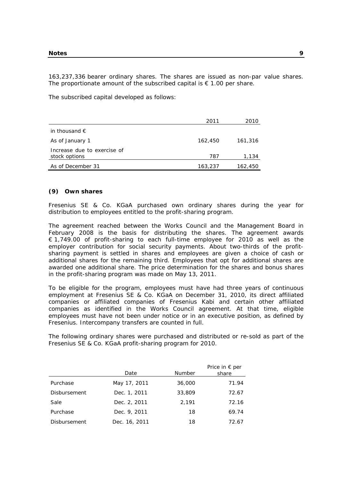163,237,336 bearer ordinary shares. The shares are issued as non-par value shares. The proportionate amount of the subscribed capital is  $\epsilon$  1.00 per share.

The subscribed capital developed as follows:

|                                              | 2011    | 2010    |
|----------------------------------------------|---------|---------|
| in thousand $\epsilon$                       |         |         |
| As of January 1                              | 162,450 | 161,316 |
| Increase due to exercise of<br>stock options | 787     | 1,134   |
| As of December 31                            | 163,237 | 162,450 |

#### **(9) Own shares**

Fresenius SE & Co. KGaA purchased own ordinary shares during the year for distribution to employees entitled to the profit-sharing program.

The agreement reached between the Works Council and the Management Board in February 2008 is the basis for distributing the shares. The agreement awards € 1,749.00 of profit-sharing to each full-time employee for 2010 as well as the employer contribution for social security payments. About two-thirds of the profitsharing payment is settled in shares and employees are given a choice of cash or additional shares for the remaining third. Employees that opt for additional shares are awarded one additional share. The price determination for the shares and bonus shares in the profit-sharing program was made on May 13, 2011.

To be eligible for the program, employees must have had three years of continuous employment at Fresenius SE & Co. KGaA on December 31, 2010, its direct affiliated companies or affiliated companies of Fresenius Kabi and certain other affiliated companies as identified in the Works Council agreement. At that time, eligible employees must have not been under notice or in an executive position, as defined by Fresenius. Intercompany transfers are counted in full.

The following ordinary shares were purchased and distributed or re-sold as part of the Fresenius SE & Co. KGaA profit-sharing program for 2010.

|                     | Date          | <b>Number</b> | Price in $\epsilon$ per<br>share |
|---------------------|---------------|---------------|----------------------------------|
| Purchase            | May 17, 2011  | 36,000        | 71.94                            |
| <b>Disbursement</b> | Dec. 1, 2011  | 33,809        | 72.67                            |
| Sale                | Dec. 2, 2011  | 2,191         | 72.16                            |
| Purchase            | Dec. 9, 2011  | 18            | 69.74                            |
| Disbursement        | Dec. 16, 2011 | 18            | 72.67                            |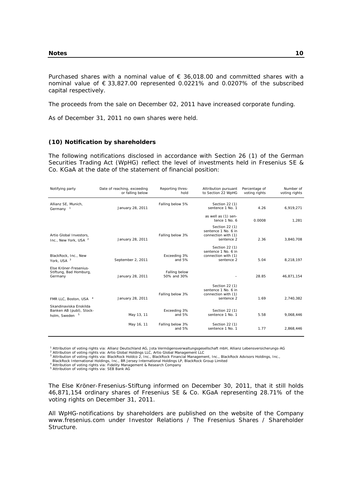Purchased shares with a nominal value of  $\epsilon$  36,018.00 and committed shares with a nominal value of € 33,827.00 represented 0.0221% and 0.0207% of the subscribed capital respectively.

The proceeds from the sale on December 02, 2011 have increased corporate funding.

As of December 31, 2011 no own shares were held.

#### **(10) Notification by shareholders**

The following notifications disclosed in accordance with Section 26 (1) of the German Securities Trading Act (WpHG) reflect the level of investments held in Fresenius SE & Co. KGaA at the date of the statement of financial position:

| Notifying party                                                      | Date of reaching, exceeding<br>or falling below | Reporting thres-<br>hold     | Attribution pursuant<br>to Section 22 WpHG                                 | Percentage of<br>voting rights | Number of<br>voting rights |
|----------------------------------------------------------------------|-------------------------------------------------|------------------------------|----------------------------------------------------------------------------|--------------------------------|----------------------------|
| Allianz SE, Munich,<br>Germany $1$                                   | January 28, 2011                                | Falling below 5%             | Section 22 (1)<br>sentence 1 No. 1                                         | 4.26                           | 6,919,271                  |
|                                                                      |                                                 |                              | as well as (1) sen-<br>tence 1 No. 6                                       | 0.0008                         | 1,281                      |
| Artio Global Investors,<br>Inc., New York, USA <sup>2</sup>          | January 28, 2011                                | Falling below 3%             | Section 22 (1)<br>sentence 1 No. 6 in<br>connection with (1)<br>sentence 2 | 2.36                           | 3,840,708                  |
| BlackRock, Inc., New<br>York, USA <sup>3</sup>                       | September 2, 2011                               | Exceeding 3%<br>and 5%       | Section 22 (1)<br>sentence 1 No. 6 in<br>connection with (1)<br>sentence 2 | 5.04                           | 8,218,197                  |
| Else Kröner-Fresenius-<br>Stiftung, Bad Homburg,<br>Germany          | January 28, 2011                                | Falling below<br>50% and 30% |                                                                            | 28.85                          | 46,871,154                 |
| FMR LLC, Boston, USA 4                                               | January 28, 2011                                | Falling below 3%             | Section 22 (1)<br>sentence 1 No. 6 in<br>connection with (1)<br>sentence 2 | 1.69                           | 2,740,382                  |
| Skandinaviska Enskilda<br>Banken AB (publ), Stock-<br>holm, Sweden 5 | May 13, 11                                      | Exceeding 3%<br>and 5%       | Section 22 (1)<br>sentence 1 No. 1                                         | 5.58                           | 9,068,446                  |
|                                                                      | May 16, 11                                      | Falling below 3%<br>and 5%   | Section 22 (1)<br>sentence 1 No. 1                                         | 1.77                           | 2,868,446                  |

<sup>1</sup> Attribution of voting rights via: Allianz Deutschland AG, Jota Vermögensverwaltungsgesellschaft mbH, Allianz Lebensversicherungs-AG<br><sup>2</sup> Attribution of voting rights via: Artio Global Holdings LLC, Artio Global Manageme

BlackRock International Holdings, Inc., BlackRock Holdco 2, Inc., BlackRock Financial Management, Inc., BlackRock Advisors Holdings, Inc., BackRock Advisors Holdings, Inc., BR Jersey International Holdings LP, BlackRock Gr

<sup>4</sup> Attribution of voting rights via: Fidelity Management & Research Company<br><sup>5</sup> Attribution of voting rights via: SEB Bank AG

The Else Kröner-Fresenius-Stiftung informed on December 30, 2011, that it still holds 46,871,154 ordinary shares of Fresenius SE & Co. KGaA representing 28.71% of the voting rights on December 31, 2011.

All WpHG-notifications by shareholders are published on the website of the Company www.fresenius.com under Investor Relations / The Fresenius Shares / Shareholder Structure.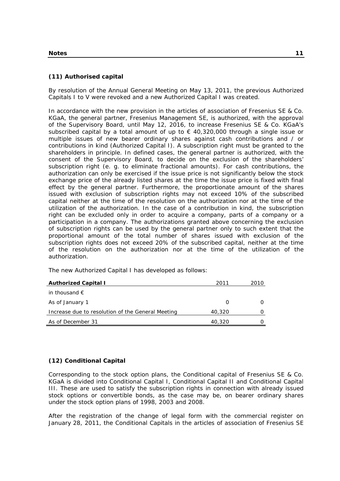# **(11) Authorised capital**

By resolution of the Annual General Meeting on May 13, 2011, the previous Authorized Capitals I to V were revoked and a new Authorized Capital I was created.

In accordance with the new provision in the articles of association of Fresenius SE & Co. KGaA, the general partner, Fresenius Management SE, is authorized, with the approval of the Supervisory Board, until May 12, 2016, to increase Fresenius SE & Co. KGaA's subscribed capital by a total amount of up to  $\epsilon$  40,320,000 through a single issue or multiple issues of new bearer ordinary shares against cash contributions and / or contributions in kind (Authorized Capital I). A subscription right must be granted to the shareholders in principle. In defined cases, the general partner is authorized, with the consent of the Supervisory Board, to decide on the exclusion of the shareholders' subscription right (e. g. to eliminate fractional amounts). For cash contributions, the authorization can only be exercised if the issue price is not significantly below the stock exchange price of the already listed shares at the time the issue price is fixed with final effect by the general partner. Furthermore, the proportionate amount of the shares issued with exclusion of subscription rights may not exceed 10% of the subscribed capital neither at the time of the resolution on the authorization nor at the time of the utilization of the authorization. In the case of a contribution in kind, the subscription right can be excluded only in order to acquire a company, parts of a company or a participation in a company. The authorizations granted above concerning the exclusion of subscription rights can be used by the general partner only to such extent that the proportional amount of the total number of shares issued with exclusion of the subscription rights does not exceed 20% of the subscribed capital, neither at the time of the resolution on the authorization nor at the time of the utilization of the authorization.

| <b>Authorized Capital I</b>                       | 2011   | 2010 |
|---------------------------------------------------|--------|------|
| in thousand $\epsilon$                            |        |      |
| As of January 1                                   |        |      |
| Increase due to resolution of the General Meeting | 40,320 |      |
| As of December 31                                 | 40,320 |      |

The new Authorized Capital I has developed as follows:

# **(12) Conditional Capital**

Corresponding to the stock option plans, the Conditional capital of Fresenius SE & Co. KGaA is divided into Conditional Capital I, Conditional Capital II and Conditional Capital III. These are used to satisfy the subscription rights in connection with already issued stock options or convertible bonds, as the case may be, on bearer ordinary shares under the stock option plans of 1998, 2003 and 2008.

After the registration of the change of legal form with the commercial register on January 28, 2011, the Conditional Capitals in the articles of association of Fresenius SE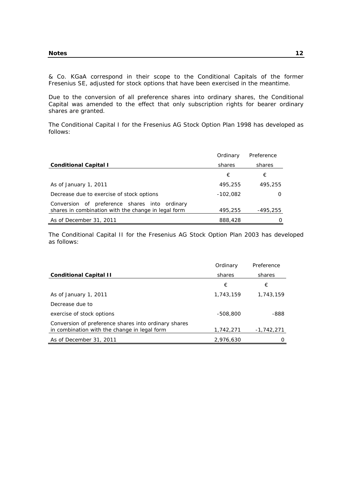& Co. KGaA correspond in their scope to the Conditional Capitals of the former Fresenius SE, adjusted for stock options that have been exercised in the meantime.

Due to the conversion of all preference shares into ordinary shares, the Conditional Capital was amended to the effect that only subscription rights for bearer ordinary shares are granted.

The Conditional Capital I for the Fresenius AG Stock Option Plan 1998 has developed as follows:

|                                                                                                         | Ordinary   | Preference |
|---------------------------------------------------------------------------------------------------------|------------|------------|
| <b>Conditional Capital I</b>                                                                            | shares     | shares     |
|                                                                                                         | €          | €          |
| As of January 1, 2011                                                                                   | 495,255    | 495,255    |
| Decrease due to exercise of stock options                                                               | $-102,082$ | O          |
| preference shares into ordinary<br>Conversion of<br>shares in combination with the change in legal form | 495,255    | -495,255   |
| As of December 31, 2011                                                                                 | 888,428    |            |

The Conditional Capital II for the Fresenius AG Stock Option Plan 2003 has developed as follows:

|                                                                                                      | Ordinary   | Preference   |
|------------------------------------------------------------------------------------------------------|------------|--------------|
| <b>Conditional Capital II</b>                                                                        | shares     | shares       |
|                                                                                                      | €          | €            |
| As of January 1, 2011                                                                                | 1,743,159  | 1,743,159    |
| Decrease due to                                                                                      |            |              |
| exercise of stock options                                                                            | $-508.800$ | -888         |
| Conversion of preference shares into ordinary shares<br>in combination with the change in legal form | 1,742,271  | $-1,742,271$ |
| As of December 31, 2011                                                                              | 2.976.630  |              |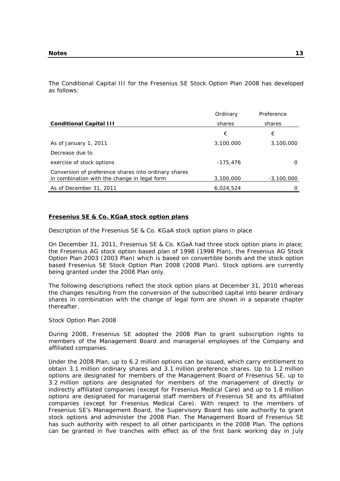The Conditional Capital III for the Fresenius SE Stock Option Plan 2008 has developed as follows:

|                                                                                                      | Ordinary   | Preference   |
|------------------------------------------------------------------------------------------------------|------------|--------------|
| <b>Conditional Capital III</b>                                                                       | shares     | shares       |
|                                                                                                      | €          | €            |
| As of January 1, 2011                                                                                | 3,100,000  | 3,100,000    |
| Decrease due to                                                                                      |            |              |
| exercise of stock options                                                                            | $-175.476$ |              |
| Conversion of preference shares into ordinary shares<br>in combination with the change in legal form | 3,100,000  | $-3.100.000$ |
| As of December 31, 2011                                                                              | 6,024,524  |              |

#### **Fresenius SE & Co. KGaA stock option plans**

Description of the Fresenius SE & Co. KGaA stock option plans in place

On December 31, 2011, Fresenius SE & Co. KGaA had three stock option plans in place; the Fresenius AG stock option based plan of 1998 (1998 Plan), the Fresenius AG Stock Option Plan 2003 (2003 Plan) which is based on convertible bonds and the stock option based Fresenius SE Stock Option Plan 2008 (2008 Plan). Stock options are currently being granted under the 2008 Plan only.

The following descriptions reflect the stock option plans at December 31, 2010 whereas the changes resulting from the conversion of the subscribed capital into bearer ordinary shares in combination with the change of legal form are shown in a separate chapter thereafter.

#### Stock Option Plan 2008

During 2008, Fresenius SE adopted the 2008 Plan to grant subscription rights to members of the Management Board and managerial employees of the Company and affiliated companies.

Under the 2008 Plan, up to 6.2 million options can be issued, which carry entitlement to obtain 3.1 million ordinary shares and 3.1 million preference shares. Up to 1.2 million options are designated for members of the Management Board of Fresenius SE, up to 3.2 million options are designated for members of the management of directly or indirectly affiliated companies (except for Fresenius Medical Care) and up to 1.8 million options are designated for managerial staff members of Fresenius SE and its affiliated companies (except for Fresenius Medical Care). With respect to the members of Fresenius SE's Management Board, the Supervisory Board has sole authority to grant stock options and administer the 2008 Plan. The Management Board of Fresenius SE has such authority with respect to all other participants in the 2008 Plan. The options can be granted in five tranches with effect as of the first bank working day in July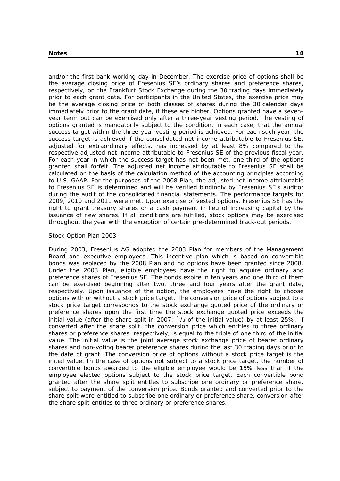and/or the first bank working day in December. The exercise price of options shall be the average closing price of Fresenius SE's ordinary shares and preference shares, respectively, on the Frankfurt Stock Exchange during the 30 trading days immediately prior to each grant date. For participants in the United States, the exercise price may be the average closing price of both classes of shares during the 30 calendar days immediately prior to the grant date, if these are higher. Options granted have a sevenyear term but can be exercised only after a three-year vesting period. The vesting of options granted is mandatorily subject to the condition, in each case, that the annual success target within the three-year vesting period is achieved. For each such year, the success target is achieved if the consolidated net income attributable to Fresenius SE, adjusted for extraordinary effects, has increased by at least 8% compared to the respective adjusted net income attributable to Fresenius SE of the previous fiscal year. For each year in which the success target has not been met, one-third of the options granted shall forfeit. The adjusted net income attributable to Fresenius SE shall be calculated on the basis of the calculation method of the accounting principles according to U.S. GAAP. For the purposes of the 2008 Plan, the adjusted net income attributable to Fresenius SE is determined and will be verified bindingly by Fresenius SE's auditor during the audit of the consolidated financial statements. The performance targets for 2009, 2010 and 2011 were met. Upon exercise of vested options, Fresenius SE has the right to grant treasury shares or a cash payment in lieu of increasing capital by the issuance of new shares. If all conditions are fulfilled, stock options may be exercised throughout the year with the exception of certain pre-determined black-out periods.

#### Stock Option Plan 2003

During 2003, Fresenius AG adopted the 2003 Plan for members of the Management Board and executive employees. This incentive plan which is based on convertible bonds was replaced by the 2008 Plan and no options have been granted since 2008. Under the 2003 Plan, eligible employees have the right to acquire ordinary and preference shares of Fresenius SE. The bonds expire in ten years and one third of them can be exercised beginning after two, three and four years after the grant date, respectively. Upon issuance of the option, the employees have the right to choose options with or without a stock price target. The conversion price of options subject to a stock price target corresponds to the stock exchange quoted price of the ordinary or preference shares upon the first time the stock exchange quoted price exceeds the initial value (after the share split in 2007:  $1/3$  of the initial value) by at least 25%. If converted after the share split, the conversion price which entitles to three ordinary shares or preference shares, respectively, is equal to the triple of one third of the initial value. The initial value is the joint average stock exchange price of bearer ordinary shares and non-voting bearer preference shares during the last 30 trading days prior to the date of grant. The conversion price of options without a stock price target is the initial value. In the case of options not subject to a stock price target, the number of convertible bonds awarded to the eligible employee would be 15% less than if the employee elected options subject to the stock price target. Each convertible bond granted after the share split entitles to subscribe one ordinary or preference share, subject to payment of the conversion price. Bonds granted and converted prior to the share split were entitled to subscribe one ordinary or preference share, conversion after the share split entitles to three ordinary or preference shares.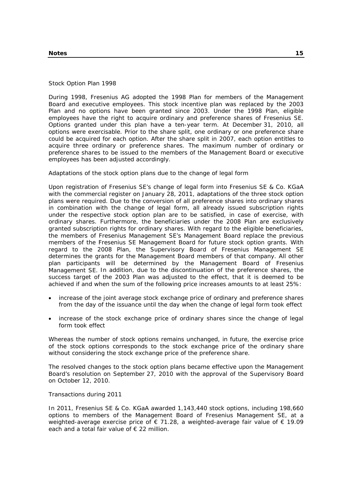Stock Option Plan 1998

During 1998, Fresenius AG adopted the 1998 Plan for members of the Management Board and executive employees. This stock incentive plan was replaced by the 2003 Plan and no options have been granted since 2003. Under the 1998 Plan, eligible employees have the right to acquire ordinary and preference shares of Fresenius SE. Options granted under this plan have a ten-year term. At December 31, 2010, all options were exercisable. Prior to the share split, one ordinary or one preference share could be acquired for each option. After the share split in 2007, each option entitles to acquire three ordinary or preference shares. The maximum number of ordinary or preference shares to be issued to the members of the Management Board or executive employees has been adjusted accordingly.

Adaptations of the stock option plans due to the change of legal form

Upon registration of Fresenius SE's change of legal form into Fresenius SE & Co. KGaA with the commercial register on January 28, 2011, adaptations of the three stock option plans were required. Due to the conversion of all preference shares into ordinary shares in combination with the change of legal form, all already issued subscription rights under the respective stock option plan are to be satisfied, in case of exercise, with ordinary shares. Furthermore, the beneficiaries under the 2008 Plan are exclusively granted subscription rights for ordinary shares. With regard to the eligible beneficiaries, the members of Fresenius Management SE's Management Board replace the previous members of the Fresenius SE Management Board for future stock option grants. With regard to the 2008 Plan, the Supervisory Board of Fresenius Management SE determines the grants for the Management Board members of that company. All other plan participants will be determined by the Management Board of Fresenius Management SE. In addition, due to the discontinuation of the preference shares, the success target of the 2003 Plan was adjusted to the effect, that it is deemed to be achieved if and when the sum of the following price increases amounts to at least 25%:

- increase of the joint average stock exchange price of ordinary and preference shares from the day of the issuance until the day when the change of legal form took effect
- increase of the stock exchange price of ordinary shares since the change of legal form took effect

Whereas the number of stock options remains unchanged, in future, the exercise price of the stock options corresponds to the stock exchange price of the ordinary share without considering the stock exchange price of the preference share.

The resolved changes to the stock option plans became effective upon the Management Board's resolution on September 27, 2010 with the approval of the Supervisory Board on October 12, 2010.

Transactions during 2011

In 2011, Fresenius SE & Co. KGaA awarded 1,143,440 stock options, including 198,660 options to members of the Management Board of Fresenius Management SE, at a weighted-average exercise price of € 71.28, a weighted-average fair value of € 19.09 each and a total fair value of € 22 million.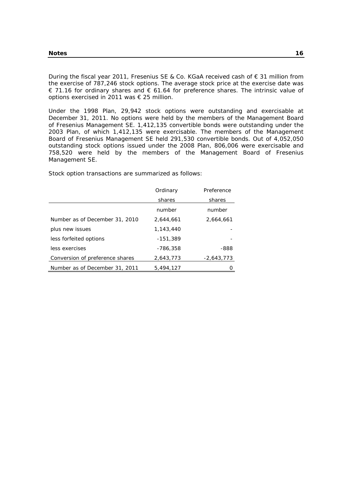During the fiscal year 2011, Fresenius SE & Co. KGaA received cash of € 31 million from the exercise of 787,246 stock options. The average stock price at the exercise date was € 71.16 for ordinary shares and € 61.64 for preference shares. The intrinsic value of options exercised in 2011 was € 25 million.

Under the 1998 Plan, 29,942 stock options were outstanding and exercisable at December 31, 2011. No options were held by the members of the Management Board of Fresenius Management SE. 1,412,135 convertible bonds were outstanding under the 2003 Plan, of which 1,412,135 were exercisable. The members of the Management Board of Fresenius Management SE held 291,530 convertible bonds. Out of 4,052,050 outstanding stock options issued under the 2008 Plan, 806,006 were exercisable and 758,520 were held by the members of the Management Board of Fresenius Management SE.

**Ordinary** shares Preference shares number number Number as of December 31, 2010 2,644,661 2,664,661 plus new issues 1,143,440 less forfeited options -151,389 less exercises -786,358 -888 Conversion of preference shares 2,643,773 -2,643,773 Number as of December 31, 2011 5, 494, 127 0

Stock option transactions are summarized as follows: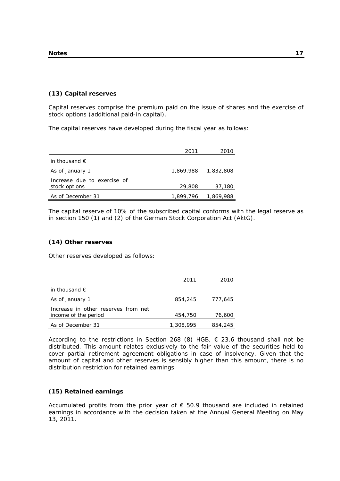# **(13) Capital reserves**

Capital reserves comprise the premium paid on the issue of shares and the exercise of stock options (additional paid-in capital).

The capital reserves have developed during the fiscal year as follows:

|                                              | 2011      | 2010      |
|----------------------------------------------|-----------|-----------|
| in thousand $\epsilon$                       |           |           |
| As of January 1                              | 1,869,988 | 1,832,808 |
| Increase due to exercise of<br>stock options | 29,808    | 37,180    |
| As of December 31                            | 1.899.796 | 1,869,988 |

The capital reserve of 10% of the subscribed capital conforms with the legal reserve as in section 150 (1) and (2) of the German Stock Corporation Act (AktG).

#### **(14) Other reserves**

Other reserves developed as follows:

|                                                             | 2011      | 2010    |
|-------------------------------------------------------------|-----------|---------|
| in thousand $\epsilon$                                      |           |         |
| As of January 1                                             | 854,245   | 777.645 |
| Increase in other reserves from net<br>income of the period | 454,750   | 76,600  |
| As of December 31                                           | 1,308,995 | 854,245 |

According to the restrictions in Section 268 (8) HGB,  $\epsilon$  23.6 thousand shall not be distributed. This amount relates exclusively to the fair value of the securities held to cover partial retirement agreement obligations in case of insolvency. Given that the amount of capital and other reserves is sensibly higher than this amount, there is no distribution restriction for retained earnings.

#### **(15) Retained earnings**

Accumulated profits from the prior year of  $\epsilon$  50.9 thousand are included in retained earnings in accordance with the decision taken at the Annual General Meeting on May 13, 2011.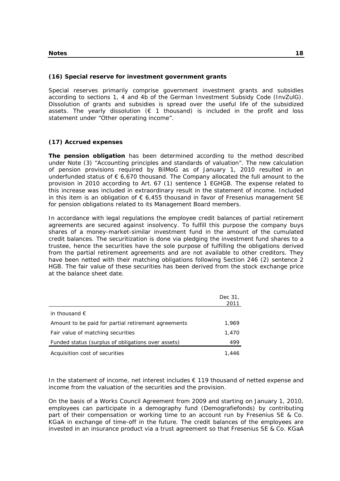# **(16) Special reserve for investment government grants**

Special reserves primarily comprise government investment grants and subsidies according to sections 1, 4 and 4b of the German Investment Subsidy Code (InvZulG). Dissolution of grants and subsidies is spread over the useful life of the subsidized assets. The yearly dissolution ( $\epsilon$  1 thousand) is included in the profit and loss statement under "Other operating income".

# **(17) Accrued expenses**

**The pension obligation** has been determined according to the method described under Note (3) "Accounting principles and standards of valuation". The new calculation of pension provisions required by BilMoG as of January 1, 2010 resulted in an underfunded status of  $\epsilon$  6,670 thousand. The Company allocated the full amount to the provision in 2010 according to Art. 67 (1) sentence 1 EGHGB. The expense related to this increase was included in extraordinary result in the statement of income. Included in this item is an obligation of  $\epsilon$  6,455 thousand in favor of Fresenius management SE for pension obligations related to its Management Board members.

In accordance with legal regulations the employee credit balances of partial retirement agreements are secured against insolvency. To fulfill this purpose the company buys shares of a money-market-similar investment fund in the amount of the cumulated credit balances. The securitization is done via pledging the investment fund shares to a trustee, hence the securities have the sole purpose of fulfilling the obligations derived from the partial retirement agreements and are not available to other creditors. They have been netted with their matching obligations following Section 246 (2) sentence 2 HGB. The fair value of these securities has been derived from the stock exchange price at the balance sheet date.

|                                                     | Dec 31.<br>2011 |
|-----------------------------------------------------|-----------------|
| in thousand $\epsilon$                              |                 |
| Amount to be paid for partial retirement agreements | 1.969           |
| Fair value of matching securities                   | 1,470           |
| Funded status (surplus of obligations over assets)  | 499             |
| Acquisition cost of securities                      | 1,446           |

In the statement of income, net interest includes € 119 thousand of netted expense and income from the valuation of the securities and the provision.

On the basis of a Works Council Agreement from 2009 and starting on January 1, 2010, employees can participate in a demography fund (Demografiefonds) by contributing part of their compensation or working time to an account run by Fresenius SE & Co. KGaA in exchange of time-off in the future. The credit balances of the employees are invested in an insurance product via a trust agreement so that Fresenius SE & Co. KGaA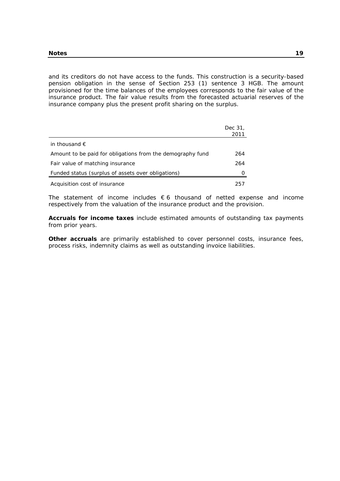and its creditors do not have access to the funds. This construction is a security-based pension obligation in the sense of Section 253 (1) sentence 3 HGB. The amount provisioned for the time balances of the employees corresponds to the fair value of the insurance product. The fair value results from the forecasted actuarial reserves of the insurance company plus the present profit sharing on the surplus.

|                                                            | Dec 31,<br>2011 |
|------------------------------------------------------------|-----------------|
| in thousand $\epsilon$                                     |                 |
| Amount to be paid for obligations from the demography fund | 264             |
| Fair value of matching insurance                           | 264             |
| Funded status (surplus of assets over obligations)         |                 |
| Acquisition cost of insurance                              | 257             |

The statement of income includes  $\epsilon$  6 thousand of netted expense and income respectively from the valuation of the insurance product and the provision.

**Accruals for income taxes** include estimated amounts of outstanding tax payments from prior years.

**Other accruals** are primarily established to cover personnel costs, insurance fees, process risks, indemnity claims as well as outstanding invoice liabilities.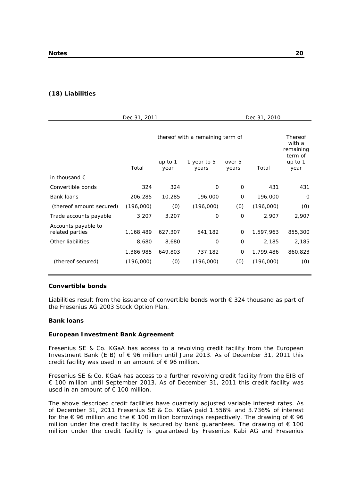# **(18) Liabilities**

| Dec 31, 2011                           |           |                   | Dec 31, 2010                     |                 |           |                                |
|----------------------------------------|-----------|-------------------|----------------------------------|-----------------|-----------|--------------------------------|
|                                        |           |                   | thereof with a remaining term of |                 |           | Thereof<br>with a<br>remaining |
|                                        | Total     | up to $1$<br>year | 1 year to 5<br>years             | over 5<br>years | Total     | term of<br>up to $1$<br>year   |
| in thousand $\epsilon$                 |           |                   |                                  |                 |           |                                |
| Convertible bonds                      | 324       | 324               | 0                                | $\Omega$        | 431       | 431                            |
| <b>Bank loans</b>                      | 206,285   | 10,285            | 196,000                          | 0               | 196,000   | 0                              |
| (thereof amount secured)               | (196,000) | (0)               | (196,000)                        | (0)             | (196,000) | (0)                            |
| Trade accounts payable                 | 3,207     | 3,207             | 0                                | $\mathbf 0$     | 2,907     | 2,907                          |
| Accounts payable to<br>related parties | 1,168,489 | 627,307           | 541,182                          | 0               | 1,597,963 | 855,300                        |
| Other liabilities                      | 8,680     | 8,680             | 0                                | 0               | 2,185     | 2,185                          |
|                                        | 1,386,985 | 649,803           | 737,182                          | 0               | 1,799,486 | 860,823                        |
| (thereof secured)                      | (196,000) | (0)               | (196,000)                        | (0)             | (196,000) | (0)                            |

#### **Convertible bonds**

Liabilities result from the issuance of convertible bonds worth  $\epsilon$  324 thousand as part of the Fresenius AG 2003 Stock Option Plan.

#### **Bank loans**

#### **European Investment Bank Agreement**

Fresenius SE & Co. KGaA has access to a revolving credit facility from the European Investment Bank (EIB) of € 96 million until June 2013. As of December 31, 2011 this credit facility was used in an amount of  $\epsilon$  96 million.

Fresenius SE & Co. KGaA has access to a further revolving credit facility from the EIB of € 100 million until September 2013. As of December 31, 2011 this credit facility was used in an amount of  $\epsilon$  100 million.

The above described credit facilities have quarterly adjusted variable interest rates. As of December 31, 2011 Fresenius SE & Co. KGaA paid 1.556% and 3.736% of interest for the  $\epsilon$  96 million and the  $\epsilon$  100 million borrowings respectively. The drawing of  $\epsilon$  96 million under the credit facility is secured by bank guarantees. The drawing of  $\epsilon$  100 million under the credit facility is guaranteed by Fresenius Kabi AG and Fresenius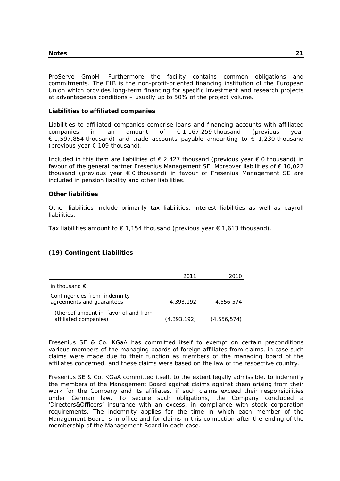ProServe GmbH. Furthermore the facility contains common obligations and commitments. The EIB is the non-profit-oriented financing institution of the European Union which provides long-term financing for specific investment and research projects at advantageous conditions – usually up to 50% of the project volume.

#### **Liabilities to affiliated companies**

Liabilities to affiliated companies comprise loans and financing accounts with affiliated companies in an amount of  $\epsilon$  1,167,259 thousand (previous year € 1,597,854 thousand) and trade accounts payable amounting to  $∈$  1,230 thousand (previous year  $\epsilon$  109 thousand).

Included in this item are liabilities of  $\epsilon$  2,427 thousand (previous year  $\epsilon$  0 thousand) in favour of the general partner Fresenius Management SE. Moreover liabilities of  $\epsilon$  10,022 thousand (previous year € 0 thousand) in favour of Fresenius Management SE are included in pension liability and other liabilities.

#### **Other liabilities**

Other liabilities include primarily tax liabilities, interest liabilities as well as payroll liabilities.

Tax liabilities amount to  $\epsilon$  1.154 thousand (previous year  $\epsilon$  1.613 thousand).

# **(19) Contingent Liabilities**

|                                                               | 2011          |               |
|---------------------------------------------------------------|---------------|---------------|
| in thousand $\epsilon$                                        |               |               |
| Contingencies from indemnity<br>agreements and guarantees     | 4,393,192     | 4,556,574     |
| (thereof amount in favor of and from<br>affiliated companies) | (4, 393, 192) | (4, 556, 574) |

Fresenius SE & Co. KGaA has committed itself to exempt on certain preconditions various members of the managing boards of foreign affiliates from claims, in case such claims were made due to their function as members of the managing board of the affiliates concerned, and these claims were based on the law of the respective country.

Fresenius SE & Co. KGaA committed itself, to the extent legally admissible, to indemnify the members of the Management Board against claims against them arising from their work for the Company and its affiliates, if such claims exceed their responsibilities under German law. To secure such obligations, the Company concluded a 'Directors&Officers' insurance with an excess, in compliance with stock corporation requirements. The indemnity applies for the time in which each member of the Management Board is in office and for claims in this connection after the ending of the membership of the Management Board in each case.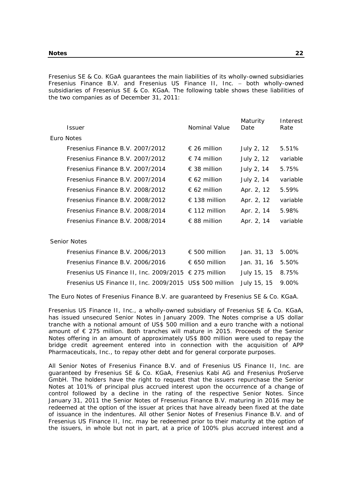Fresenius SE & Co. KGaA guarantees the main liabilities of its wholly-owned subsidiaries Fresenius Finance B.V. and Fresenius US Finance II, Inc. - both wholly-owned subsidiaries of Fresenius SE & Co. KGaA. The following table shows these liabilities of the two companies as of December 31, 2011:

| Issuer                           | Nominal Value          | Maturity<br>Date | Interest<br>Rate |
|----------------------------------|------------------------|------------------|------------------|
| Euro Notes                       |                        |                  |                  |
| Fresenius Finance B.V. 2007/2012 | $\epsilon$ 26 million  | July 2, 12       | 5.51%            |
| Fresenius Finance B.V. 2007/2012 | $\in$ 74 million       | July 2, 12       | variable         |
| Fresenius Finance B.V. 2007/2014 | $\epsilon$ 38 million  | July 2, 14       | 5.75%            |
| Fresenius Finance B.V. 2007/2014 | $\epsilon$ 62 million  | July 2, 14       | variable         |
| Fresenius Finance B.V. 2008/2012 | $\epsilon$ 62 million  | Apr. 2, 12       | 5.59%            |
| Fresenius Finance B.V. 2008/2012 | € 138 million          | Apr. 2, 12       | variable         |
| Fresenius Finance B.V. 2008/2014 | $\epsilon$ 112 million | Apr. 2, 14       | 5.98%            |
| Fresenius Finance B.V. 2008/2014 | $\epsilon$ 88 million  | Apr. 2, 14       | variable         |
|                                  |                        |                  |                  |

#### Senior Notes

| Fresenius Finance B.V. 2006/2013                                           | € 500 million | Jan. 31, 13 5.00%  |  |
|----------------------------------------------------------------------------|---------------|--------------------|--|
| Fresenius Finance B.V. 2006/2016                                           | € 650 million | Jan. $31.16$ 5.50% |  |
| Fresenius US Finance II, Inc. 2009/2015 $∈$ 275 million                    |               | July 15, 15 8.75%  |  |
| Fresenius US Finance II, Inc. 2009/2015 US\$ 500 million July 15, 15 9.00% |               |                    |  |

The Euro Notes of Fresenius Finance B.V. are guaranteed by Fresenius SE & Co. KGaA.

Fresenius US Finance II, Inc., a wholly-owned subsidiary of Fresenius SE & Co. KGaA, has issued unsecured Senior Notes in January 2009. The Notes comprise a US dollar tranche with a notional amount of US\$ 500 million and a euro tranche with a notional amount of € 275 million. Both tranches will mature in 2015. Proceeds of the Senior Notes offering in an amount of approximately US\$ 800 million were used to repay the bridge credit agreement entered into in connection with the acquisition of APP Pharmaceuticals, Inc., to repay other debt and for general corporate purposes.

All Senior Notes of Fresenius Finance B.V. and of Fresenius US Finance II, Inc. are guaranteed by Fresenius SE & Co. KGaA, Fresenius Kabi AG and Fresenius ProServe GmbH. The holders have the right to request that the issuers repurchase the Senior Notes at 101% of principal plus accrued interest upon the occurrence of a change of control followed by a decline in the rating of the respective Senior Notes. Since January 31, 2011 the Senior Notes of Fresenius Finance B.V. maturing in 2016 may be redeemed at the option of the issuer at prices that have already been fixed at the date of issuance in the indentures. All other Senior Notes of Fresenius Finance B.V. and of Fresenius US Finance II, Inc. may be redeemed prior to their maturity at the option of the issuers, in whole but not in part, at a price of 100% plus accrued interest and a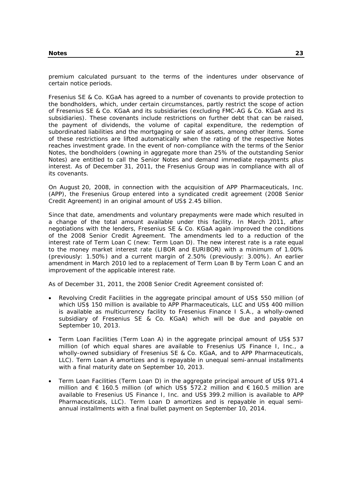premium calculated pursuant to the terms of the indentures under observance of certain notice periods.

Fresenius SE & Co. KGaA has agreed to a number of covenants to provide protection to the bondholders, which, under certain circumstances, partly restrict the scope of action of Fresenius SE & Co. KGaA and its subsidiaries (excluding FMC-AG & Co. KGaA and its subsidiaries). These covenants include restrictions on further debt that can be raised, the payment of dividends, the volume of capital expenditure, the redemption of subordinated liabilities and the mortgaging or sale of assets, among other items. Some of these restrictions are lifted automatically when the rating of the respective Notes reaches investment grade. In the event of non-compliance with the terms of the Senior Notes, the bondholders (owning in aggregate more than 25% of the outstanding Senior Notes) are entitled to call the Senior Notes and demand immediate repayments plus interest. As of December 31, 2011, the Fresenius Group was in compliance with all of its covenants.

On August 20, 2008, in connection with the acquisition of APP Pharmaceuticals, Inc. (APP), the Fresenius Group entered into a syndicated credit agreement (2008 Senior Credit Agreement) in an original amount of US\$ 2.45 billion.

Since that date, amendments and voluntary prepayments were made which resulted in a change of the total amount available under this facility. In March 2011, after negotiations with the lenders, Fresenius SE & Co. KGaA again improved the conditions of the 2008 Senior Credit Agreement. The amendments led to a reduction of the interest rate of Term Loan C (new: Term Loan D). The new interest rate is a rate equal to the money market interest rate (LIBOR and EURIBOR) with a minimum of 1.00% (previously: 1.50%) and a current margin of 2.50% (previously: 3.00%). An earlier amendment in March 2010 led to a replacement of Term Loan B by Term Loan C and an improvement of the applicable interest rate.

As of December 31, 2011, the 2008 Senior Credit Agreement consisted of:

- Revolving Credit Facilities in the aggregate principal amount of US\$ 550 million (of which US\$ 150 million is available to APP Pharmaceuticals, LLC and US\$ 400 million is available as multicurrency facility to Fresenius Finance I S.A., a wholly-owned subsidiary of Fresenius SE & Co. KGaA) which will be due and payable on September 10, 2013.
- Term Loan Facilities (Term Loan A) in the aggregate principal amount of US\$ 537 million (of which equal shares are available to Fresenius US Finance I, Inc., a wholly-owned subsidiary of Fresenius SE & Co. KGaA, and to APP Pharmaceuticals, LLC). Term Loan A amortizes and is repayable in unequal semi-annual installments with a final maturity date on September 10, 2013.
- Term Loan Facilities (Term Loan D) in the aggregate principal amount of US\$ 971.4 million and € 160.5 million (of which US\$ 572.2 million and  $€ 160.5$  million are available to Fresenius US Finance I, Inc. and US\$ 399.2 million is available to APP Pharmaceuticals, LLC). Term Loan D amortizes and is repayable in equal semiannual installments with a final bullet payment on September 10, 2014.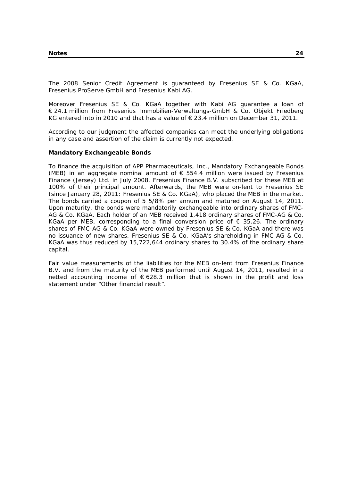The 2008 Senior Credit Agreement is guaranteed by Fresenius SE & Co. KGaA, Fresenius ProServe GmbH and Fresenius Kabi AG.

Moreover Fresenius SE & Co. KGaA together with Kabi AG guarantee a loan of € 24.1 million from Fresenius Immobilien-Verwaltungs-GmbH & Co. Objekt Friedberg KG entered into in 2010 and that has a value of  $\epsilon$  23.4 million on December 31, 2011.

According to our judgment the affected companies can meet the underlying obligations in any case and assertion of the claim is currently not expected.

#### **Mandatory Exchangeable Bonds**

To finance the acquisition of APP Pharmaceuticals, Inc., Mandatory Exchangeable Bonds (MEB) in an aggregate nominal amount of  $\epsilon$  554.4 million were issued by Fresenius Finance (Jersey) Ltd. in July 2008. Fresenius Finance B.V. subscribed for these MEB at 100% of their principal amount. Afterwards, the MEB were on-lent to Fresenius SE (since January 28, 2011: Fresenius SE & Co. KGaA), who placed the MEB in the market. The bonds carried a coupon of 5 5/8% per annum and matured on August 14, 2011. Upon maturity, the bonds were mandatorily exchangeable into ordinary shares of FMC-AG & Co. KGaA. Each holder of an MEB received 1,418 ordinary shares of FMC-AG & Co. KGaA per MEB, corresponding to a final conversion price of  $\epsilon$  35.26. The ordinary shares of FMC-AG & Co. KGaA were owned by Fresenius SE & Co. KGaA and there was no issuance of new shares. Fresenius SE & Co. KGaA's shareholding in FMC-AG & Co. KGaA was thus reduced by 15,722,644 ordinary shares to 30.4% of the ordinary share capital.

Fair value measurements of the liabilities for the MEB on-lent from Fresenius Finance B.V. and from the maturity of the MEB performed until August 14, 2011, resulted in a netted accounting income of  $\epsilon$  628.3 million that is shown in the profit and loss statement under "Other financial result".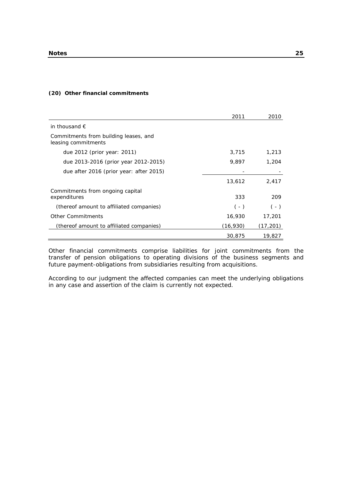#### **(20) Other financial commitments**

|                                                              | 2011     | 2010      |
|--------------------------------------------------------------|----------|-----------|
| in thousand $\epsilon$                                       |          |           |
| Commitments from building leases, and<br>leasing commitments |          |           |
| due 2012 (prior year: 2011)                                  | 3,715    | 1,213     |
| due 2013-2016 (prior year 2012-2015)                         | 9,897    | 1,204     |
| due after 2016 (prior year: after 2015)                      |          |           |
|                                                              | 13,612   | 2,417     |
| Commitments from ongoing capital<br>expenditures             | 333      | 209       |
| (thereof amount to affiliated companies)                     | $(-)$    | $(-)$     |
| <b>Other Commitments</b>                                     | 16,930   | 17,201    |
| (thereof amount to affiliated companies)                     | (16,930) | (17, 201) |
|                                                              | 30,875   | 19,827    |

Other financial commitments comprise liabilities for joint commitments from the transfer of pension obligations to operating divisions of the business segments and future payment-obligations from subsidiaries resulting from acquisitions.

According to our judgment the affected companies can meet the underlying obligations in any case and assertion of the claim is currently not expected.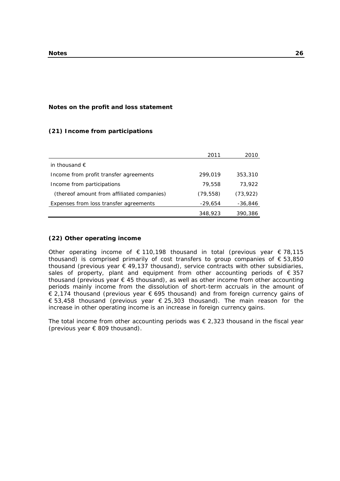#### **Notes on the profit and loss statement**

# **(21) Income from participations**

|                                            | 2011      | 2010      |
|--------------------------------------------|-----------|-----------|
| in thousand $\epsilon$                     |           |           |
| Income from profit transfer agreements     | 299.019   | 353,310   |
| Income from participations                 | 79,558    | 73,922    |
| (thereof amount from affiliated companies) | (79, 558) | (73, 922) |
| Expenses from loss transfer agreements     | -29,654   | -36,846   |
|                                            | 348,923   | 390,386   |

#### **(22) Other operating income**

Other operating income of  $\epsilon$  110,198 thousand in total (previous year  $\epsilon$  78,115 thousand) is comprised primarily of cost transfers to group companies of  $\epsilon$  53,850 thousand (previous year  $\epsilon$  49,137 thousand), service contracts with other subsidiaries, sales of property, plant and equipment from other accounting periods of  $\epsilon$  357 thousand (previous year  $\epsilon$  45 thousand), as well as other income from other accounting periods mainly income from the dissolution of short-term accruals in the amount of € 2,174 thousand (previous year € 695 thousand) and from foreign currency gains of € 53,458 thousand (previous year € 25,303 thousand). The main reason for the increase in other operating income is an increase in foreign currency gains.

The total income from other accounting periods was  $\epsilon$  2,323 thousand in the fiscal year (previous year  $\epsilon$  809 thousand).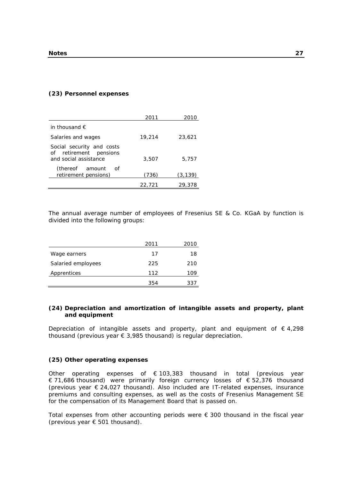#### **(23) Personnel expenses**

|                                                                              | 2011   | 2010     |
|------------------------------------------------------------------------------|--------|----------|
| in thousand $\epsilon$                                                       |        |          |
| Salaries and wages                                                           | 19,214 | 23,621   |
| Social security and costs<br>of retirement pensions<br>and social assistance | 3,507  | 5,757    |
| (thereof amount<br>of<br>retirement pensions)                                | (736)  | (3, 139) |
|                                                                              | 22,721 | 29,378   |

The annual average number of employees of Fresenius SE & Co. KGaA by function is divided into the following groups:

|                    | 2011 | 2010 |
|--------------------|------|------|
| Wage earners       | 17   | 18   |
| Salaried employees | 225  | 210  |
| Apprentices        | 112  | 109  |
|                    | 354  | 337  |

#### **(24) Depreciation and amortization of intangible assets and property, plant and equipment**

Depreciation of intangible assets and property, plant and equipment of  $\epsilon$  4,298 thousand (previous year  $\epsilon$  3,985 thousand) is regular depreciation.

#### **(25) Other operating expenses**

Other operating expenses of  $\epsilon$  103,383 thousand in total (previous year € 71,686 thousand) were primarily foreign currency losses of € 52,376 thousand (previous year € 24,027 thousand). Also included are IT-related expenses, insurance premiums and consulting expenses, as well as the costs of Fresenius Management SE for the compensation of its Management Board that is passed on.

Total expenses from other accounting periods were € 300 thousand in the fiscal year (previous year € 501 thousand).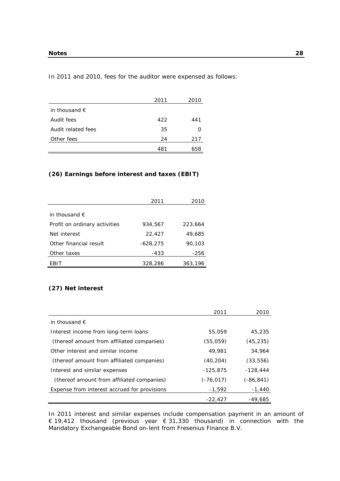In 2011 and 2010, fees for the auditor were expensed as follows:

|                        | 2011 | 2010 |
|------------------------|------|------|
| in thousand $\epsilon$ |      |      |
| Audit fees             | 422  | 441  |
| Audit related fees     | 35   |      |
| Other fees             | 24   | 217  |
|                        | 481  | 658  |

# **(26) Earnings before interest and taxes (EBIT)**

|                               | 2011       | 2010    |
|-------------------------------|------------|---------|
|                               |            |         |
| in thousand $\epsilon$        |            |         |
| Profit on ordinary activities | 934,567    | 223,664 |
| Net interest                  | 22,427     | 49,685  |
| Other financial result        | $-628,275$ | 90,103  |
| Other taxes                   | -433       | $-256$  |
| FBIT                          | 328,286    | 363,196 |

#### **(27) Net interest**

|                                              | 2011         | 2010       |
|----------------------------------------------|--------------|------------|
| in thousand $\epsilon$                       |              |            |
| Interest income from long-term loans         | 55,059       | 45,235     |
| (thereof amount from affiliated companies)   | (55,059)     | (45, 235)  |
| Other interest and similar income            | 49,981       | 34,964     |
| (thereof amount from affiliated companies)   | (40, 204)    | (33, 556)  |
| Interest and similar expenses                | $-125.875$   | $-128.444$ |
| (thereof amount from affiliated companies)   | $(-76, 017)$ | (-86,841)  |
| Expense from interest accrued for provisions | $-1,592$     | $-1,440$   |
|                                              | $-22.427$    | $-49.685$  |

In 2011 interest and similar expenses include compensation payment in an amount of € 19,412 thousand (previous year € 31,330 thousand) in connection with the Mandatory Exchangeable Bond on-lent from Fresenius Finance B.V.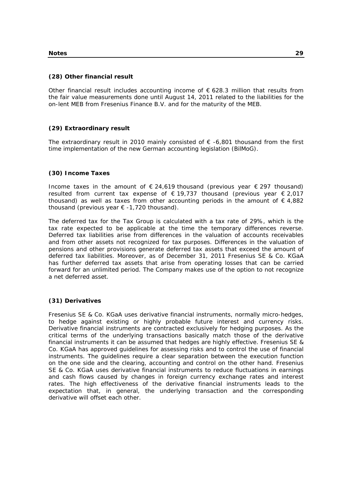#### **(28) Other financial result**

Other financial result includes accounting income of  $\epsilon$  628.3 million that results from the fair value measurements done until August 14, 2011 related to the liabilities for the on-lent MEB from Fresenius Finance B.V. and for the maturity of the MEB.

# **(29) Extraordinary result**

The extraordinary result in 2010 mainly consisted of  $\epsilon$  -6,801 thousand from the first time implementation of the new German accounting legislation (BilMoG).

#### **(30) Income Taxes**

Income taxes in the amount of  $\epsilon$  24,619 thousand (previous year  $\epsilon$  297 thousand) resulted from current tax expense of  $\epsilon$  19,737 thousand (previous year  $\epsilon$  2,017 thousand) as well as taxes from other accounting periods in the amount of  $\epsilon$  4,882 thousand (previous year  $\epsilon$  -1,720 thousand).

The deferred tax for the Tax Group is calculated with a tax rate of 29%, which is the tax rate expected to be applicable at the time the temporary differences reverse. Deferred tax liabilities arise from differences in the valuation of accounts receivables and from other assets not recognized for tax purposes. Differences in the valuation of pensions and other provisions generate deferred tax assets that exceed the amount of deferred tax liabilities. Moreover, as of December 31, 2011 Fresenius SE & Co. KGaA has further deferred tax assets that arise from operating losses that can be carried forward for an unlimited period. The Company makes use of the option to not recognize a net deferred asset.

# **(31) Derivatives**

Fresenius SE & Co. KGaA uses derivative financial instruments, normally micro-hedges, to hedge against existing or highly probable future interest and currency risks. Derivative financial instruments are contracted exclusively for hedging purposes. As the critical terms of the underlying transactions basically match those of the derivative financial instruments it can be assumed that hedges are highly effective. Fresenius SE & Co. KGaA has approved guidelines for assessing risks and to control the use of financial instruments. The guidelines require a clear separation between the execution function on the one side and the clearing, accounting and control on the other hand. Fresenius SE & Co. KGaA uses derivative financial instruments to reduce fluctuations in earnings and cash flows caused by changes in foreign currency exchange rates and interest rates. The high effectiveness of the derivative financial instruments leads to the expectation that, in general, the underlying transaction and the corresponding derivative will offset each other.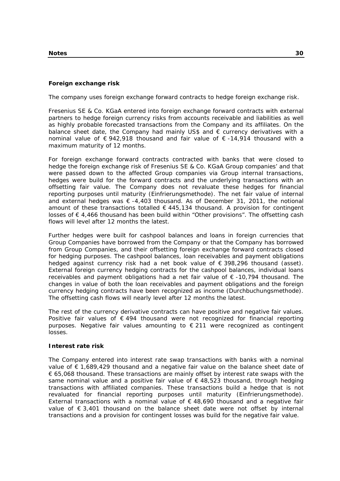#### **Foreign exchange risk**

The company uses foreign exchange forward contracts to hedge foreign exchange risk.

Fresenius SE & Co. KGaA entered into foreign exchange forward contracts with external partners to hedge foreign currency risks from accounts receivable and liabilities as well as highly probable forecasted transactions from the Company and its affiliates. On the balance sheet date, the Company had mainly US\$ and € currency derivatives with a nominal value of € 942,918 thousand and fair value of € -14,914 thousand with a maximum maturity of 12 months.

For foreign exchange forward contracts contracted with banks that were closed to hedge the foreign exchange risk of Fresenius SE & Co. KGaA Group companies' and that were passed down to the affected Group companies via Group internal transactions, hedges were build for the forward contracts and the underlying transactions with an offsetting fair value. The Company does not revaluate these hedges for financial reporting purposes until maturity (Einfrierungsmethode). The net fair value of internal and external hedges was  $\epsilon$  -4,403 thousand. As of December 31, 2011, the notional amount of these transactions totalled  $\epsilon$  445,134 thousand. A provision for contingent losses of € 4,466 thousand has been build within "Other provisions". The offsetting cash flows will level after 12 months the latest.

Further hedges were built for cashpool balances and loans in foreign currencies that Group Companies have borrowed from the Company or that the Company has borrowed from Group Companies, and their offsetting foreign exchange forward contracts closed for hedging purposes. The cashpool balances, loan receivables and payment obligations hedged against currency risk had a net book value of € 398,296 thousand (asset). External foreign currency hedging contracts for the cashpool balances, individual loans receivables and payment obligations had a net fair value of  $\epsilon$  -10,794 thousand. The changes in value of both the loan receivables and payment obligations and the foreign currency hedging contracts have been recognized as income (Durchbuchungsmethode). The offsetting cash flows will nearly level after 12 months the latest.

The rest of the currency derivative contracts can have positive and negative fair values. Positive fair values of  $\epsilon$  494 thousand were not recognized for financial reporting purposes. Negative fair values amounting to € 211 were recognized as contingent losses.

#### **Interest rate risk**

The Company entered into interest rate swap transactions with banks with a nominal value of € 1,689,429 thousand and a negative fair value on the balance sheet date of € 65,068 thousand. These transactions are mainly offset by interest rate swaps with the same nominal value and a positive fair value of  $\epsilon$  48,523 thousand, through hedging transactions with affiliated companies. These transactions build a hedge that is not revaluated for financial reporting purposes until maturity (Einfrierungsmethode). External transactions with a nominal value of  $\epsilon$  48,690 thousand and a negative fair value of  $\epsilon$  3,401 thousand on the balance sheet date were not offset by internal transactions and a provision for contingent losses was build for the negative fair value.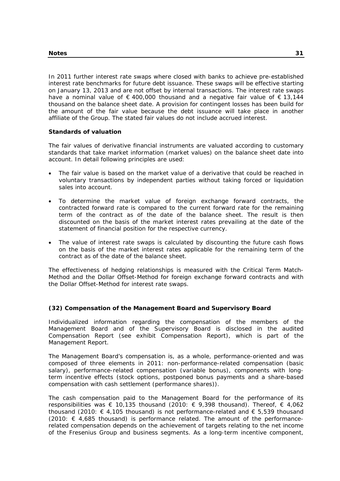In 2011 further interest rate swaps where closed with banks to achieve pre-established interest rate benchmarks for future debt issuance. These swaps will be effective starting on January 13, 2013 and are not offset by internal transactions. The interest rate swaps have a nominal value of  $\epsilon$  400,000 thousand and a negative fair value of  $\epsilon$  13,144 thousand on the balance sheet date. A provision for contingent losses has been build for the amount of the fair value because the debt issuance will take place in another affiliate of the Group. The stated fair values do not include accrued interest.

#### **Standards of valuation**

The fair values of derivative financial instruments are valuated according to customary standards that take market information (market values) on the balance sheet date into account. In detail following principles are used:

- The fair value is based on the market value of a derivative that could be reached in voluntary transactions by independent parties without taking forced or liquidation sales into account.
- To determine the market value of foreign exchange forward contracts, the contracted forward rate is compared to the current forward rate for the remaining term of the contract as of the date of the balance sheet. The result is then discounted on the basis of the market interest rates prevailing at the date of the statement of financial position for the respective currency.
- The value of interest rate swaps is calculated by discounting the future cash flows on the basis of the market interest rates applicable for the remaining term of the contract as of the date of the balance sheet.

The effectiveness of hedging relationships is measured with the Critical Term Match-Method and the Dollar Offset-Method for foreign exchange forward contracts and with the Dollar Offset-Method for interest rate swaps.

# **(32) Compensation of the Management Board and Supervisory Board**

Individualized information regarding the compensation of the members of the Management Board and of the Supervisory Board is disclosed in the audited Compensation Report (see exhibit Compensation Report), which is part of the Management Report.

The Management Board's compensation is, as a whole, performance-oriented and was composed of three elements in 2011: non-performance-related compensation (basic salary), performance-related compensation (variable bonus), components with longterm incentive effects (stock options, postponed bonus payments and a share-based compensation with cash settlement (performance shares)).

The cash compensation paid to the Management Board for the performance of its responsibilities was  $\epsilon$  10,135 thousand (2010:  $\epsilon$  9,398 thousand). Thereof,  $\epsilon$  4,062 thousand (2010:  $\epsilon$  4,105 thousand) is not performance-related and  $\epsilon$  5,539 thousand (2010: € 4,685 thousand) is performance related. The amount of the performancerelated compensation depends on the achievement of targets relating to the net income of the Fresenius Group and business segments. As a long-term incentive component,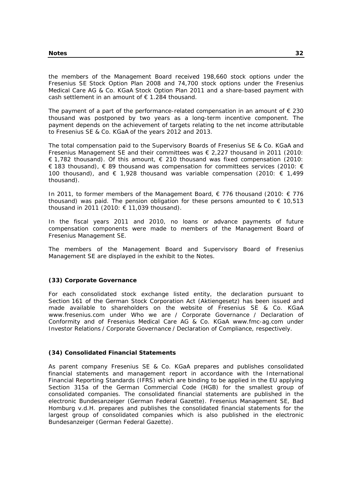the members of the Management Board received 198,660 stock options under the Fresenius SE Stock Option Plan 2008 and 74,700 stock options under the Fresenius Medical Care AG & Co. KGaA Stock Option Plan 2011 and a share-based payment with cash settlement in an amount of  $\epsilon$  1.284 thousand.

The payment of a part of the performance-related compensation in an amount of  $\epsilon$  230 thousand was postponed by two years as a long-term incentive component. The payment depends on the achievement of targets relating to the net income attributable to Fresenius SE & Co. KGaA of the years 2012 and 2013.

The total compensation paid to the Supervisory Boards of Fresenius SE & Co. KGaA and Fresenius Management SE and their committees was  $\epsilon$  2,227 thousand in 2011 (2010: € 1,782 thousand). Of this amount, € 210 thousand was fixed compensation (2010: € 183 thousand), € 89 thousand was compensation for committees services (2010: € 100 thousand), and  $\epsilon$  1,928 thousand was variable compensation (2010:  $\epsilon$  1,499 thousand).

In 2011, to former members of the Management Board, € 776 thousand (2010: € 776 thousand) was paid. The pension obligation for these persons amounted to  $\epsilon$  10,513 thousand in 2011 (2010: € 11,039 thousand).

In the fiscal years 2011 and 2010, no loans or advance payments of future compensation components were made to members of the Management Board of Fresenius Management SE.

The members of the Management Board and Supervisory Board of Fresenius Management SE are displayed in the exhibit to the Notes.

# **(33) Corporate Governance**

For each consolidated stock exchange listed entity, the declaration pursuant to Section 161 of the German Stock Corporation Act (Aktiengesetz) has been issued and made available to shareholders on the website of Fresenius SE & Co. KGaA www.fresenius.com under Who we are / Corporate Governance / Declaration of Conformity and of Fresenius Medical Care AG & Co. KGaA www.fmc-ag.com under Investor Relations / Corporate Governance / Declaration of Compliance, respectively.

#### **(34) Consolidated Financial Statements**

As parent company Fresenius SE & Co. KGaA prepares and publishes consolidated financial statements and management report in accordance with the International Financial Reporting Standards (IFRS) which are binding to be applied in the EU applying Section 315a of the German Commercial Code (HGB) for the smallest group of consolidated companies. The consolidated financial statements are published in the electronic Bundesanzeiger (German Federal Gazette). Fresenius Management SE, Bad Homburg v.d.H. prepares and publishes the consolidated financial statements for the largest group of consolidated companies which is also published in the electronic Bundesanzeiger (German Federal Gazette).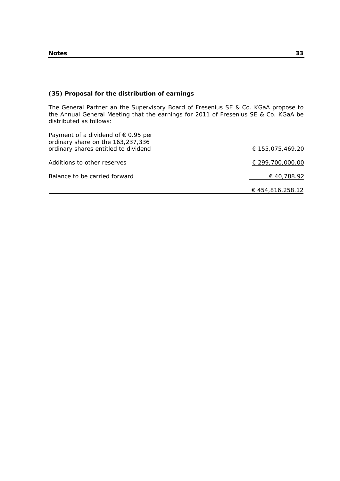## **(35) Proposal for the distribution of earnings**

The General Partner an the Supervisory Board of Fresenius SE & Co. KGaA propose to the Annual General Meeting that the earnings for 2011 of Fresenius SE & Co. KGaA be distributed as follows:

| Payment of a dividend of $\epsilon$ 0.95 per<br>ordinary share on the 163,237,336 |                  |
|-----------------------------------------------------------------------------------|------------------|
| ordinary shares entitled to dividend                                              | € 155,075,469.20 |
| Additions to other reserves                                                       | € 299,700,000.00 |
| Balance to be carried forward                                                     | € 40,788.92      |
|                                                                                   | € 454.816.258.12 |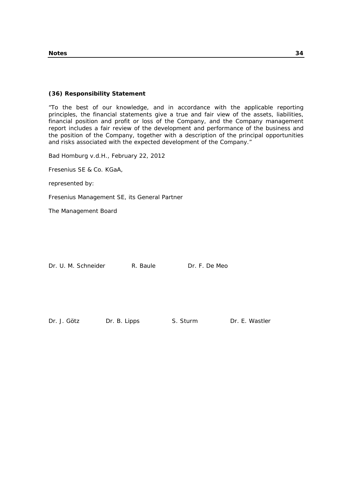## **(36) Responsibility Statement**

"To the best of our knowledge, and in accordance with the applicable reporting principles, the financial statements give a true and fair view of the assets, liabilities, financial position and profit or loss of the Company, and the Company management report includes a fair review of the development and performance of the business and the position of the Company, together with a description of the principal opportunities and risks associated with the expected development of the Company."

Bad Homburg v.d.H., February 22, 2012

Fresenius SE & Co. KGaA,

represented by:

Fresenius Management SE, its General Partner

The Management Board

Dr. U. M. Schneider R. Baule Dr. F. De Meo

Dr. J. Götz Dr. B. Lipps S. Sturm Dr. E. Wastler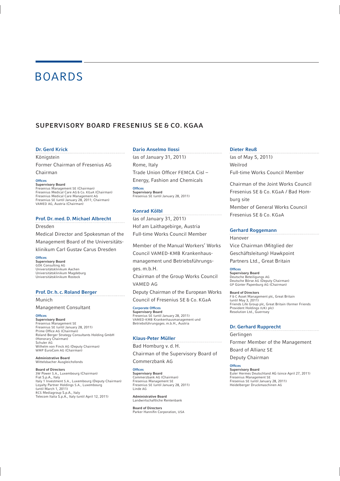# BOARDS

## SUPERVISORY BOARD FRESENIUS SE & CO. KGAA

#### Dr. Gerd Krick

Königstein

Former Chairman of Fresenius AG Chairman

Offices

#### Supervisory Board

Fresenius Management SE (Chairman) Fresenius Medical Care AG & Co. KGaA (Chairman) Fresenius Medical Care Management AG Fresenius SE (until January 28, 2011; Chairman) VAMED AG, Austria (Chairman)

#### Prof. Dr. med. D. Michael Albrecht

Dresden

Medical Director and Spokesman of the Management Board of the Universitäts-

klinikum Carl Gustav Carus Dresden

**Offices** Supervisory Board GÖK Consulting AG Universitätsklinikum Aachen Universitätsklinikum Magdeburg Universitätsklinikum Rostock

#### Prof. Dr. h. c. Roland Berger

Munich

Management Consultant

#### **Offices**

Supervisory Board Fresenius Management SE Fresenius SE (until January 28, 2011) Prime Office AG (Chairman)<br>Roland Berger Strategy Consultants Holding GmbH (Honorary Chairman) Schuler AG Wilhelm von Finck AG (Deputy Chairman) WMP EuroCom AG (Chairman)

#### Administrative Board Wittelsbacher Ausgleichsfonds

Board of Directors 3W Power S.A., Luxembourg (Chairman) Fiat S.p.A., Italy Italy 1 Investment S.A., Luxembourg (Deputy Chairman) Loyalty Partner Holdings S.A., Luxembourg (until March 1, 2011) RCS Mediagroup S.p.A., Italy Telecom Italia S.p.A., Italy (until April 12, 2011)

#### Dario Anselmo Ilossi

(as of January 31, 2011) Rome, Italy Trade Union Officer FEMCA Cisl -Energy, Fashion and Chemicals

**Offices** Supervisory Board Fresenius SE (until January 28, 2011)

#### Konrad Kölbl

(as of January 31, 2011) Hof am Laithagebirge, Austria Full-time Works Council Member

Member of the Manual Workers' Works Council VAMED-KMB Krankenhausmanagement und Betriebsführungs-

ges. m.b.H.

Chairman of the Group Works Council VAMED AG

Deputy Chairman of the European Works Council of Fresenius SE & Co. KGaA

Corporate Offices Supervisory Board Fresenius SE (until January 28, 2011) VAMED-KMB Krankenhausmanagement und Betriebsführungsges. m.b.H., Austria

#### Klaus-Peter Müller

Bad Homburg v. d. H. Chairman of the Supervisory Board of

Commerzbank AG

Offices **Supervisory Board** Commerzbank AG (Chairman) Fresenius Management SE Fresenius SE (until January 28, 2011) Linde AG

Administrative Board Landwirtschaftliche Rentenbank

Board of Directors Parker Hannifin Corporation, USA

#### Dieter Reuß

(as of May 5, 2011) Weilrod Full-time Works Council Member

Chairman of the Joint Works Council Fresenius SE & Co. KGaA / Bad Homburg site Member of General Works Council Fresenius SE & Co. KGaA

#### Gerhard Roggemann

Hanover Vice Chairman (Mitglied der Geschäftsleitung) Hawkpoint

Partners Ltd., Great Britain

**Offices** Supervisory Board Deutsche Beteiligungs AG Deutsche Börse AG (Deputy Chairman) GP Günter Papenburg AG (Chairman)

Board of Directors F & C Asset Management plc, Great Britain (until May 3, 2011) Friends Life Group plc, Great Britain (former Friends Provident Holdings (UK) plc) Resolution Ltd., Guernsey

#### Dr. Gerhard Rupprecht

Gerlingen

Former Member of the Management

Board of Allianz SE

Deputy Chairman

**Offices** Supervisory Board Euler Hermes Deutschland AG (since April 27, 2011) Fresenius Management SE Fresenius SE (until January 28, 2011) Heidelberger Druckmaschinen AG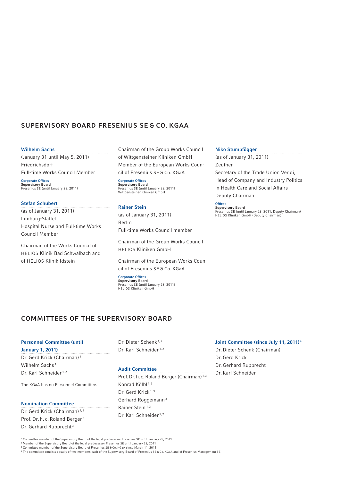## SUPERVISORY BOARD FRESENIUS SE & CO. KGAA

. . . . . . . . . . . . . . . . . . .

#### Wilhelm Sachs

(January 31 until May 5, 2011) Friedrichsdorf Full-time Works Council Member

Corporate Offices Supervisory Board Fresenius SE (until January 28, 2011)

#### Stefan Schubert

(as of January 31, 2011) Limburg-Staffel Hospital Nurse and Full-time Works Council Member

Chairman of the Works Council of HELIOS Klinik Bad Schwalbach and of HELIOS Klinik Idstein

Chairman of the Group Works Council of Wittgensteiner Kliniken GmbH Member of the European Works Council of Fresenius SE & Co. KGaA

Corporate Offices Supervisory Board Fresenius SE (until January 28, 2011) Wittgensteiner Kliniken GmbH

#### Rainer Stein

(as of January 31, 2011) Berlin Full-time Works Council member

Chairman of the Group Works Council HELIOS Kliniken GmbH

Chairman of the European Works Council of Fresenius SE & Co. KGaA

Corporate Offices Supervisory Board Fresenius SE (until January 28, 2011) HELIOS Kliniken GmbH

#### Niko Stumpfögger

(as of January 31, 2011) Zeuthen Secretary of the Trade Union Ver.di, Head of Company and Industry Politics in Health Care and Social Affairs Deputy Chairman

## **Offices**

Supervisory Board Fresenius SE (until January 28, 2011; Deputy Chairman) HELIOS Kliniken GmbH (Deputy Chairman)

## COMMITTEES OF THE SUPERVISORY BOARD

#### Personnel Committee (until

January 1, 2011) . . . . . . . . . . . . . . . . . Dr. Gerd Krick (Chairman) 1 Wilhelm Sachs<sup>1</sup> Dr. Karl Schneider<sup>1,2</sup>

The KGaA has no Personnel Committee.

#### Nomination Committee

Dr. Gerd Krick (Chairman)<sup>1,3</sup> Prof. Dr. h. c. Roland Berger 3 Dr. Gerhard Rupprecht<sup>3</sup>

Dr. Dieter Schenk 1, <sup>2</sup> Dr. Karl Schneider<sup>1,2</sup>

#### Audit Committee

Prof. Dr. h. c. Roland Berger (Chairman)<sup>1,3</sup> Konrad Kölbl<sup>1,3</sup> Dr. Gerd Krick<sup>1,3</sup> Gerhard Roggemann 3 Rainer Stein<sup>1,3</sup> Dr. Karl Schneider<sup>1,2</sup>

## Joint Committee (since July 11, 2011) 4

Dr. Dieter Schenk (Chairman) Dr. Gerd Krick Dr. Gerhard Rupprecht Dr. Karl Schneider

1 Committee member of the Supervisory Board of the legal predecessor Fresenius SE until January 28, 2011

<sup>2</sup> Member of the Supervisory Board of the legal predecessor Fresenius SE until January 28, 2011<br><sup>3</sup> Committee member of the Supervisory Board of Fresenius SE & Co. KGaA since March 11, 2011

4 The committee consists equally of two members each of the Supervisory Board of Fresenius SE & Co. KGaA and of Fresenius Management SE.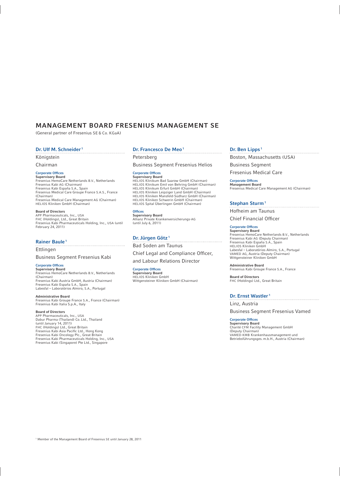## MANAGEMENT BOARD FRESENIUS MANAGEMENT SE

(General partner of Fresenius SE & Co. KGaA)

#### Dr. Ulf M. Schneider 1

Königstein

Chairman

#### Corporate Offices

**Supervisory Board**<br>Fresenius HemoCare Netherlands B.V., Netherlands<br>Fresenius Kabi AG (Chairman) Fresenius Kabi España S.A., Spain Fresenius Medical Care Groupe France S.A.S., France (Chairman) Fresenius Medical Care Management AG (Chairman) HELIOS Kliniken GmbH (Chairman)

#### Board of Directors

APP Pharmaceuticals, Inc., USA FHC (Holdings), Ltd., Great Britain Fresenius Kabi Pharmaceuticals Holding, Inc., USA (until February 24, 2011)

#### Rainer Baule<sup>1</sup>

Ettlingen

Business Segment Fresenius Kabi

#### Corporate Offices

Supervisory Board Fresenius HemoCare Netherlands B.V., Netherlands (Chairman) Fresenius Kabi Austria GmbH, Austria (Chairman) Fresenius Kabi España S.A., Spain Labesfal – Laboratórios Almiro, S.A., Portugal

#### Administrative Board

Fresenius Kabi Groupe France S.A., France (Chairman) Fresenius Kabi Italia S.p.A., Italy

#### Board of Directors

APP Pharmaceuticals, Inc., USA Dabur Pharma (Thailand) Co. Ltd., Thailand (until January 14, 2011) FHC (Holdings) Ltd., Great Britain Fresenius Kabi Asia Pacifi c Ltd., Hong Kong Fresenius Kabi Oncology Plc., Great Britain Fresenius Kabi Pharmaceuticals Holding, Inc., USA Fresenius Kabi (Singapore) Pte Ltd., Singapore

#### Dr. Francesco De Meo<sup>1</sup>

Petersberg

Business Segment Fresenius Helios

#### Corporate Offices

**Supervisory Board**<br>HELIOS Klinikum Bad Saarow GmbH (Chairman)<br>HELIOS Klinikum Emil von Behring GmbH (Chairman) HELIOS Klinikum Erfurt GmbH (Chairman) HELIOS Kliniken Leipziger Land GmbH (Chairman) HELIOS Kliniken Mansfeld-Südharz GmbH (Chairman) HELIOS Kliniken Schwerin GmbH (Chairman) HELIOS Spital Überlingen GmbH (Chairman)

**Offices** Supervisory Board Allianz Private Krankenversicherungs-AG (until July 6, 2011)

#### Dr. Jürgen Götz<sup>1</sup>

Bad Soden am Taunus

Chief Legal and Compliance Officer,

and Labour Relations Director

#### Corporate Offices

Supervisory Board HELIOS Kliniken GmbH Wittgensteiner Kliniken GmbH (Chairman)

## Dr. Ben Lipps<sup>1</sup>

Boston, Massachusetts (USA) Business Segment

Fresenius Medical Care

#### Corporate Offices Management Board

Fresenius Medical Care Management AG (Chairman)

#### Stephan Sturm<sup>1</sup>

Hofheim am Taunus

Chief Financial Officer

#### Corporate Offices Supervisory Board

Fresenius HemoCare Netherlands B.V., Netherlands Fresenius Kabi AG (Deputy Chairman) Fresenius Kabi España S.A., Spain HELIOS Kliniken GmbH Labesfal – Laboratórios Almiro, S.A., Portugal VAMED AG, Austria (Deputy Chairman) Wittgensteiner Kliniken GmbH

Administrative Board Fresenius Kabi Groupe France S.A., France

Board of Directors FHC (Holdings) Ltd., Great Britain

#### Dr. Ernst Wastler<sup>1</sup>

Linz, Austria

Business Segment Fresenius Vamed

#### Corporate Offices

Supervisory Board Charité CFM Facility Management GmbH (Deputy Chairman) VAMED-KMB Krankenhausmanagement und Betriebsführungsges. m.b.H., Austria (Chairman)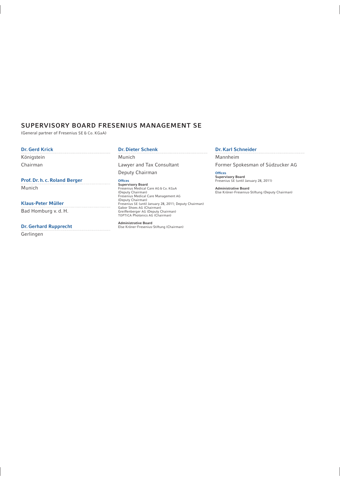## SUPERVISORY BOARD FRESENIUS MANAGEMENT SE

(General partner of Fresenius SE & Co. KGaA)

. . . . . . . . . . . . . . . .

## Dr. Gerd Krick

Königstein Chairman

### Prof. Dr. h. c. Roland Berger

Munich

#### Klaus-Peter Müller

Bad Homburg v. d. H.

#### Dr. Gerhard Rupprecht

Gerlingen

## Dr. Dieter Schenk

Munich Lawyer and Tax Consultant Deputy Chairman

Offices<br>Supervisory Board<br>Fresenius Medical Care AG & Co. KGaA<br>(Deputy Chairman)<br>Fresenius Medical Care Management AG (Deputy Chairman) Fresenius SE (until January 28, 2011; Deputy Chairman) Gabor Shoes AG (Chairman) Greiffenberger AG (Deputy Chairman) TOPTICA Photonics AG (Chairman)

Administrative Board Else Kröner-Fresenius-Stiftung (Chairman)

#### Dr. Karl Schneider

Mannheim Former Spokesman of Südzucker AG

**Offices** Supervisory Board Fresenius SE (until January 28, 2011)

Administrative Board Else Kröner-Fresenius-Stiftung (Deputy Chairman)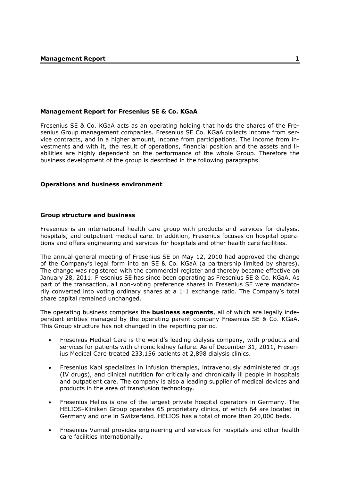## **Management Report for Fresenius SE & Co. KGaA**

Fresenius SE & Co. KGaA acts as an operating holding that holds the shares of the Fresenius Group management companies. Fresenius SE Co. KGaA collects income from service contracts, and in a higher amount, income from participations. The income from investments and with it, the result of operations, financial position and the assets and liabilities are highly dependent on the performance of the whole Group. Therefore the business development of the group is described in the following paragraphs.

#### **Operations and business environment**

### **Group structure and business**

Fresenius is an international health care group with products and services for dialysis, hospitals, and outpatient medical care. In addition, Fresenius focuses on hospital operations and offers engineering and services for hospitals and other health care facilities.

The annual general meeting of Fresenius SE on May 12, 2010 had approved the change of the Company's legal form into an SE & Co. KGaA (a partnership limited by shares). The change was registered with the commercial register and thereby became effective on January 28, 2011. Fresenius SE has since been operating as Fresenius SE & Co. KGaA. As part of the transaction, all non-voting preference shares in Fresenius SE were mandatorily converted into voting ordinary shares at a 1:1 exchange ratio. The Company's total share capital remained unchanged.

The operating business comprises the **business segments**, all of which are legally independent entities managed by the operating parent company Fresenius SE & Co. KGaA. This Group structure has not changed in the reporting period.

- Fresenius Medical Care is the world's leading dialysis company, with products and services for patients with chronic kidney failure. As of December 31, 2011, Fresenius Medical Care treated 233,156 patients at 2,898 dialysis clinics.
- Fresenius Kabi specializes in infusion therapies, intravenously administered drugs (IV drugs), and clinical nutrition for critically and chronically ill people in hospitals and outpatient care. The company is also a leading supplier of medical devices and products in the area of transfusion technology.
- Fresenius Helios is one of the largest private hospital operators in Germany. The HELIOS-Kliniken Group operates 65 proprietary clinics, of which 64 are located in Germany and one in Switzerland. HELIOS has a total of more than 20,000 beds.
- Fresenius Vamed provides engineering and services for hospitals and other health care facilities internationally.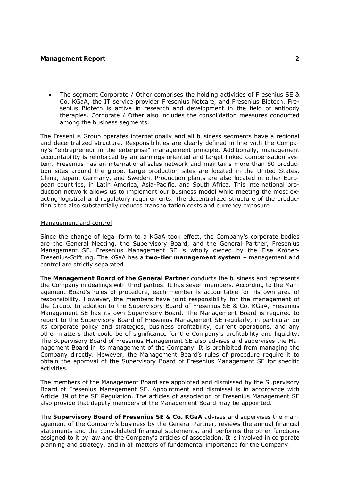• The segment Corporate / Other comprises the holding activities of Fresenius SE & Co. KGaA, the IT service provider Fresenius Netcare, and Fresenius Biotech. Fresenius Biotech is active in research and development in the field of antibody therapies. Corporate / Other also includes the consolidation measures conducted among the business segments.

The Fresenius Group operates internationally and all business segments have a regional and decentralized structure. Responsibilities are clearly defined in line with the Company's "entrepreneur in the enterprise" management principle. Additionally, management accountability is reinforced by an earnings-oriented and target-linked compensation system. Fresenius has an international sales network and maintains more than 80 production sites around the globe. Large production sites are located in the United States, China, Japan, Germany, and Sweden. Production plants are also located in other European countries, in Latin America, Asia-Pacific, and South Africa. This international production network allows us to implement our business model while meeting the most exacting logistical and regulatory requirements. The decentralized structure of the production sites also substantially reduces transportation costs and currency exposure.

### Management and control

Since the change of legal form to a KGaA took effect, the Company's corporate bodies are the General Meeting, the Supervisory Board, and the General Partner, Fresenius Management SE. Fresenius Management SE is wholly owned by the Else Kröner-Fresenius-Stiftung. The KGaA has a **two-tier management system** – management and control are strictly separated.

The **Management Board of the General Partner** conducts the business and represents the Company in dealings with third parties. It has seven members. According to the Management Board's rules of procedure, each member is accountable for his own area of responsibility. However, the members have joint responsibility for the management of the Group. In addition to the Supervisory Board of Fresenius SE & Co. KGaA, Fresenius Management SE has its own Supervisory Board. The Management Board is required to report to the Supervisory Board of Fresenius Management SE regularly, in particular on its corporate policy and strategies, business profitability, current operations, and any other matters that could be of significance for the Company's profitability and liquidity. The Supervisory Board of Fresenius Management SE also advises and supervises the Management Board in its management of the Company. It is prohibited from managing the Company directly. However, the Management Board's rules of procedure require it to obtain the approval of the Supervisory Board of Fresenius Management SE for specific activities.

The members of the Management Board are appointed and dismissed by the Supervisory Board of Fresenius Management SE. Appointment and dismissal is in accordance with Article 39 of the SE Regulation. The articles of association of Fresenius Management SE also provide that deputy members of the Management Board may be appointed.

The **Supervisory Board of Fresenius SE & Co. KGaA** advises and supervises the management of the Company's business by the General Partner, reviews the annual financial statements and the consolidated financial statements, and performs the other functions assigned to it by law and the Company's articles of association. It is involved in corporate planning and strategy, and in all matters of fundamental importance for the Company.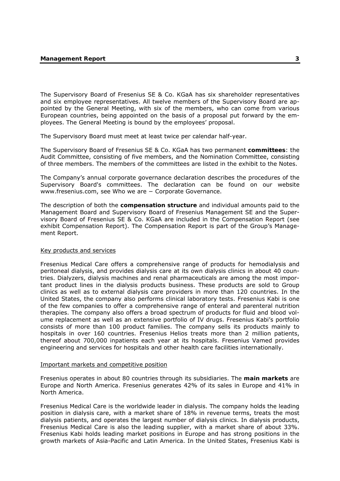The Supervisory Board of Fresenius SE & Co. KGaA has six shareholder representatives and six employee representatives. All twelve members of the Supervisory Board are appointed by the General Meeting, with six of the members, who can come from various European countries, being appointed on the basis of a proposal put forward by the employees. The General Meeting is bound by the employees' proposal.

The Supervisory Board must meet at least twice per calendar half-year.

The Supervisory Board of Fresenius SE & Co. KGaA has two permanent **committees**: the Audit Committee, consisting of five members, and the Nomination Committee, consisting of three members. The members of the committees are listed in the exhibit to the Notes.

The Company's annual corporate governance declaration describes the procedures of the Supervisory Board's committees. The declaration can be found on our website www.fresenius.com, see Who we are − Corporate Governance.

The description of both the **compensation structure** and individual amounts paid to the Management Board and Supervisory Board of Fresenius Management SE and the Supervisory Board of Fresenius SE & Co. KGaA are included in the Compensation Report (see exhibit Compensation Report). The Compensation Report is part of the Group's Management Report.

#### Key products and services

Fresenius Medical Care offers a comprehensive range of products for hemodialysis and peritoneal dialysis, and provides dialysis care at its own dialysis clinics in about 40 countries. Dialyzers, dialysis machines and renal pharmaceuticals are among the most important product lines in the dialysis products business. These products are sold to Group clinics as well as to external dialysis care providers in more than 120 countries. In the United States, the company also performs clinical laboratory tests. Fresenius Kabi is one of the few companies to offer a comprehensive range of enteral and parenteral nutrition therapies. The company also offers a broad spectrum of products for fluid and blood volume replacement as well as an extensive portfolio of IV drugs. Fresenius Kabi's portfolio consists of more than 100 product families. The company sells its products mainly to hospitals in over 160 countries. Fresenius Helios treats more than 2 million patients, thereof about 700,000 inpatients each year at its hospitals. Fresenius Vamed provides engineering and services for hospitals and other health care facilities internationally.

#### Important markets and competitive position

Fresenius operates in about 80 countries through its subsidiaries. The **main markets** are Europe and North America. Fresenius generates 42% of its sales in Europe and 41% in North America.

Fresenius Medical Care is the worldwide leader in dialysis. The company holds the leading position in dialysis care, with a market share of 18% in revenue terms, treats the most dialysis patients, and operates the largest number of dialysis clinics. In dialysis products, Fresenius Medical Care is also the leading supplier, with a market share of about 33%. Fresenius Kabi holds leading market positions in Europe and has strong positions in the growth markets of Asia-Pacific and Latin America. In the United States, Fresenius Kabi is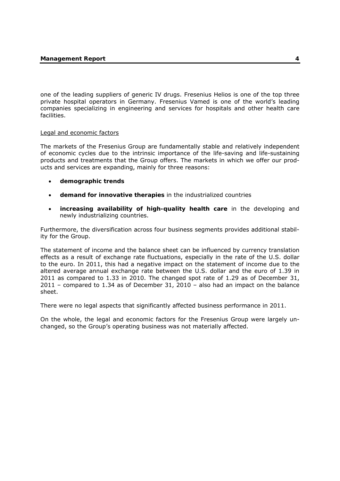one of the leading suppliers of generic IV drugs. Fresenius Helios is one of the top three private hospital operators in Germany. Fresenius Vamed is one of the world's leading companies specializing in engineering and services for hospitals and other health care facilities.

## Legal and economic factors

The markets of the Fresenius Group are fundamentally stable and relatively independent of economic cycles due to the intrinsic importance of the life-saving and life-sustaining products and treatments that the Group offers. The markets in which we offer our products and services are expanding, mainly for three reasons:

- **demographic trends**
- **demand for innovative therapies** in the industrialized countries
- **increasing availability of high-quality health care** in the developing and newly industrializing countries.

Furthermore, the diversification across four business segments provides additional stability for the Group.

The statement of income and the balance sheet can be influenced by currency translation effects as a result of exchange rate fluctuations, especially in the rate of the U.S. dollar to the euro. In 2011, this had a negative impact on the statement of income due to the altered average annual exchange rate between the U.S. dollar and the euro of 1.39 in 2011 as compared to 1.33 in 2010. The changed spot rate of 1.29 as of December 31, 2011 – compared to 1.34 as of December 31, 2010 – also had an impact on the balance sheet.

There were no legal aspects that significantly affected business performance in 2011.

On the whole, the legal and economic factors for the Fresenius Group were largely unchanged, so the Group's operating business was not materially affected.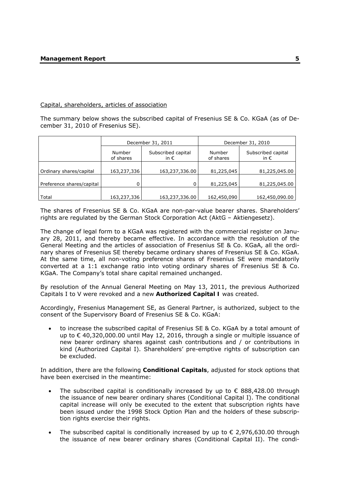#### Capital, shareholders, articles of association

The summary below shows the subscribed capital of Fresenius SE & Co. KGaA (as of December 31, 2010 of Fresenius SE).

|                           | December 31, 2011   |                                     | December 31, 2010   |                                     |
|---------------------------|---------------------|-------------------------------------|---------------------|-------------------------------------|
|                           | Number<br>of shares | Subscribed capital<br>in $\epsilon$ | Number<br>of shares | Subscribed capital<br>in $\epsilon$ |
| Ordinary shares/capital   | 163,237,336         | 163,237,336.00                      | 81,225,045          | 81,225,045.00                       |
| Preference shares/capital | 0                   | 0                                   | 81,225,045          | 81,225,045.00                       |
| Total                     | 163,237,336         | 163,237,336.00                      | 162,450,090         | 162,450,090.00                      |

The shares of Fresenius SE & Co. KGaA are non-par-value bearer shares. Shareholders' rights are regulated by the German Stock Corporation Act (AktG – Aktiengesetz).

The change of legal form to a KGaA was registered with the commercial register on January 28, 2011, and thereby became effective. In accordance with the resolution of the General Meeting and the articles of association of Fresenius SE & Co. KGaA, all the ordinary shares of Fresenius SE thereby became ordinary shares of Fresenius SE & Co. KGaA. At the same time, all non-voting preference shares of Fresenius SE were mandatorily converted at a 1:1 exchange ratio into voting ordinary shares of Fresenius SE & Co. KGaA. The Company's total share capital remained unchanged.

By resolution of the Annual General Meeting on May 13, 2011, the previous Authorized Capitals I to V were revoked and a new **Authorized Capital I** was created.

Accordingly, Fresenius Management SE, as General Partner, is authorized, subject to the consent of the Supervisory Board of Fresenius SE & Co. KGaA:

• to increase the subscribed capital of Fresenius SE & Co. KGaA by a total amount of up to € 40,320,000.00 until May 12, 2016, through a single or multiple issuance of new bearer ordinary shares against cash contributions and / or contributions in kind (Authorized Capital I). Shareholders' pre-emptive rights of subscription can be excluded.

In addition, there are the following **Conditional Capitals**, adjusted for stock options that have been exercised in the meantime:

- The subscribed capital is conditionally increased by up to  $\epsilon$  888,428.00 through the issuance of new bearer ordinary shares (Conditional Capital I). The conditional capital increase will only be executed to the extent that subscription rights have been issued under the 1998 Stock Option Plan and the holders of these subscription rights exercise their rights.
- The subscribed capital is conditionally increased by up to  $\epsilon$  2,976,630.00 through the issuance of new bearer ordinary shares (Conditional Capital II). The condi-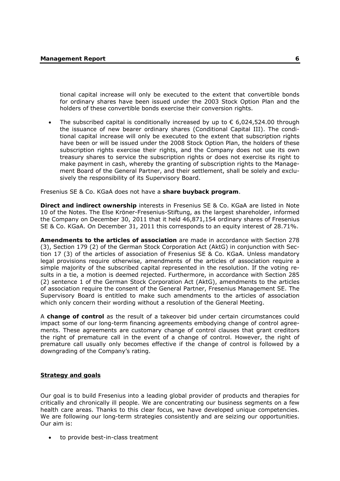tional capital increase will only be executed to the extent that convertible bonds for ordinary shares have been issued under the 2003 Stock Option Plan and the holders of these convertible bonds exercise their conversion rights.

The subscribed capital is conditionally increased by up to  $\epsilon$  6,024,524,00 through the issuance of new bearer ordinary shares (Conditional Capital III). The conditional capital increase will only be executed to the extent that subscription rights have been or will be issued under the 2008 Stock Option Plan, the holders of these subscription rights exercise their rights, and the Company does not use its own treasury shares to service the subscription rights or does not exercise its right to make payment in cash, whereby the granting of subscription rights to the Management Board of the General Partner, and their settlement, shall be solely and exclusively the responsibility of its Supervisory Board.

Fresenius SE & Co. KGaA does not have a **share buyback program**.

**Direct and indirect ownership** interests in Fresenius SE & Co. KGaA are listed in Note 10 of the Notes. The Else Kröner-Fresenius-Stiftung, as the largest shareholder, informed the Company on December 30, 2011 that it held 46,871,154 ordinary shares of Fresenius SE & Co. KGaA. On December 31, 2011 this corresponds to an equity interest of 28.71%.

**Amendments to the articles of association** are made in accordance with Section 278 (3), Section 179 (2) of the German Stock Corporation Act (AktG) in conjunction with Section 17 (3) of the articles of association of Fresenius SE & Co. KGaA. Unless mandatory legal provisions require otherwise, amendments of the articles of association require a simple majority of the subscribed capital represented in the resolution. If the voting results in a tie, a motion is deemed rejected. Furthermore, in accordance with Section 285 (2) sentence 1 of the German Stock Corporation Act (AktG), amendments to the articles of association require the consent of the General Partner, Fresenius Management SE. The Supervisory Board is entitled to make such amendments to the articles of association which only concern their wording without a resolution of the General Meeting.

A **change of control** as the result of a takeover bid under certain circumstances could impact some of our long-term financing agreements embodying change of control agreements. These agreements are customary change of control clauses that grant creditors the right of premature call in the event of a change of control. However, the right of premature call usually only becomes effective if the change of control is followed by a downgrading of the Company's rating.

## **Strategy and goals**

Our goal is to build Fresenius into a leading global provider of products and therapies for critically and chronically ill people. We are concentrating our business segments on a few health care areas. Thanks to this clear focus, we have developed unique competencies. We are following our long-term strategies consistently and are seizing our opportunities. Our aim is:

to provide best-in-class treatment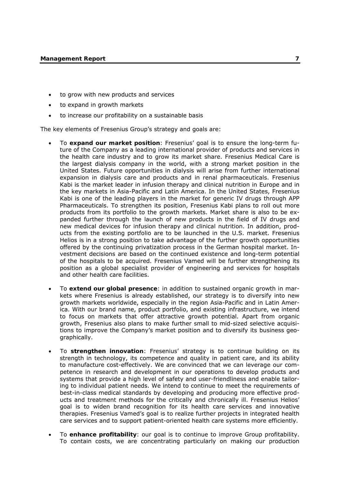- to grow with new products and services
- to expand in growth markets
- to increase our profitability on a sustainable basis

The key elements of Fresenius Group's strategy and goals are:

- To **expand our market position**: Fresenius' goal is to ensure the long-term future of the Company as a leading international provider of products and services in the health care industry and to grow its market share. Fresenius Medical Care is the largest dialysis company in the world, with a strong market position in the United States. Future opportunities in dialysis will arise from further international expansion in dialysis care and products and in renal pharmaceuticals. Fresenius Kabi is the market leader in infusion therapy and clinical nutrition in Europe and in the key markets in Asia-Pacific and Latin America. In the United States, Fresenius Kabi is one of the leading players in the market for generic IV drugs through APP Pharmaceuticals. To strengthen its position, Fresenius Kabi plans to roll out more products from its portfolio to the growth markets. Market share is also to be expanded further through the launch of new products in the field of IV drugs and new medical devices for infusion therapy and clinical nutrition. In addition, products from the existing portfolio are to be launched in the U.S. market. Fresenius Helios is in a strong position to take advantage of the further growth opportunities offered by the continuing privatization process in the German hospital market. Investment decisions are based on the continued existence and long-term potential of the hospitals to be acquired. Fresenius Vamed will be further strengthening its position as a global specialist provider of engineering and services for hospitals and other health care facilities.
- To **extend our global presence**: in addition to sustained organic growth in markets where Fresenius is already established, our strategy is to diversify into new growth markets worldwide, especially in the region Asia-Pacific and in Latin America. With our brand name, product portfolio, and existing infrastructure, we intend to focus on markets that offer attractive growth potential. Apart from organic growth, Fresenius also plans to make further small to mid-sized selective acquisitions to improve the Company's market position and to diversify its business geographically.
- To **strengthen innovation**: Fresenius' strategy is to continue building on its strength in technology, its competence and quality in patient care, and its ability to manufacture cost-effectively. We are convinced that we can leverage our competence in research and development in our operations to develop products and systems that provide a high level of safety and user-friendliness and enable tailoring to individual patient needs. We intend to continue to meet the requirements of best-in-class medical standards by developing and producing more effective products and treatment methods for the critically and chronically ill. Fresenius Helios' goal is to widen brand recognition for its health care services and innovative therapies. Fresenius Vamed's goal is to realize further projects in integrated health care services and to support patient-oriented health care systems more efficiently.
- To **enhance profitability**: our goal is to continue to improve Group profitability. To contain costs, we are concentrating particularly on making our production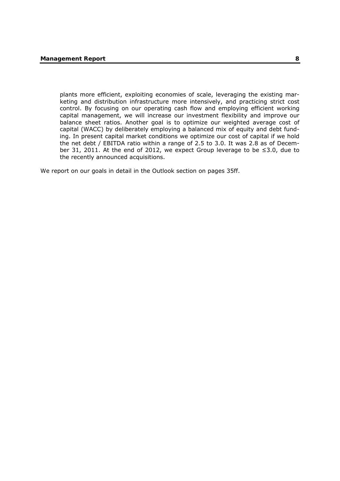plants more efficient, exploiting economies of scale, leveraging the existing marketing and distribution infrastructure more intensively, and practicing strict cost control. By focusing on our operating cash flow and employing efficient working capital management, we will increase our investment flexibility and improve our balance sheet ratios. Another goal is to optimize our weighted average cost of capital (WACC) by deliberately employing a balanced mix of equity and debt funding. In present capital market conditions we optimize our cost of capital if we hold the net debt / EBITDA ratio within a range of 2.5 to 3.0. It was 2.8 as of December 31, 2011. At the end of 2012, we expect Group leverage to be ≤3.0, due to the recently announced acquisitions.

We report on our goals in detail in the Outlook section on pages 35ff.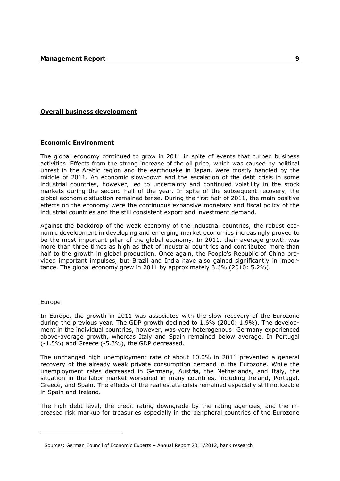## **Overall business development**

#### **Economic Environment**

The global economy continued to grow in 2011 in spite of events that curbed business activities. Effects from the strong increase of the oil price, which was caused by political unrest in the Arabic region and the earthquake in Japan, were mostly handled by the middle of 2011. An economic slow-down and the escalation of the debt crisis in some industrial countries, however, led to uncertainty and continued volatility in the stock markets during the second half of the year. In spite of the subsequent recovery, the global economic situation remained tense. During the first half of 2011, the main positive effects on the economy were the continuous expansive monetary and fiscal policy of the industrial countries and the still consistent export and investment demand.

Against the backdrop of the weak economy of the industrial countries, the robust economic development in developing and emerging market economies increasingly proved to be the most important pillar of the global economy. In 2011, their average growth was more than three times as high as that of industrial countries and contributed more than half to the growth in global production. Once again, the People's Republic of China provided important impulses, but Brazil and India have also gained significantly in importance. The global economy grew in 2011 by approximately 3.6% (2010: 5.2%).

#### Europe

-

In Europe, the growth in 2011 was associated with the slow recovery of the Eurozone during the previous year. The GDP growth declined to 1.6% (2010: 1.9%). The development in the individual countries, however, was very heterogenous: Germany experienced above-average growth, whereas Italy and Spain remained below average. In Portugal (-1.5%) and Greece (-5.3%), the GDP decreased.

The unchanged high unemployment rate of about 10.0% in 2011 prevented a general recovery of the already weak private consumption demand in the Eurozone. While the unemployment rates decreased in Germany, Austria, the Netherlands, and Italy, the situation in the labor market worsened in many countries, including Ireland, Portugal, Greece, and Spain. The effects of the real estate crisis remained especially still noticeable in Spain and Ireland.

The high debt level, the credit rating downgrade by the rating agencies, and the increased risk markup for treasuries especially in the peripheral countries of the Eurozone

Sources: German Council of Economic Experts – Annual Report 2011/2012, bank research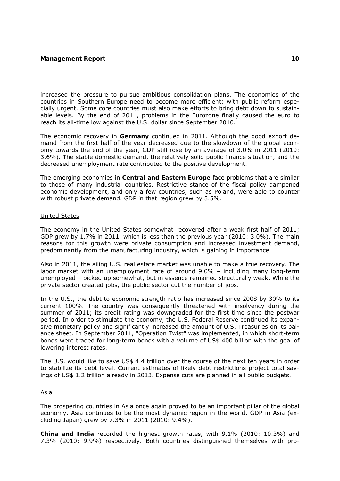increased the pressure to pursue ambitious consolidation plans. The economies of the countries in Southern Europe need to become more efficient; with public reform especially urgent. Some core countries must also make efforts to bring debt down to sustainable levels. By the end of 2011, problems in the Eurozone finally caused the euro to reach its all-time low against the U.S. dollar since September 2010.

The economic recovery in **Germany** continued in 2011. Although the good export demand from the first half of the year decreased due to the slowdown of the global economy towards the end of the year, GDP still rose by an average of 3.0% in 2011 (2010: 3.6%). The stable domestic demand, the relatively solid public finance situation, and the decreased unemployment rate contributed to the positive development.

The emerging economies in **Central and Eastern Europe** face problems that are similar to those of many industrial countries. Restrictive stance of the fiscal policy dampened economic development, and only a few countries, such as Poland, were able to counter with robust private demand. GDP in that region grew by 3.5%.

#### United States

The economy in the United States somewhat recovered after a weak first half of 2011; GDP grew by 1.7% in 2011, which is less than the previous year (2010: 3.0%). The main reasons for this growth were private consumption and increased investment demand, predominantly from the manufacturing industry, which is gaining in importance.

Also in 2011, the ailing U.S. real estate market was unable to make a true recovery. The labor market with an unemployment rate of around 9.0% – including many long-term unemployed – picked up somewhat, but in essence remained structurally weak. While the private sector created jobs, the public sector cut the number of jobs.

In the U.S., the debt to economic strength ratio has increased since 2008 by 30% to its current 100%. The country was consequently threatened with insolvency during the summer of 2011; its credit rating was downgraded for the first time since the postwar period. In order to stimulate the economy, the U.S. Federal Reserve continued its expansive monetary policy and significantly increased the amount of U.S. Treasuries on its balance sheet. In September 2011, "Operation Twist" was implemented, in which short-term bonds were traded for long-term bonds with a volume of US\$ 400 billion with the goal of lowering interest rates.

The U.S. would like to save US\$ 4.4 trillion over the course of the next ten years in order to stabilize its debt level. Current estimates of likely debt restrictions project total savings of US\$ 1.2 trillion already in 2013. Expense cuts are planned in all public budgets.

## Asia

The prospering countries in Asia once again proved to be an important pillar of the global economy. Asia continues to be the most dynamic region in the world. GDP in Asia (excluding Japan) grew by 7.3% in 2011 (2010: 9.4%).

**China and India** recorded the highest growth rates, with 9.1% (2010: 10.3%) and 7.3% (2010: 9.9%) respectively. Both countries distinguished themselves with pro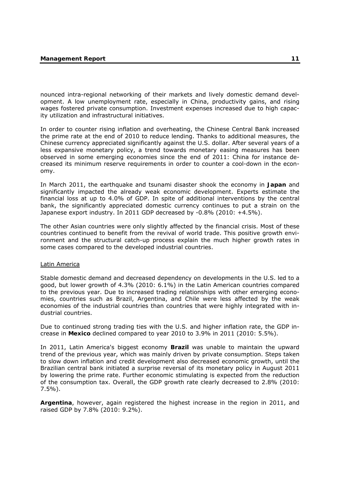nounced intra-regional networking of their markets and lively domestic demand development. A low unemployment rate, especially in China, productivity gains, and rising wages fostered private consumption. Investment expenses increased due to high capacity utilization and infrastructural initiatives.

In order to counter rising inflation and overheating, the Chinese Central Bank increased the prime rate at the end of 2010 to reduce lending. Thanks to additional measures, the Chinese currency appreciated significantly against the U.S. dollar. After several years of a less expansive monetary policy, a trend towards monetary easing measures has been observed in some emerging economies since the end of 2011: China for instance decreased its minimum reserve requirements in order to counter a cool-down in the economy.

In March 2011, the earthquake and tsunami disaster shook the economy in **Japan** and significantly impacted the already weak economic development. Experts estimate the financial loss at up to 4.0% of GDP. In spite of additional interventions by the central bank, the significantly appreciated domestic currency continues to put a strain on the Japanese export industry. In 2011 GDP decreased by -0.8% (2010: +4.5%).

The other Asian countries were only slightly affected by the financial crisis. Most of these countries continued to benefit from the revival of world trade. This positive growth environment and the structural catch-up process explain the much higher growth rates in some cases compared to the developed industrial countries.

#### Latin America

Stable domestic demand and decreased dependency on developments in the U.S. led to a good, but lower growth of 4.3% (2010: 6.1%) in the Latin American countries compared to the previous year. Due to increased trading relationships with other emerging economies, countries such as Brazil, Argentina, and Chile were less affected by the weak economies of the industrial countries than countries that were highly integrated with industrial countries.

Due to continued strong trading ties with the U.S. and higher inflation rate, the GDP increase in **Mexico** declined compared to year 2010 to 3.9% in 2011 (2010: 5.5%).

In 2011, Latin America's biggest economy **Brazil** was unable to maintain the upward trend of the previous year, which was mainly driven by private consumption. Steps taken to slow down inflation and credit development also decreased economic growth, until the Brazilian central bank initiated a surprise reversal of its monetary policy in August 2011 by lowering the prime rate. Further economic stimulating is expected from the reduction of the consumption tax. Overall, the GDP growth rate clearly decreased to 2.8% (2010: 7.5%).

**Argentina**, however, again registered the highest increase in the region in 2011, and raised GDP by 7.8% (2010: 9.2%).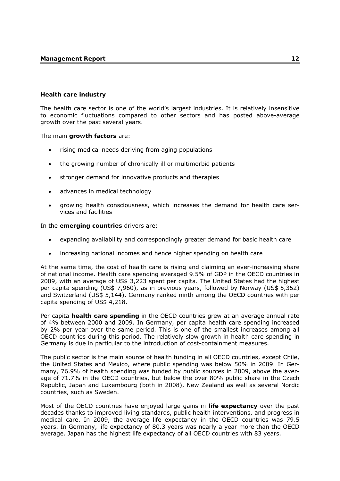## **Health care industry**

The health care sector is one of the world's largest industries. It is relatively insensitive to economic fluctuations compared to other sectors and has posted above-average growth over the past several years.

The main **growth factors** are:

- rising medical needs deriving from aging populations
- the growing number of chronically ill or multimorbid patients
- stronger demand for innovative products and therapies
- advances in medical technology
- growing health consciousness, which increases the demand for health care services and facilities

In the **emerging countries** drivers are:

- expanding availability and correspondingly greater demand for basic health care
- increasing national incomes and hence higher spending on health care

At the same time, the cost of health care is rising and claiming an ever-increasing share of national income. Health care spending averaged 9.5% of GDP in the OECD countries in 2009, with an average of US\$ 3,223 spent per capita. The United States had the highest per capita spending (US\$ 7,960), as in previous years, followed by Norway (US\$ 5,352) and Switzerland (US\$ 5,144). Germany ranked ninth among the OECD countries with per capita spending of US\$ 4,218.

Per capita **health care spending** in the OECD countries grew at an average annual rate of 4% between 2000 and 2009. In Germany, per capita health care spending increased by 2% per year over the same period. This is one of the smallest increases among all OECD countries during this period. The relatively slow growth in health care spending in Germany is due in particular to the introduction of cost-containment measures.

The public sector is the main source of health funding in all OECD countries, except Chile, the United States and Mexico, where public spending was below 50% in 2009. In Germany, 76.9% of health spending was funded by public sources in 2009, above the average of 71.7% in the OECD countries, but below the over 80% public share in the Czech Republic, Japan and Luxembourg (both in 2008), New Zealand as well as several Nordic countries, such as Sweden.

Most of the OECD countries have enjoyed large gains in **life expectancy** over the past decades thanks to improved living standards, public health interventions, and progress in medical care. In 2009, the average life expectancy in the OECD countries was 79.5 years. In Germany, life expectancy of 80.3 years was nearly a year more than the OECD average. Japan has the highest life expectancy of all OECD countries with 83 years.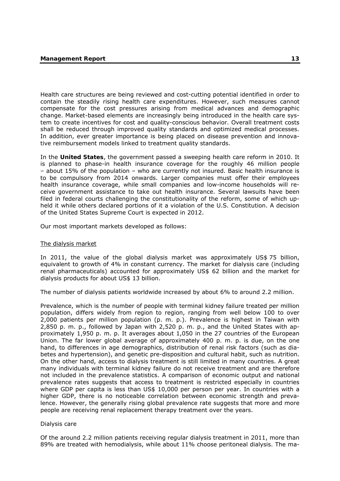Health care structures are being reviewed and cost-cutting potential identified in order to contain the steadily rising health care expenditures. However, such measures cannot compensate for the cost pressures arising from medical advances and demographic change. Market-based elements are increasingly being introduced in the health care system to create incentives for cost and quality-conscious behavior. Overall treatment costs shall be reduced through improved quality standards and optimized medical processes. In addition, ever greater importance is being placed on disease prevention and innovative reimbursement models linked to treatment quality standards.

In the **United States**, the government passed a sweeping health care reform in 2010. It is planned to phase-in health insurance coverage for the roughly 46 million people – about 15% of the population – who are currently not insured. Basic health insurance is to be compulsory from 2014 onwards. Larger companies must offer their employees health insurance coverage, while small companies and low-income households will receive government assistance to take out health insurance. Several lawsuits have been filed in federal courts challenging the constitutionality of the reform, some of which upheld it while others declared portions of it a violation of the U.S. Constitution. A decision of the United States Supreme Court is expected in 2012.

Our most important markets developed as follows:

#### The dialysis market

In 2011, the value of the global dialysis market was approximately US\$ 75 billion, equivalent to growth of 4% in constant currency. The market for dialysis care (including renal pharmaceuticals) accounted for approximately US\$ 62 billion and the market for dialysis products for about US\$ 13 billion.

The number of dialysis patients worldwide increased by about 6% to around 2.2 million.

Prevalence, which is the number of people with terminal kidney failure treated per million population, differs widely from region to region, ranging from well below 100 to over 2,000 patients per million population (p. m. p.). Prevalence is highest in Taiwan with 2,850 p. m. p., followed by Japan with 2,520 p. m. p., and the United States with approximately 1,950 p. m. p. It averages about 1,050 in the 27 countries of the European Union. The far lower global average of approximately 400 p. m. p. is due, on the one hand, to differences in age demographics, distribution of renal risk factors (such as diabetes and hypertension), and genetic pre-disposition and cultural habit, such as nutrition. On the other hand, access to dialysis treatment is still limited in many countries. A great many individuals with terminal kidney failure do not receive treatment and are therefore not included in the prevalence statistics. A comparison of economic output and national prevalence rates suggests that access to treatment is restricted especially in countries where GDP per capita is less than US\$ 10,000 per person per year. In countries with a higher GDP, there is no noticeable correlation between economic strength and prevalence. However, the generally rising global prevalence rate suggests that more and more people are receiving renal replacement therapy treatment over the years.

#### Dialysis care

Of the around 2.2 million patients receiving regular dialysis treatment in 2011, more than 89% are treated with hemodialysis, while about 11% choose peritoneal dialysis. The ma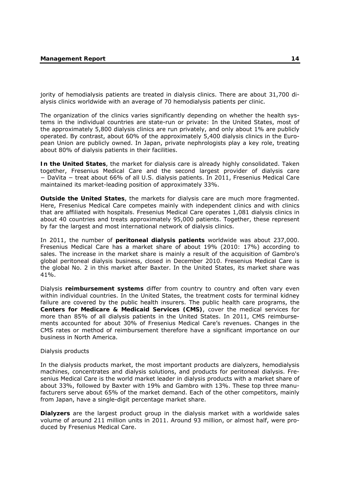jority of hemodialysis patients are treated in dialysis clinics. There are about 31,700 dialysis clinics worldwide with an average of 70 hemodialysis patients per clinic.

The organization of the clinics varies significantly depending on whether the health systems in the individual countries are state-run or private: In the United States, most of the approximately 5,800 dialysis clinics are run privately, and only about 1% are publicly operated. By contrast, about 60% of the approximately 5,400 dialysis clinics in the European Union are publicly owned. In Japan, private nephrologists play a key role, treating about 80% of dialysis patients in their facilities.

**In the United States**, the market for dialysis care is already highly consolidated. Taken together, Fresenius Medical Care and the second largest provider of dialysis care − DaVita − treat about 66% of all U.S. dialysis patients. In 2011, Fresenius Medical Care maintained its market-leading position of approximately 33%.

**Outside the United States**, the markets for dialysis care are much more fragmented. Here, Fresenius Medical Care competes mainly with independent clinics and with clinics that are affiliated with hospitals. Fresenius Medical Care operates 1,081 dialysis clinics in about 40 countries and treats approximately 95,000 patients. Together, these represent by far the largest and most international network of dialysis clinics.

In 2011, the number of **peritoneal dialysis patients** worldwide was about 237,000. Fresenius Medical Care has a market share of about 19% (2010: 17%) according to sales. The increase in the market share is mainly a result of the acquisition of Gambro's global peritoneal dialysis business, closed in December 2010. Fresenius Medical Care is the global No. 2 in this market after Baxter. In the United States, its market share was 41%.

Dialysis **reimbursement systems** differ from country to country and often vary even within individual countries. In the United States, the treatment costs for terminal kidney failure are covered by the public health insurers. The public health care programs, the **Centers for Medicare & Medicaid Services (CMS)**, cover the medical services for more than 85% of all dialysis patients in the United States. In 2011, CMS reimbursements accounted for about 30% of Fresenius Medical Care's revenues. Changes in the CMS rates or method of reimbursement therefore have a significant importance on our business in North America.

#### Dialysis products

In the dialysis products market, the most important products are dialyzers, hemodialysis machines, concentrates and dialysis solutions, and products for peritoneal dialysis. Fresenius Medical Care is the world market leader in dialysis products with a market share of about 33%, followed by Baxter with 19% and Gambro with 13%. These top three manufacturers serve about 65% of the market demand. Each of the other competitors, mainly from Japan, have a single-digit percentage market share.

**Dialyzers** are the largest product group in the dialysis market with a worldwide sales volume of around 211 million units in 2011. Around 93 million, or almost half, were produced by Fresenius Medical Care.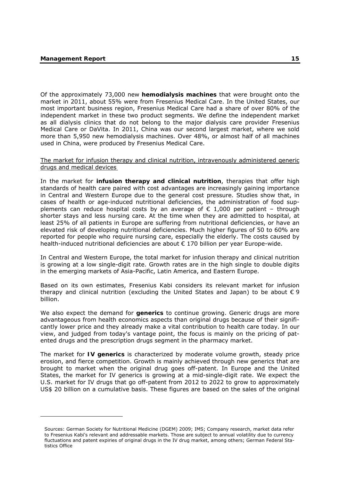-

Of the approximately 73,000 new **hemodialysis machines** that were brought onto the market in 2011, about 55% were from Fresenius Medical Care. In the United States, our most important business region, Fresenius Medical Care had a share of over 80% of the independent market in these two product segments. We define the independent market as all dialysis clinics that do not belong to the major dialysis care provider Fresenius Medical Care or DaVita. In 2011, China was our second largest market, where we sold more than 5,950 new hemodialysis machines. Over 48%, or almost half of all machines used in China, were produced by Fresenius Medical Care.

#### The market for infusion therapy and clinical nutrition, intravenously administered generic drugs and medical devices

In the market for **infusion therapy and clinical nutrition**, therapies that offer high standards of health care paired with cost advantages are increasingly gaining importance in Central and Western Europe due to the general cost pressure. Studies show that, in cases of health or age-induced nutritional deficiencies, the administration of food supplements can reduce hospital costs by an average of  $\epsilon$  1,000 per patient - through shorter stays and less nursing care. At the time when they are admitted to hospital, at least 25% of all patients in Europe are suffering from nutritional deficiencies, or have an elevated risk of developing nutritional deficiencies. Much higher figures of 50 to 60% are reported for people who require nursing care, especially the elderly. The costs caused by health-induced nutritional deficiencies are about € 170 billion per year Europe-wide.

In Central and Western Europe, the total market for infusion therapy and clinical nutrition is growing at a low single-digit rate. Growth rates are in the high single to double digits in the emerging markets of Asia-Pacific, Latin America, and Eastern Europe.

Based on its own estimates, Fresenius Kabi considers its relevant market for infusion therapy and clinical nutrition (excluding the United States and Japan) to be about  $\epsilon$  9 billion.

We also expect the demand for **generics** to continue growing. Generic drugs are more advantageous from health economics aspects than original drugs because of their significantly lower price and they already make a vital contribution to health care today. In our view, and judged from today's vantage point, the focus is mainly on the pricing of patented drugs and the prescription drugs segment in the pharmacy market.

The market for **IV generics** is characterized by moderate volume growth, steady price erosion, and fierce competition. Growth is mainly achieved through new generics that are brought to market when the original drug goes off-patent. In Europe and the United States, the market for IV generics is growing at a mid-single-digit rate. We expect the U.S. market for IV drugs that go off-patent from 2012 to 2022 to grow to approximately US\$ 20 billion on a cumulative basis. These figures are based on the sales of the original

Sources: German Society for Nutritional Medicine (DGEM) 2009; IMS; Company research, market data refer to Fresenius Kabi's relevant and addressable markets. Those are subject to annual volatility due to currency fluctuations and patent expiries of original drugs in the IV drug market, among others; German Federal Statistics Office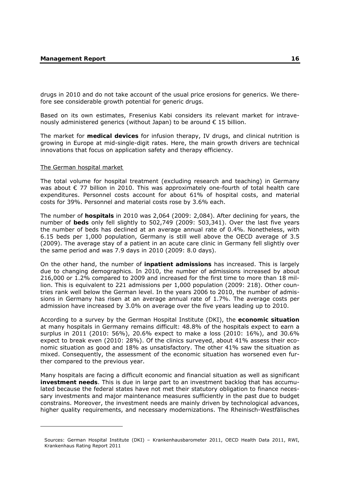drugs in 2010 and do not take account of the usual price erosions for generics. We therefore see considerable growth potential for generic drugs.

Based on its own estimates, Fresenius Kabi considers its relevant market for intravenously administered generics (without Japan) to be around € 15 billion.

The market for **medical devices** for infusion therapy, IV drugs, and clinical nutrition is growing in Europe at mid-single-digit rates. Here, the main growth drivers are technical innovations that focus on application safety and therapy efficiency.

#### The German hospital market

-

The total volume for hospital treatment (excluding research and teaching) in Germany was about € 77 billion in 2010. This was approximately one-fourth of total health care expenditures. Personnel costs account for about 61% of hospital costs, and material costs for 39%. Personnel and material costs rose by 3.6% each.

The number of **hospitals** in 2010 was 2,064 (2009: 2,084). After declining for years, the number of **beds** only fell slightly to 502,749 (2009: 503,341). Over the last five years the number of beds has declined at an average annual rate of 0.4%. Nonetheless, with 6.15 beds per 1,000 population, Germany is still well above the OECD average of 3.5 (2009). The average stay of a patient in an acute care clinic in Germany fell slightly over the same period and was 7.9 days in 2010 (2009: 8.0 days).

On the other hand, the number of **inpatient admissions** has increased. This is largely due to changing demographics. In 2010, the number of admissions increased by about 216,000 or 1.2% compared to 2009 and increased for the first time to more than 18 million. This is equivalent to 221 admissions per 1,000 population (2009: 218). Other countries rank well below the German level. In the years 2006 to 2010, the number of admissions in Germany has risen at an average annual rate of 1.7%. The average costs per admission have increased by 3.0% on average over the five years leading up to 2010.

According to a survey by the German Hospital Institute (DKI), the **economic situation** at many hospitals in Germany remains difficult: 48.8% of the hospitals expect to earn a surplus in 2011 (2010: 56%), 20.6% expect to make a loss (2010: 16%), and 30.6% expect to break even (2010: 28%). Of the clinics surveyed, about 41% assess their economic situation as good and 18% as unsatisfactory. The other 41% saw the situation as mixed. Consequently, the assessment of the economic situation has worsened even further compared to the previous year.

Many hospitals are facing a difficult economic and financial situation as well as significant **investment needs**. This is due in large part to an investment backlog that has accumulated because the federal states have not met their statutory obligation to finance necessary investments and major maintenance measures sufficiently in the past due to budget constrains. Moreover, the investment needs are mainly driven by technological advances, higher quality requirements, and necessary modernizations. The Rheinisch-Westfälisches

Sources: German Hospital Institute (DKI) – Krankenhausbarometer 2011, OECD Health Data 2011, RWI, Krankenhaus Rating Report 2011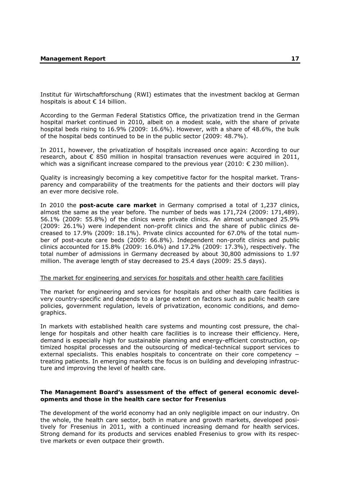Institut für Wirtschaftforschung (RWI) estimates that the investment backlog at German hospitals is about € 14 billion.

According to the German Federal Statistics Office, the privatization trend in the German hospital market continued in 2010, albeit on a modest scale, with the share of private hospital beds rising to 16.9% (2009: 16.6%). However, with a share of 48.6%, the bulk of the hospital beds continued to be in the public sector (2009: 48.7%).

In 2011, however, the privatization of hospitals increased once again: According to our research, about  $\epsilon$  850 million in hospital transaction revenues were acquired in 2011, which was a significant increase compared to the previous year (2010:  $\epsilon$  230 million).

Quality is increasingly becoming a key competitive factor for the hospital market. Transparency and comparability of the treatments for the patients and their doctors will play an ever more decisive role.

In 2010 the **post-acute care market** in Germany comprised a total of 1,237 clinics, almost the same as the year before. The number of beds was 171,724 (2009: 171,489). 56.1% (2009: 55.8%) of the clinics were private clinics. An almost unchanged 25.9% (2009: 26.1%) were independent non-profit clinics and the share of public clinics decreased to 17.9% (2009: 18.1%). Private clinics accounted for 67.0% of the total number of post-acute care beds (2009: 66.8%). Independent non-profit clinics and public clinics accounted for 15.8% (2009: 16.0%) and 17.2% (2009: 17.3%), respectively. The total number of admissions in Germany decreased by about 30,800 admissions to 1.97 million. The average length of stay decreased to 25.4 days (2009: 25.5 days).

#### The market for engineering and services for hospitals and other health care facilities

The market for engineering and services for hospitals and other health care facilities is very country-specific and depends to a large extent on factors such as public health care policies, government regulation, levels of privatization, economic conditions, and demographics.

In markets with established health care systems and mounting cost pressure, the challenge for hospitals and other health care facilities is to increase their efficiency. Here, demand is especially high for sustainable planning and energy-efficient construction, optimized hospital processes and the outsourcing of medical-technical support services to external specialists. This enables hospitals to concentrate on their core competency − treating patients. In emerging markets the focus is on building and developing infrastructure and improving the level of health care.

### **The Management Board's assessment of the effect of general economic developments and those in the health care sector for Fresenius**

The development of the world economy had an only negligible impact on our industry. On the whole, the health care sector, both in mature and growth markets, developed positively for Fresenius in 2011, with a continued increasing demand for health services. Strong demand for its products and services enabled Fresenius to grow with its respective markets or even outpace their growth.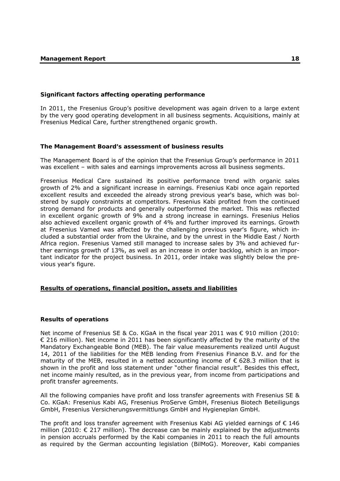### **Significant factors affecting operating performance**

In 2011, the Fresenius Group's positive development was again driven to a large extent by the very good operating development in all business segments. Acquisitions, mainly at Fresenius Medical Care, further strengthened organic growth.

## **The Management Board's assessment of business results**

The Management Board is of the opinion that the Fresenius Group's performance in 2011 was excellent – with sales and earnings improvements across all business segments.

Fresenius Medical Care sustained its positive performance trend with organic sales growth of 2% and a significant increase in earnings. Fresenius Kabi once again reported excellent results and exceeded the already strong previous year's base, which was bolstered by supply constraints at competitors. Fresenius Kabi profited from the continued strong demand for products and generally outperformed the market. This was reflected in excellent organic growth of 9% and a strong increase in earnings. Fresenius Helios also achieved excellent organic growth of 4% and further improved its earnings. Growth at Fresenius Vamed was affected by the challenging previous year's figure, which included a substantial order from the Ukraine, and by the unrest in the Middle East / North Africa region. Fresenius Vamed still managed to increase sales by 3% and achieved further earnings growth of 13%, as well as an increase in order backlog, which is an important indicator for the project business. In 2011, order intake was slightly below the previous year's figure.

## **Results of operations, financial position, assets and liabilities**

## **Results of operations**

Net income of Fresenius SE & Co. KGaA in the fiscal year 2011 was € 910 million (2010: € 216 million). Net income in 2011 has been significantly affected by the maturity of the Mandatory Exchangeable Bond (MEB). The fair value measurements realized until August 14, 2011 of the liabilities for the MEB lending from Fresenius Finance B.V. and for the maturity of the MEB, resulted in a netted accounting income of  $\epsilon$  628.3 million that is shown in the profit and loss statement under "other financial result". Besides this effect, net income mainly resulted, as in the previous year, from income from participations and profit transfer agreements.

All the following companies have profit and loss transfer agreements with Fresenius SE & Co. KGaA: Fresenius Kabi AG, Fresenius ProServe GmbH, Fresenius Biotech Beteiligungs GmbH, Fresenius Versicherungsvermittlungs GmbH and Hygieneplan GmbH.

The profit and loss transfer agreement with Fresenius Kabi AG yielded earnings of  $\epsilon$  146 million (2010:  $\epsilon$  217 million). The decrease can be mainly explained by the adjustments in pension accruals performed by the Kabi companies in 2011 to reach the full amounts as required by the German accounting legislation (BilMoG). Moreover, Kabi companies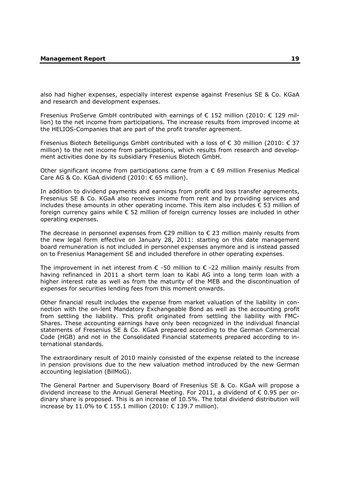also had higher expenses, especially interest expense against Fresenius SE & Co. KGaA and research and development expenses.

Fresenius ProServe GmbH contributed with earnings of  $\epsilon$  152 million (2010:  $\epsilon$  129 million) to the net income from participations. The increase results from improved income at the HELIOS-Companies that are part of the profit transfer agreement.

Fresenius Biotech Beteiligungs GmbH contributed with a loss of € 30 million (2010: € 37 million) to the net income from participations, which results from research and development activities done by its subsidiary Fresenius Biotech GmbH.

Other significant income from participations came from a  $\epsilon$  69 million Fresenius Medical Care AG & Co. KGaA dividend (2010: € 65 million).

In addition to dividend payments and earnings from profit and loss transfer agreements, Fresenius SE & Co. KGaA also receives income from rent and by providing services and includes these amounts in other operating income. This item also includes  $\epsilon$  53 million of foreign currency gains while € 52 million of foreign currency losses are included in other operating expenses.

The decrease in personnel expenses from  $E29$  million to  $E23$  million mainly results from the new legal form effective on January 28, 2011: starting on this date management board remuneration is not included in personnel expenses anymore and is instead passed on to Fresenius Management SE and included therefore in other operating expenses.

The improvement in net interest from  $\epsilon$  -50 million to  $\epsilon$  -22 million mainly results from having refinanced in 2011 a short term loan to Kabi AG into a long term loan with a higher interest rate as well as from the maturity of the MEB and the discontinuation of expenses for securities lending fees from this moment onwards.

Other financial result includes the expense from market valuation of the liability in connection with the on-lent Mandatory Exchangeable Bond as well as the accounting profit from settling the liability. This profit originated from settling the liability with FMC-Shares. These accounting earnings have only been recognized in the individual financial statements of Fresenius SE & Co. KGaA prepared according to the German Commercial Code (HGB) and not in the Consolidated Financial statements prepared according to international standards.

The extraordinary result of 2010 mainly consisted of the expense related to the increase in pension provisions due to the new valuation method introduced by the new German accounting legislation (BilMoG).

The General Partner and Supervisory Board of Fresenius SE & Co. KGaA will propose a dividend increase to the Annual General Meeting. For 2011, a dividend of  $\epsilon$  0.95 per ordinary share is proposed. This is an increase of 10.5%. The total dividend distribution will increase by 11.0% to € 155.1 million (2010: € 139.7 million).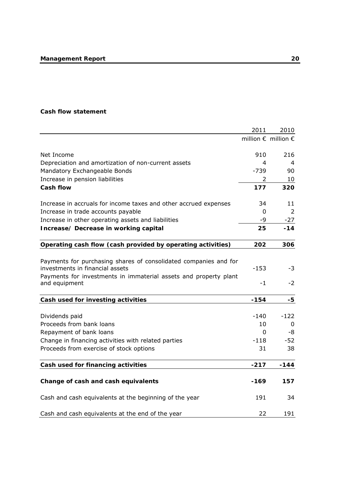## **Cash flow statement**

|                                                                  | 2011     | 2010                                  |
|------------------------------------------------------------------|----------|---------------------------------------|
|                                                                  |          | million $\epsilon$ million $\epsilon$ |
|                                                                  |          |                                       |
| Net Income                                                       | 910      | 216                                   |
| Depreciation and amortization of non-current assets              | 4        | 4                                     |
| Mandatory Exchangeable Bonds                                     | $-739$   | 90                                    |
| Increase in pension liabilities                                  | 2        | 10                                    |
| <b>Cash flow</b>                                                 | 177      | 320                                   |
| Increase in accruals for income taxes and other accrued expenses | 34       | 11                                    |
| Increase in trade accounts payable                               | 0        | 2                                     |
| Increase in other operating assets and liabilities               | -9       | $-27$                                 |
| Increase/ Decrease in working capital                            | 25       | -14                                   |
| Operating cash flow (cash provided by operating activities)      | 202      | 306                                   |
|                                                                  |          |                                       |
| Payments for purchasing shares of consolidated companies and for |          |                                       |
| investments in financial assets                                  | $-153$   | -3                                    |
| Payments for investments in immaterial assets and property plant |          |                                       |
| and equipment                                                    | $-1$     | $-2$                                  |
| Cash used for investing activities                               | $-154$   | -5                                    |
|                                                                  |          |                                       |
| Dividends paid                                                   | -140     | $-122$                                |
| Proceeds from bank loans                                         | 10       | $\mathbf 0$                           |
| Repayment of bank loans                                          | $\Omega$ | -8                                    |
| Change in financing activities with related parties              | $-118$   | -52                                   |
| Proceeds from exercise of stock options                          | 31       | 38                                    |
| Cash used for financing activities                               | $-217$   | $-144$                                |
|                                                                  |          |                                       |
| Change of cash and cash equivalents                              | $-169$   | 157                                   |
| Cash and cash equivalents at the beginning of the year           | 191      | 34                                    |
|                                                                  |          |                                       |
| Cash and cash equivalents at the end of the year                 | 22       | 191                                   |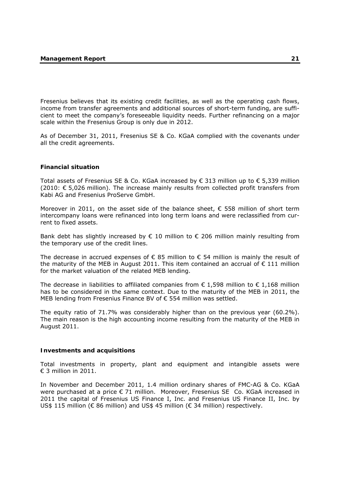Fresenius believes that its existing credit facilities, as well as the operating cash flows, income from transfer agreements and additional sources of short-term funding, are sufficient to meet the company's foreseeable liquidity needs. Further refinancing on a major scale within the Fresenius Group is only due in 2012.

As of December 31, 2011, Fresenius SE & Co. KGaA complied with the covenants under all the credit agreements.

## **Financial situation**

Total assets of Fresenius SE & Co. KGaA increased by € 313 million up to € 5.339 million (2010:  $\epsilon$  5,026 million). The increase mainly results from collected profit transfers from Kabi AG and Fresenius ProServe GmbH.

Moreover in 2011, on the asset side of the balance sheet,  $\epsilon$  558 million of short term intercompany loans were refinanced into long term loans and were reclassified from current to fixed assets.

Bank debt has slightly increased by  $\epsilon$  10 million to  $\epsilon$  206 million mainly resulting from the temporary use of the credit lines.

The decrease in accrued expenses of  $\epsilon$  85 million to  $\epsilon$  54 million is mainly the result of the maturity of the MEB in August 2011. This item contained an accrual of  $\epsilon$  111 million for the market valuation of the related MEB lending.

The decrease in liabilities to affiliated companies from  $\epsilon$  1,598 million to  $\epsilon$  1,168 million has to be considered in the same context. Due to the maturity of the MEB in 2011, the MEB lending from Fresenius Finance BV of € 554 million was settled.

The equity ratio of 71.7% was considerably higher than on the previous year (60.2%). The main reason is the high accounting income resulting from the maturity of the MEB in August 2011.

#### **Investments and acquisitions**

Total investments in property, plant and equipment and intangible assets were  $€$  3 million in 2011.

In November and December 2011, 1.4 million ordinary shares of FMC-AG & Co. KGaA were purchased at a price € 71 million. Moreover, Fresenius SE Co. KGaA increased in 2011 the capital of Fresenius US Finance I, Inc. and Fresenius US Finance II, Inc. by US\$ 115 million (€ 86 million) and US\$ 45 million (€ 34 million) respectively.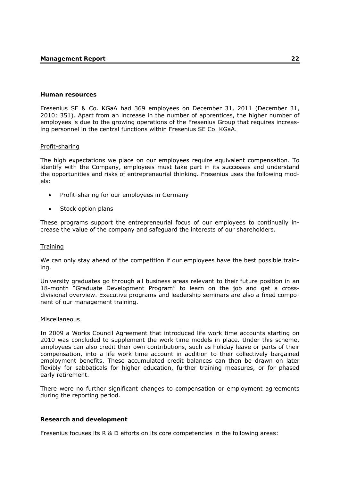#### **Human resources**

Fresenius SE & Co. KGaA had 369 employees on December 31, 2011 (December 31, 2010: 351). Apart from an increase in the number of apprentices, the higher number of employees is due to the growing operations of the Fresenius Group that requires increasing personnel in the central functions within Fresenius SE Co. KGaA.

#### Profit-sharing

The high expectations we place on our employees require equivalent compensation. To identify with the Company, employees must take part in its successes and understand the opportunities and risks of entrepreneurial thinking. Fresenius uses the following models:

- Profit-sharing for our employees in Germany
- Stock option plans

These programs support the entrepreneurial focus of our employees to continually increase the value of the company and safeguard the interests of our shareholders.

#### **Training**

We can only stay ahead of the competition if our employees have the best possible training.

University graduates go through all business areas relevant to their future position in an 18-month "Graduate Development Program" to learn on the job and get a crossdivisional overview. Executive programs and leadership seminars are also a fixed component of our management training.

#### Miscellaneous

In 2009 a Works Council Agreement that introduced life work time accounts starting on 2010 was concluded to supplement the work time models in place. Under this scheme, employees can also credit their own contributions, such as holiday leave or parts of their compensation, into a life work time account in addition to their collectively bargained employment benefits. These accumulated credit balances can then be drawn on later flexibly for sabbaticals for higher education, further training measures, or for phased early retirement.

There were no further significant changes to compensation or employment agreements during the reporting period.

#### **Research and development**

Fresenius focuses its R & D efforts on its core competencies in the following areas: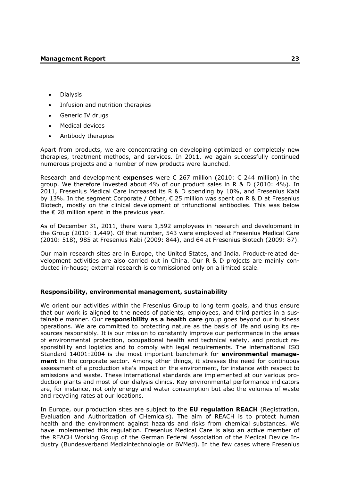- Dialysis
- Infusion and nutrition therapies
- Generic IV drugs
- Medical devices
- Antibody therapies

Apart from products, we are concentrating on developing optimized or completely new therapies, treatment methods, and services. In 2011, we again successfully continued numerous projects and a number of new products were launched.

Research and development **expenses** were € 267 million (2010: € 244 million) in the group. We therefore invested about 4% of our product sales in R & D (2010: 4%). In 2011, Fresenius Medical Care increased its R & D spending by 10%, and Fresenius Kabi by 13%. In the segment Corporate / Other,  $\epsilon$  25 million was spent on R & D at Fresenius Biotech, mostly on the clinical development of trifunctional antibodies. This was below the  $\epsilon$  28 million spent in the previous year.

As of December 31, 2011, there were 1,592 employees in research and development in the Group (2010: 1,449). Of that number, 543 were employed at Fresenius Medical Care (2010: 518), 985 at Fresenius Kabi (2009: 844), and 64 at Fresenius Biotech (2009: 87).

Our main research sites are in Europe, the United States, and India. Product-related development activities are also carried out in China. Our R & D projects are mainly conducted in-house; external research is commissioned only on a limited scale.

## **Responsibility, environmental management, sustainability**

We orient our activities within the Fresenius Group to long term goals, and thus ensure that our work is aligned to the needs of patients, employees, and third parties in a sustainable manner. Our **responsibility as a health care** group goes beyond our business operations. We are committed to protecting nature as the basis of life and using its resources responsibly. It is our mission to constantly improve our performance in the areas of environmental protection, occupational health and technical safety, and product responsibility and logistics and to comply with legal requirements. The international ISO Standard 14001:2004 is the most important benchmark for **environmental management** in the corporate sector. Among other things, it stresses the need for continuous assessment of a production site's impact on the environment, for instance with respect to emissions and waste. These international standards are implemented at our various production plants and most of our dialysis clinics. Key environmental performance indicators are, for instance, not only energy and water consumption but also the volumes of waste and recycling rates at our locations.

In Europe, our production sites are subject to the **EU regulation REACH** (Registration, Evaluation and Authorization of CHemicals). The aim of REACH is to protect human health and the environment against hazards and risks from chemical substances. We have implemented this regulation. Fresenius Medical Care is also an active member of the REACH Working Group of the German Federal Association of the Medical Device Industry (Bundesverband Medizintechnologie or BVMed). In the few cases where Fresenius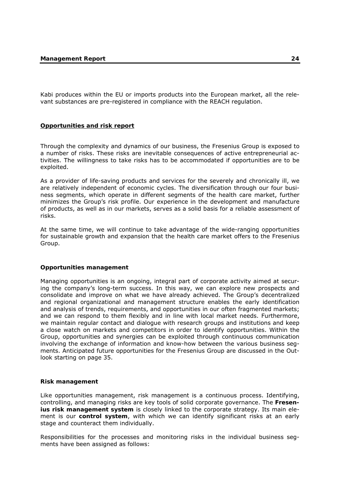Kabi produces within the EU or imports products into the European market, all the relevant substances are pre-registered in compliance with the REACH regulation.

### **Opportunities and risk report**

Through the complexity and dynamics of our business, the Fresenius Group is exposed to a number of risks. These risks are inevitable consequences of active entrepreneurial activities. The willingness to take risks has to be accommodated if opportunities are to be exploited.

As a provider of life-saving products and services for the severely and chronically ill, we are relatively independent of economic cycles. The diversification through our four business segments, which operate in different segments of the health care market, further minimizes the Group's risk profile. Our experience in the development and manufacture of products, as well as in our markets, serves as a solid basis for a reliable assessment of risks.

At the same time, we will continue to take advantage of the wide-ranging opportunities for sustainable growth and expansion that the health care market offers to the Fresenius Group.

#### **Opportunities management**

Managing opportunities is an ongoing, integral part of corporate activity aimed at securing the company's long-term success. In this way, we can explore new prospects and consolidate and improve on what we have already achieved. The Group's decentralized and regional organizational and management structure enables the early identification and analysis of trends, requirements, and opportunities in our often fragmented markets; and we can respond to them flexibly and in line with local market needs. Furthermore, we maintain regular contact and dialogue with research groups and institutions and keep a close watch on markets and competitors in order to identify opportunities. Within the Group, opportunities and synergies can be exploited through continuous communication involving the exchange of information and know-how between the various business segments. Anticipated future opportunities for the Fresenius Group are discussed in the Outlook starting on page 35.

#### **Risk management**

Like opportunities management, risk management is a continuous process. Identifying, controlling, and managing risks are key tools of solid corporate governance. The **Fresenius risk management system** is closely linked to the corporate strategy. Its main element is our **control system**, with which we can identify significant risks at an early stage and counteract them individually.

Responsibilities for the processes and monitoring risks in the individual business segments have been assigned as follows: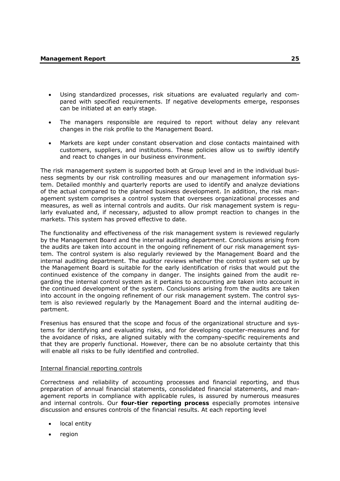- Using standardized processes, risk situations are evaluated regularly and compared with specified requirements. If negative developments emerge, responses can be initiated at an early stage.
- The managers responsible are required to report without delay any relevant changes in the risk profile to the Management Board.
- Markets are kept under constant observation and close contacts maintained with customers, suppliers, and institutions. These policies allow us to swiftly identify and react to changes in our business environment.

The risk management system is supported both at Group level and in the individual business segments by our risk controlling measures and our management information system. Detailed monthly and quarterly reports are used to identify and analyze deviations of the actual compared to the planned business development. In addition, the risk management system comprises a control system that oversees organizational processes and measures, as well as internal controls and audits. Our risk management system is regularly evaluated and, if necessary, adjusted to allow prompt reaction to changes in the markets. This system has proved effective to date.

The functionality and effectiveness of the risk management system is reviewed regularly by the Management Board and the internal auditing department. Conclusions arising from the audits are taken into account in the ongoing refinement of our risk management system. The control system is also regularly reviewed by the Management Board and the internal auditing department. The auditor reviews whether the control system set up by the Management Board is suitable for the early identification of risks that would put the continued existence of the company in danger. The insights gained from the audit regarding the internal control system as it pertains to accounting are taken into account in the continued development of the system. Conclusions arising from the audits are taken into account in the ongoing refinement of our risk management system. The control system is also reviewed regularly by the Management Board and the internal auditing department.

Fresenius has ensured that the scope and focus of the organizational structure and systems for identifying and evaluating risks, and for developing counter-measures and for the avoidance of risks, are aligned suitably with the company-specific requirements and that they are properly functional. However, there can be no absolute certainty that this will enable all risks to be fully identified and controlled.

## Internal financial reporting controls

Correctness and reliability of accounting processes and financial reporting, and thus preparation of annual financial statements, consolidated financial statements, and management reports in compliance with applicable rules, is assured by numerous measures and internal controls. Our **four-tier reporting process** especially promotes intensive discussion and ensures controls of the financial results. At each reporting level

- local entity
- region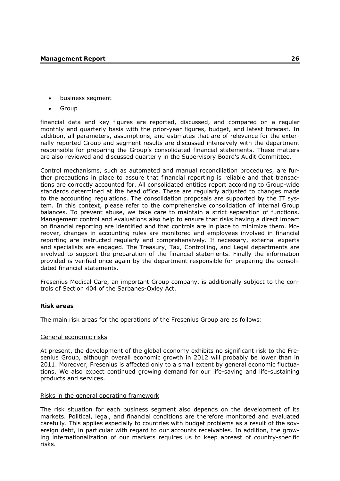- business segment
- **Group**

financial data and key figures are reported, discussed, and compared on a regular monthly and quarterly basis with the prior-year figures, budget, and latest forecast. In addition, all parameters, assumptions, and estimates that are of relevance for the externally reported Group and segment results are discussed intensively with the department responsible for preparing the Group's consolidated financial statements. These matters are also reviewed and discussed quarterly in the Supervisory Board's Audit Committee.

Control mechanisms, such as automated and manual reconciliation procedures, are further precautions in place to assure that financial reporting is reliable and that transactions are correctly accounted for. All consolidated entities report according to Group-wide standards determined at the head office. These are regularly adjusted to changes made to the accounting regulations. The consolidation proposals are supported by the IT system. In this context, please refer to the comprehensive consolidation of internal Group balances. To prevent abuse, we take care to maintain a strict separation of functions. Management control and evaluations also help to ensure that risks having a direct impact on financial reporting are identified and that controls are in place to minimize them. Moreover, changes in accounting rules are monitored and employees involved in financial reporting are instructed regularly and comprehensively. If necessary, external experts and specialists are engaged. The Treasury, Tax, Controlling, and Legal departments are involved to support the preparation of the financial statements. Finally the information provided is verified once again by the department responsible for preparing the consolidated financial statements.

Fresenius Medical Care, an important Group company, is additionally subject to the controls of Section 404 of the Sarbanes-Oxley Act.

## **Risk areas**

The main risk areas for the operations of the Fresenius Group are as follows:

## General economic risks

At present, the development of the global economy exhibits no significant risk to the Fresenius Group, although overall economic growth in 2012 will probably be lower than in 2011. Moreover, Fresenius is affected only to a small extent by general economic fluctuations. We also expect continued growing demand for our life-saving and life-sustaining products and services.

## Risks in the general operating framework

The risk situation for each business segment also depends on the development of its markets. Political, legal, and financial conditions are therefore monitored and evaluated carefully. This applies especially to countries with budget problems as a result of the sovereign debt, in particular with regard to our accounts receivables. In addition, the growing internationalization of our markets requires us to keep abreast of country-specific risks.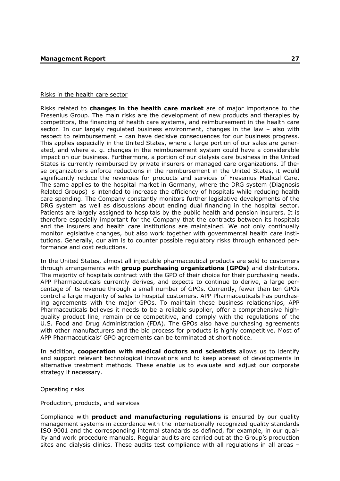#### Risks in the health care sector

Risks related to **changes in the health care market** are of major importance to the Fresenius Group. The main risks are the development of new products and therapies by competitors, the financing of health care systems, and reimbursement in the health care sector. In our largely regulated business environment, changes in the law – also with respect to reimbursement – can have decisive consequences for our business progress. This applies especially in the United States, where a large portion of our sales are generated, and where e. g. changes in the reimbursement system could have a considerable impact on our business. Furthermore, a portion of our dialysis care business in the United States is currently reimbursed by private insurers or managed care organizations. If these organizations enforce reductions in the reimbursement in the United States, it would significantly reduce the revenues for products and services of Fresenius Medical Care. The same applies to the hospital market in Germany, where the DRG system (Diagnosis Related Groups) is intended to increase the efficiency of hospitals while reducing health care spending. The Company constantly monitors further legislative developments of the DRG system as well as discussions about ending dual financing in the hospital sector. Patients are largely assigned to hospitals by the public health and pension insurers. It is therefore especially important for the Company that the contracts between its hospitals and the insurers and health care institutions are maintained. We not only continually monitor legislative changes, but also work together with governmental health care institutions. Generally, our aim is to counter possible regulatory risks through enhanced performance and cost reductions.

In the United States, almost all injectable pharmaceutical products are sold to customers through arrangements with **group purchasing organizations (GPOs)** and distributors. The majority of hospitals contract with the GPO of their choice for their purchasing needs. APP Pharmaceuticals currently derives, and expects to continue to derive, a large percentage of its revenue through a small number of GPOs. Currently, fewer than ten GPOs control a large majority of sales to hospital customers. APP Pharmaceuticals has purchasing agreements with the major GPOs. To maintain these business relationships, APP Pharmaceuticals believes it needs to be a reliable supplier, offer a comprehensive highquality product line, remain price competitive, and comply with the regulations of the U.S. Food and Drug Administration (FDA). The GPOs also have purchasing agreements with other manufacturers and the bid process for products is highly competitive. Most of APP Pharmaceuticals' GPO agreements can be terminated at short notice.

In addition, **cooperation with medical doctors and scientists** allows us to identify and support relevant technological innovations and to keep abreast of developments in alternative treatment methods. These enable us to evaluate and adjust our corporate strategy if necessary.

#### Operating risks

## Production, products, and services

Compliance with **product and manufacturing regulations** is ensured by our quality management systems in accordance with the internationally recognized quality standards ISO 9001 and the corresponding internal standards as defined, for example, in our quality and work procedure manuals. Regular audits are carried out at the Group's production sites and dialysis clinics. These audits test compliance with all regulations in all areas –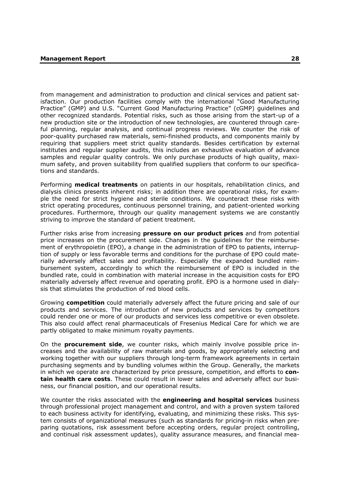from management and administration to production and clinical services and patient satisfaction. Our production facilities comply with the international "Good Manufacturing Practice" (GMP) and U.S. "Current Good Manufacturing Practice" (cGMP) guidelines and other recognized standards. Potential risks, such as those arising from the start-up of a new production site or the introduction of new technologies, are countered through careful planning, regular analysis, and continual progress reviews. We counter the risk of poor-quality purchased raw materials, semi-finished products, and components mainly by requiring that suppliers meet strict quality standards. Besides certification by external institutes and regular supplier audits, this includes an exhaustive evaluation of advance samples and regular quality controls. We only purchase products of high quality, maximum safety, and proven suitability from qualified suppliers that conform to our specifications and standards.

Performing **medical treatments** on patients in our hospitals, rehabilitation clinics, and dialysis clinics presents inherent risks; in addition there are operational risks, for example the need for strict hygiene and sterile conditions. We counteract these risks with strict operating procedures, continuous personnel training, and patient-oriented working procedures. Furthermore, through our quality management systems we are constantly striving to improve the standard of patient treatment.

Further risks arise from increasing **pressure on our product prices** and from potential price increases on the procurement side. Changes in the guidelines for the reimbursement of erythropoietin (EPO), a change in the administration of EPO to patients, interruption of supply or less favorable terms and conditions for the purchase of EPO could materially adversely affect sales and profitability. Especially the expanded bundled reimbursement system, accordingly to which the reimbursement of EPO is included in the bundled rate, could in combination with material increase in the acquisition costs for EPO materially adversely affect revenue and operating profit. EPO is a hormone used in dialysis that stimulates the production of red blood cells.

Growing **competition** could materially adversely affect the future pricing and sale of our products and services. The introduction of new products and services by competitors could render one or more of our products and services less competitive or even obsolete. This also could affect renal pharmaceuticals of Fresenius Medical Care for which we are partly obligated to make minimum royalty payments.

On the **procurement side**, we counter risks, which mainly involve possible price increases and the availability of raw materials and goods, by appropriately selecting and working together with our suppliers through long-term framework agreements in certain purchasing segments and by bundling volumes within the Group. Generally, the markets in which we operate are characterized by price pressure, competition, and efforts to **contain health care costs**. These could result in lower sales and adversely affect our business, our financial position, and our operational results.

We counter the risks associated with the **engineering and hospital services** business through professional project management and control, and with a proven system tailored to each business activity for identifying, evaluating, and minimizing these risks. This system consists of organizational measures (such as standards for pricing-in risks when preparing quotations, risk assessment before accepting orders, regular project controlling, and continual risk assessment updates), quality assurance measures, and financial mea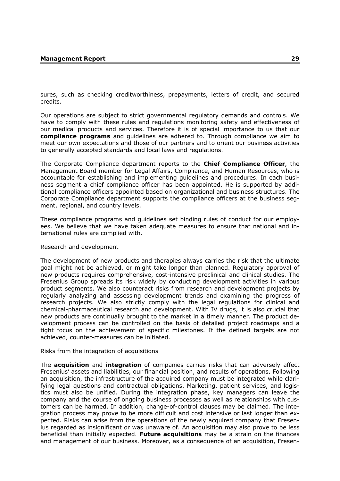sures, such as checking creditworthiness, prepayments, letters of credit, and secured credits.

Our operations are subject to strict governmental regulatory demands and controls. We have to comply with these rules and regulations monitoring safety and effectiveness of our medical products and services. Therefore it is of special importance to us that our **compliance programs** and guidelines are adhered to. Through compliance we aim to meet our own expectations and those of our partners and to orient our business activities to generally accepted standards and local laws and regulations.

The Corporate Compliance department reports to the **Chief Compliance Officer**, the Management Board member for Legal Affairs, Compliance, and Human Resources, who is accountable for establishing and implementing guidelines and procedures. In each business segment a chief compliance officer has been appointed. He is supported by additional compliance officers appointed based on organizational and business structures. The Corporate Compliance department supports the compliance officers at the business segment, regional, and country levels.

These compliance programs and guidelines set binding rules of conduct for our employees. We believe that we have taken adequate measures to ensure that national and international rules are complied with.

## Research and development

The development of new products and therapies always carries the risk that the ultimate goal might not be achieved, or might take longer than planned. Regulatory approval of new products requires comprehensive, cost-intensive preclinical and clinical studies. The Fresenius Group spreads its risk widely by conducting development activities in various product segments. We also counteract risks from research and development projects by regularly analyzing and assessing development trends and examining the progress of research projects. We also strictly comply with the legal regulations for clinical and chemical-pharmaceutical research and development. With IV drugs, it is also crucial that new products are continually brought to the market in a timely manner. The product development process can be controlled on the basis of detailed project roadmaps and a tight focus on the achievement of specific milestones. If the defined targets are not achieved, counter-measures can be initiated.

#### Risks from the integration of acquisitions

The **acquisition** and **integration** of companies carries risks that can adversely affect Fresenius' assets and liabilities, our financial position, and results of operations. Following an acquisition, the infrastructure of the acquired company must be integrated while clarifying legal questions and contractual obligations. Marketing, patient services, and logistics must also be unified. During the integration phase, key managers can leave the company and the course of ongoing business processes as well as relationships with customers can be harmed. In addition, change-of-control clauses may be claimed. The integration process may prove to be more difficult and cost intensive or last longer than expected. Risks can arise from the operations of the newly acquired company that Fresenius regarded as insignificant or was unaware of. An acquisition may also prove to be less beneficial than initially expected. **Future acquisitions** may be a strain on the finances and management of our business. Moreover, as a consequence of an acquisition, Fresen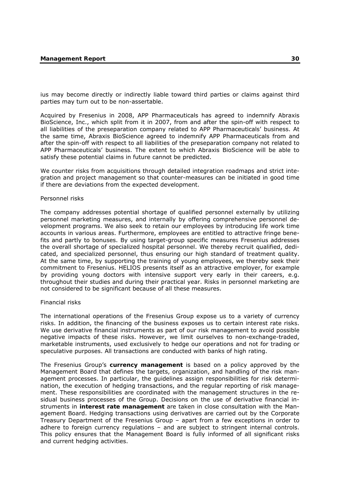ius may become directly or indirectly liable toward third parties or claims against third parties may turn out to be non-assertable.

Acquired by Fresenius in 2008, APP Pharmaceuticals has agreed to indemnify Abraxis BioScience, Inc., which split from it in 2007, from and after the spin-off with respect to all liabilities of the preseparation company related to APP Pharmaceuticals' business. At the same time, Abraxis BioScience agreed to indemnify APP Pharmaceuticals from and after the spin-off with respect to all liabilities of the preseparation company not related to APP Pharmaceuticals' business. The extent to which Abraxis BioScience will be able to satisfy these potential claims in future cannot be predicted.

We counter risks from acquisitions through detailed integration roadmaps and strict integration and project management so that counter-measures can be initiated in good time if there are deviations from the expected development.

#### Personnel risks

The company addresses potential shortage of qualified personnel externally by utilizing personnel marketing measures, and internally by offering comprehensive personnel development programs. We also seek to retain our employees by introducing life work time accounts in various areas. Furthermore, employees are entitled to attractive fringe benefits and partly to bonuses. By using target-group specific measures Fresenius addresses the overall shortage of specialized hospital personnel. We thereby recruit qualified, dedicated, and specialized personnel, thus ensuring our high standard of treatment quality. At the same time, by supporting the training of young employees, we thereby seek their commitment to Fresenius. HELIOS presents itself as an attractive employer, for example by providing young doctors with intensive support very early in their careers, e.g. throughout their studies and during their practical year. Risks in personnel marketing are not considered to be significant because of all these measures.

#### Financial risks

The international operations of the Fresenius Group expose us to a variety of currency risks. In addition, the financing of the business exposes us to certain interest rate risks. We use derivative financial instruments as part of our risk management to avoid possible negative impacts of these risks. However, we limit ourselves to non-exchange-traded, marketable instruments, used exclusively to hedge our operations and not for trading or speculative purposes. All transactions are conducted with banks of high rating.

The Fresenius Group's **currency management** is based on a policy approved by the Management Board that defines the targets, organization, and handling of the risk management processes. In particular, the guidelines assign responsibilities for risk determination, the execution of hedging transactions, and the regular reporting of risk management. These responsibilities are coordinated with the management structures in the residual business processes of the Group. Decisions on the use of derivative financial instruments in **interest rate management** are taken in close consultation with the Management Board. Hedging transactions using derivatives are carried out by the Corporate Treasury Department of the Fresenius Group – apart from a few exceptions in order to adhere to foreign currency regulations – and are subject to stringent internal controls. This policy ensures that the Management Board is fully informed of all significant risks and current hedging activities.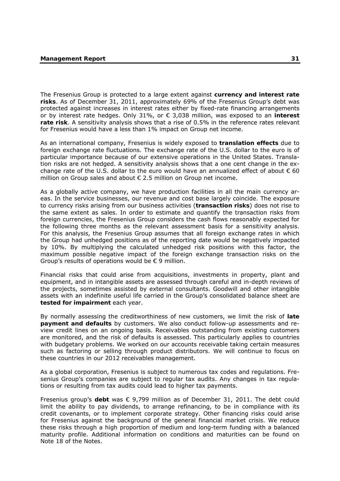The Fresenius Group is protected to a large extent against **currency and interest rate risks**. As of December 31, 2011, approximately 69% of the Fresenius Group's debt was protected against increases in interest rates either by fixed-rate financing arrangements or by interest rate hedges. Only 31%, or € 3,038 million, was exposed to an **interest rate risk**. A sensitivity analysis shows that a rise of 0.5% in the reference rates relevant for Fresenius would have a less than 1% impact on Group net income.

As an international company, Fresenius is widely exposed to **translation effects** due to foreign exchange rate fluctuations. The exchange rate of the U.S. dollar to the euro is of particular importance because of our extensive operations in the United States. Translation risks are not hedged. A sensitivity analysis shows that a one cent change in the exchange rate of the U.S. dollar to the euro would have an annualized effect of about  $\epsilon$  60 million on Group sales and about € 2.5 million on Group net income.

As a globally active company, we have production facilities in all the main currency areas. In the service businesses, our revenue and cost base largely coincide. The exposure to currency risks arising from our business activities (**transaction risks**) does not rise to the same extent as sales. In order to estimate and quantify the transaction risks from foreign currencies, the Fresenius Group considers the cash flows reasonably expected for the following three months as the relevant assessment basis for a sensitivity analysis. For this analysis, the Fresenius Group assumes that all foreign exchange rates in which the Group had unhedged positions as of the reporting date would be negatively impacted by 10%. By multiplying the calculated unhedged risk positions with this factor, the maximum possible negative impact of the foreign exchange transaction risks on the Group's results of operations would be  $\epsilon$  9 million.

Financial risks that could arise from acquisitions, investments in property, plant and equipment, and in intangible assets are assessed through careful and in-depth reviews of the projects, sometimes assisted by external consultants. Goodwill and other intangible assets with an indefinite useful life carried in the Group's consolidated balance sheet are **tested for impairment** each year.

By normally assessing the creditworthiness of new customers, we limit the risk of **late payment and defaults** by customers. We also conduct follow-up assessments and review credit lines on an ongoing basis. Receivables outstanding from existing customers are monitored, and the risk of defaults is assessed. This particularly applies to countries with budgetary problems. We worked on our accounts receivable taking certain measures such as factoring or selling through product distributors. We will continue to focus on these countries in our 2012 receivables management.

As a global corporation, Fresenius is subject to numerous tax codes and regulations. Fresenius Group's companies are subject to regular tax audits. Any changes in tax regulations or resulting from tax audits could lead to higher tax payments.

Fresenius group's **debt** was € 9,799 million as of December 31, 2011. The debt could limit the ability to pay dividends, to arrange refinancing, to be in compliance with its credit covenants, or to implement corporate strategy. Other financing risks could arise for Fresenius against the background of the general financial market crisis. We reduce these risks through a high proportion of medium and long-term funding with a balanced maturity profile. Additional information on conditions and maturities can be found on Note 18 of the Notes.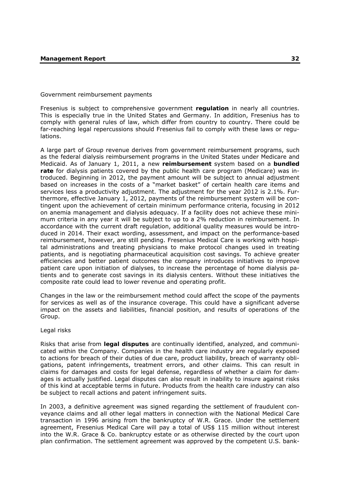## Government reimbursement payments

Fresenius is subject to comprehensive government **regulation** in nearly all countries. This is especially true in the United States and Germany. In addition, Fresenius has to comply with general rules of law, which differ from country to country. There could be far-reaching legal repercussions should Fresenius fail to comply with these laws or regulations.

A large part of Group revenue derives from government reimbursement programs, such as the federal dialysis reimbursement programs in the United States under Medicare and Medicaid. As of January 1, 2011, a new **reimbursement** system based on a **bundled rate** for dialysis patients covered by the public health care program (Medicare) was introduced. Beginning in 2012, the payment amount will be subject to annual adjustment based on increases in the costs of a "market basket" of certain health care items and services less a productivity adjustment. The adjustment for the year 2012 is 2.1%. Furthermore, effective January 1, 2012, payments of the reimbursement system will be contingent upon the achievement of certain minimum performance criteria, focusing in 2012 on anemia management and dialysis adequacy. If a facility does not achieve these minimum criteria in any year it will be subject to up to a 2% reduction in reimbursement. In accordance with the current draft regulation, additional quality measures would be introduced in 2014. Their exact wording, assessment, and impact on the performance-based reimbursement, however, are still pending. Fresenius Medical Care is working with hospital administrations and treating physicians to make protocol changes used in treating patients, and is negotiating pharmaceutical acquisition cost savings. To achieve greater efficiencies and better patient outcomes the company introduces initiatives to improve patient care upon initiation of dialyses, to increase the percentage of home dialysis patients and to generate cost savings in its dialysis centers. Without these initiatives the composite rate could lead to lower revenue and operating profit.

Changes in the law or the reimbursement method could affect the scope of the payments for services as well as of the insurance coverage. This could have a significant adverse impact on the assets and liabilities, financial position, and results of operations of the Group.

### Legal risks

Risks that arise from **legal disputes** are continually identified, analyzed, and communicated within the Company. Companies in the health care industry are regularly exposed to actions for breach of their duties of due care, product liability, breach of warranty obligations, patent infringements, treatment errors, and other claims. This can result in claims for damages and costs for legal defense, regardless of whether a claim for damages is actually justified. Legal disputes can also result in inability to insure against risks of this kind at acceptable terms in future. Products from the health care industry can also be subject to recall actions and patent infringement suits.

In 2003, a definitive agreement was signed regarding the settlement of fraudulent conveyance claims and all other legal matters in connection with the National Medical Care transaction in 1996 arising from the bankruptcy of W.R. Grace. Under the settlement agreement, Fresenius Medical Care will pay a total of US\$ 115 million without interest into the W.R. Grace & Co. bankruptcy estate or as otherwise directed by the court upon plan confirmation. The settlement agreement was approved by the competent U.S. bank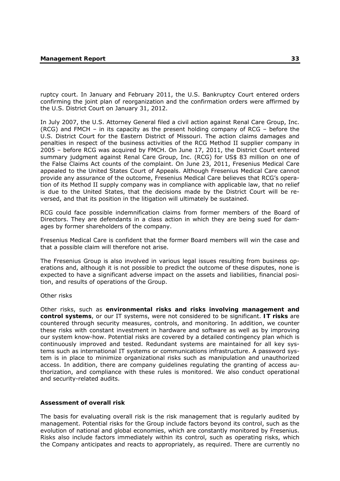ruptcy court. In January and February 2011, the U.S. Bankruptcy Court entered orders confirming the joint plan of reorganization and the confirmation orders were affirmed by the U.S. District Court on January 31, 2012.

In July 2007, the U.S. Attorney General filed a civil action against Renal Care Group, Inc. (RCG) and FMCH – in its capacity as the present holding company of RCG – before the U.S. District Court for the Eastern District of Missouri. The action claims damages and penalties in respect of the business activities of the RCG Method II supplier company in 2005 – before RCG was acquired by FMCH. On June 17, 2011, the District Court entered summary judgment against Renal Care Group, Inc. (RCG) for US\$ 83 million on one of the False Claims Act counts of the complaint. On June 23, 2011, Fresenius Medical Care appealed to the United States Court of Appeals. Although Fresenius Medical Care cannot provide any assurance of the outcome, Fresenius Medical Care believes that RCG's operation of its Method II supply company was in compliance with applicable law, that no relief is due to the United States, that the decisions made by the District Court will be reversed, and that its position in the litigation will ultimately be sustained.

RCG could face possible indemnification claims from former members of the Board of Directors. They are defendants in a class action in which they are being sued for damages by former shareholders of the company.

Fresenius Medical Care is confident that the former Board members will win the case and that a possible claim will therefore not arise.

The Fresenius Group is also involved in various legal issues resulting from business operations and, although it is not possible to predict the outcome of these disputes, none is expected to have a significant adverse impact on the assets and liabilities, financial position, and results of operations of the Group.

### Other risks

Other risks, such as **environmental risks and risks involving management and control systems**, or our IT systems, were not considered to be significant. **IT risks** are countered through security measures, controls, and monitoring. In addition, we counter these risks with constant investment in hardware and software as well as by improving our system know-how. Potential risks are covered by a detailed contingency plan which is continuously improved and tested. Redundant systems are maintained for all key systems such as international IT systems or communications infrastructure. A password system is in place to minimize organizational risks such as manipulation and unauthorized access. In addition, there are company guidelines regulating the granting of access authorization, and compliance with these rules is monitored. We also conduct operational and security-related audits.

## **Assessment of overall risk**

The basis for evaluating overall risk is the risk management that is regularly audited by management. Potential risks for the Group include factors beyond its control, such as the evolution of national and global economies, which are constantly monitored by Fresenius. Risks also include factors immediately within its control, such as operating risks, which the Company anticipates and reacts to appropriately, as required. There are currently no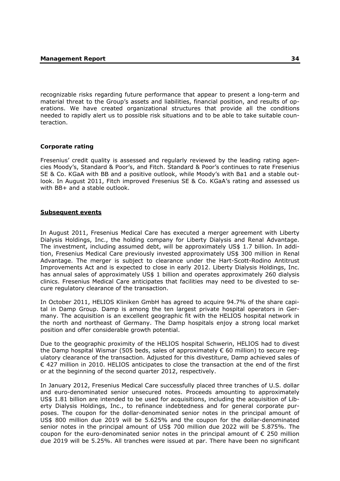recognizable risks regarding future performance that appear to present a long-term and material threat to the Group's assets and liabilities, financial position, and results of operations. We have created organizational structures that provide all the conditions needed to rapidly alert us to possible risk situations and to be able to take suitable counteraction.

## **Corporate rating**

Fresenius' credit quality is assessed and regularly reviewed by the leading rating agencies Moody's, Standard & Poor's, and Fitch. Standard & Poor's continues to rate Fresenius SE & Co. KGaA with BB and a positive outlook, while Moody's with Ba1 and a stable outlook. In August 2011, Fitch improved Fresenius SE & Co. KGaA's rating and assessed us with BB+ and a stable outlook.

## **Subsequent events**

In August 2011, Fresenius Medical Care has executed a merger agreement with Liberty Dialysis Holdings, Inc., the holding company for Liberty Dialysis and Renal Advantage. The investment, including assumed debt, will be approximately US\$ 1.7 billion. In addition, Fresenius Medical Care previously invested approximately US\$ 300 million in Renal Advantage. The merger is subject to clearance under the Hart-Scott-Rodino Antitrust Improvements Act and is expected to close in early 2012. Liberty Dialysis Holdings, Inc. has annual sales of approximately US\$ 1 billion and operates approximately 260 dialysis clinics. Fresenius Medical Care anticipates that facilities may need to be divested to secure regulatory clearance of the transaction.

In October 2011, HELIOS Kliniken GmbH has agreed to acquire 94.7% of the share capital in Damp Group. Damp is among the ten largest private hospital operators in Germany. The acquisition is an excellent geographic fit with the HELIOS hospital network in the north and northeast of Germany. The Damp hospitals enjoy a strong local market position and offer considerable growth potential.

Due to the geographic proximity of the HELIOS hospital Schwerin, HELIOS had to divest the Damp hospital Wismar (505 beds, sales of approximately  $\epsilon$  60 million) to secure requlatory clearance of the transaction. Adjusted for this divestiture, Damp achieved sales of € 427 million in 2010. HELIOS anticipates to close the transaction at the end of the first or at the beginning of the second quarter 2012, respectively.

In January 2012, Fresenius Medical Care successfully placed three tranches of U.S. dollar and euro-denominated senior unsecured notes. Proceeds amounting to approximately US\$ 1.81 billion are intended to be used for acquisitions, including the acquisition of Liberty Dialysis Holdings, Inc., to refinance indebtedness and for general corporate purposes. The coupon for the dollar-denominated senior notes in the principal amount of US\$ 800 million due 2019 will be 5.625% and the coupon for the dollar-denominated senior notes in the principal amount of US\$ 700 million due 2022 will be 5.875%. The coupon for the euro-denominated senior notes in the principal amount of € 250 million due 2019 will be 5.25%. All tranches were issued at par. There have been no significant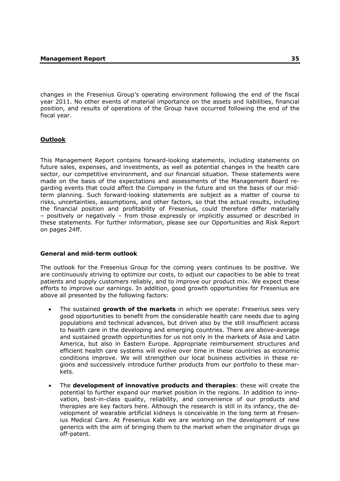changes in the Fresenius Group's operating environment following the end of the fiscal year 2011. No other events of material importance on the assets and liabilities, financial position, and results of operations of the Group have occurred following the end of the fiscal year.

# **Outlook**

This Management Report contains forward-looking statements, including statements on future sales, expenses, and investments, as well as potential changes in the health care sector, our competitive environment, and our financial situation. These statements were made on the basis of the expectations and assessments of the Management Board regarding events that could affect the Company in the future and on the basis of our midterm planning. Such forward-looking statements are subject as a matter of course to risks, uncertainties, assumptions, and other factors, so that the actual results, including the financial position and profitability of Fresenius, could therefore differ materially – positively or negatively – from those expressly or implicitly assumed or described in these statements. For further information, please see our Opportunities and Risk Report on pages 24ff.

# **General and mid-term outlook**

The outlook for the Fresenius Group for the coming years continues to be positive. We are continuously striving to optimize our costs, to adjust our capacities to be able to treat patients and supply customers reliably, and to improve our product mix. We expect these efforts to improve our earnings. In addition, good growth opportunities for Fresenius are above all presented by the following factors:

- The sustained **growth of the markets** in which we operate: Fresenius sees very good opportunities to benefit from the considerable health care needs due to aging populations and technical advances, but driven also by the still insufficient access to health care in the developing and emerging countries. There are above-average and sustained growth opportunities for us not only in the markets of Asia and Latin America, but also in Eastern Europe. Appropriate reimbursement structures and efficient health care systems will evolve over time in these countries as economic conditions improve. We will strengthen our local business activities in these regions and successively introduce further products from our portfolio to these markets.
- The **development of innovative products and therapies**: these will create the potential to further expand our market position in the regions. In addition to innovation, best-in-class quality, reliability, and convenience of our products and therapies are key factors here. Although the research is still in its infancy, the development of wearable artificial kidneys is conceivable in the long term at Fresenius Medical Care. At Fresenius Kabi we are working on the development of new generics with the aim of bringing them to the market when the originator drugs go off-patent.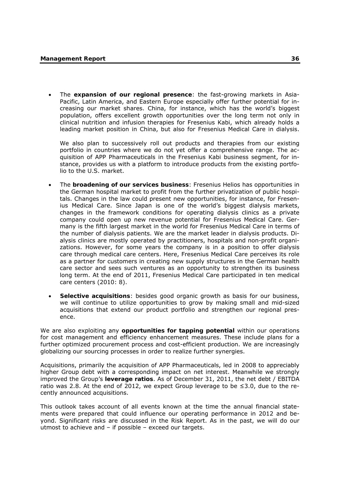• The **expansion of our regional presence**: the fast-growing markets in Asia-Pacific, Latin America, and Eastern Europe especially offer further potential for increasing our market shares. China, for instance, which has the world's biggest population, offers excellent growth opportunities over the long term not only in clinical nutrition and infusion therapies for Fresenius Kabi, which already holds a leading market position in China, but also for Fresenius Medical Care in dialysis.

We also plan to successively roll out products and therapies from our existing portfolio in countries where we do not yet offer a comprehensive range. The acquisition of APP Pharmaceuticals in the Fresenius Kabi business segment, for instance, provides us with a platform to introduce products from the existing portfolio to the U.S. market.

- The **broadening of our services business**: Fresenius Helios has opportunities in the German hospital market to profit from the further privatization of public hospitals. Changes in the law could present new opportunities, for instance, for Fresenius Medical Care. Since Japan is one of the world's biggest dialysis markets, changes in the framework conditions for operating dialysis clinics as a private company could open up new revenue potential for Fresenius Medical Care. Germany is the fifth largest market in the world for Fresenius Medical Care in terms of the number of dialysis patients. We are the market leader in dialysis products. Dialysis clinics are mostly operated by practitioners, hospitals and non-profit organizations. However, for some years the company is in a position to offer dialysis care through medical care centers. Here, Fresenius Medical Care perceives its role as a partner for customers in creating new supply structures in the German health care sector and sees such ventures as an opportunity to strengthen its business long term. At the end of 2011, Fresenius Medical Care participated in ten medical care centers (2010: 8).
- **Selective acquisitions**: besides good organic growth as basis for our business, we will continue to utilize opportunities to grow by making small and mid-sized acquisitions that extend our product portfolio and strengthen our regional presence.

We are also exploiting any **opportunities for tapping potential** within our operations for cost management and efficiency enhancement measures. These include plans for a further optimized procurement process and cost-efficient production. We are increasingly globalizing our sourcing processes in order to realize further synergies.

Acquisitions, primarily the acquisition of APP Pharmaceuticals, led in 2008 to appreciably higher Group debt with a corresponding impact on net interest. Meanwhile we strongly improved the Group's **leverage ratios**. As of December 31, 2011, the net debt / EBITDA ratio was 2.8. At the end of 2012, we expect Group leverage to be  $\leq$ 3.0, due to the recently announced acquisitions.

This outlook takes account of all events known at the time the annual financial statements were prepared that could influence our operating performance in 2012 and beyond. Significant risks are discussed in the Risk Report. As in the past, we will do our utmost to achieve and – if possible – exceed our targets.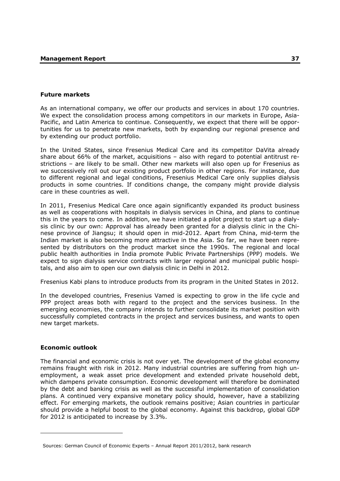## **Future markets**

As an international company, we offer our products and services in about 170 countries. We expect the consolidation process among competitors in our markets in Europe, Asia-Pacific, and Latin America to continue. Consequently, we expect that there will be opportunities for us to penetrate new markets, both by expanding our regional presence and by extending our product portfolio.

In the United States, since Fresenius Medical Care and its competitor DaVita already share about 66% of the market, acquisitions – also with regard to potential antitrust restrictions – are likely to be small. Other new markets will also open up for Fresenius as we successively roll out our existing product portfolio in other regions. For instance, due to different regional and legal conditions, Fresenius Medical Care only supplies dialysis products in some countries. If conditions change, the company might provide dialysis care in these countries as well.

In 2011, Fresenius Medical Care once again significantly expanded its product business as well as cooperations with hospitals in dialysis services in China, and plans to continue this in the years to come. In addition, we have initiated a pilot project to start up a dialysis clinic by our own: Approval has already been granted for a dialysis clinic in the Chinese province of Jiangsu; it should open in mid-2012. Apart from China, mid-term the Indian market is also becoming more attractive in the Asia. So far, we have been represented by distributors on the product market since the 1990s. The regional and local public health authorities in India promote Public Private Partnerships (PPP) models. We expect to sign dialysis service contracts with larger regional and municipal public hospitals, and also aim to open our own dialysis clinic in Delhi in 2012.

Fresenius Kabi plans to introduce products from its program in the United States in 2012.

In the developed countries, Fresenius Vamed is expecting to grow in the life cycle and PPP project areas both with regard to the project and the services business. In the emerging economies, the company intends to further consolidate its market position with successfully completed contracts in the project and services business, and wants to open new target markets.

# **Economic outlook**

-

The financial and economic crisis is not over yet. The development of the global economy remains fraught with risk in 2012. Many industrial countries are suffering from high unemployment, a weak asset price development and extended private household debt, which dampens private consumption. Economic development will therefore be dominated by the debt and banking crisis as well as the successful implementation of consolidation plans. A continued very expansive monetary policy should, however, have a stabilizing effect. For emerging markets, the outlook remains positive; Asian countries in particular should provide a helpful boost to the global economy. Against this backdrop, global GDP for 2012 is anticipated to increase by 3.3%.

Sources: German Council of Economic Experts – Annual Report 2011/2012, bank research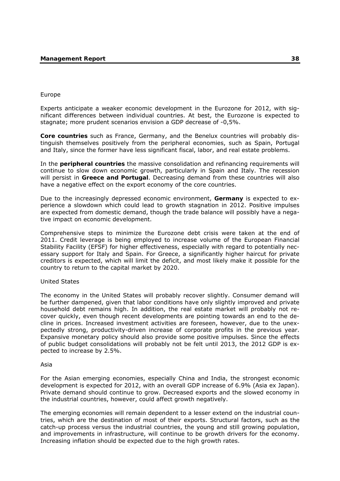## Europe

Experts anticipate a weaker economic development in the Eurozone for 2012, with significant differences between individual countries. At best, the Eurozone is expected to stagnate; more prudent scenarios envision a GDP decrease of -0,5%.

**Core countries** such as France, Germany, and the Benelux countries will probably distinguish themselves positively from the peripheral economies, such as Spain, Portugal and Italy, since the former have less significant fiscal, labor, and real estate problems.

In the **peripheral countries** the massive consolidation and refinancing requirements will continue to slow down economic growth, particularly in Spain and Italy. The recession will persist in **Greece and Portugal**. Decreasing demand from these countries will also have a negative effect on the export economy of the core countries.

Due to the increasingly depressed economic environment, **Germany** is expected to experience a slowdown which could lead to growth stagnation in 2012. Positive impulses are expected from domestic demand, though the trade balance will possibly have a negative impact on economic development.

Comprehensive steps to minimize the Eurozone debt crisis were taken at the end of 2011. Credit leverage is being employed to increase volume of the European Financial Stability Facility (EFSF) for higher effectiveness, especially with regard to potentially necessary support for Italy and Spain. For Greece, a significantly higher haircut for private creditors is expected, which will limit the deficit, and most likely make it possible for the country to return to the capital market by 2020.

# United States

The economy in the United States will probably recover slightly. Consumer demand will be further dampened, given that labor conditions have only slightly improved and private household debt remains high. In addition, the real estate market will probably not recover quickly, even though recent developments are pointing towards an end to the decline in prices. Increased investment activities are foreseen, however, due to the unexpectedly strong, productivity-driven increase of corporate profits in the previous year. Expansive monetary policy should also provide some positive impulses. Since the effects of public budget consolidations will probably not be felt until 2013, the 2012 GDP is expected to increase by 2.5%.

### Asia

For the Asian emerging economies, especially China and India, the strongest economic development is expected for 2012, with an overall GDP increase of 6.9% (Asia ex Japan). Private demand should continue to grow. Decreased exports and the slowed economy in the industrial countries, however, could affect growth negatively.

The emerging economies will remain dependent to a lesser extend on the industrial countries, which are the destination of most of their exports. Structural factors, such as the catch-up process versus the industrial countries, the young and still growing population, and improvements in infrastructure, will continue to be growth drivers for the economy. Increasing inflation should be expected due to the high growth rates.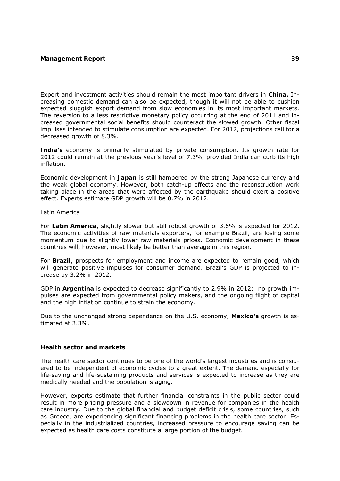Export and investment activities should remain the most important drivers in **China.** Increasing domestic demand can also be expected, though it will not be able to cushion expected sluggish export demand from slow economies in its most important markets. The reversion to a less restrictive monetary policy occurring at the end of 2011 and increased governmental social benefits should counteract the slowed growth. Other fiscal impulses intended to stimulate consumption are expected. For 2012, projections call for a decreased growth of 8.3%.

**India's** economy is primarily stimulated by private consumption. Its growth rate for 2012 could remain at the previous year's level of 7.3%, provided India can curb its high inflation.

Economic development in **Japan** is still hampered by the strong Japanese currency and the weak global economy. However, both catch-up effects and the reconstruction work taking place in the areas that were affected by the earthquake should exert a positive effect. Experts estimate GDP growth will be 0.7% in 2012.

### Latin America

For **Latin America**, slightly slower but still robust growth of 3.6% is expected for 2012. The economic activities of raw materials exporters, for example Brazil, are losing some momentum due to slightly lower raw materials prices. Economic development in these countries will, however, most likely be better than average in this region.

For **Brazil**, prospects for employment and income are expected to remain good, which will generate positive impulses for consumer demand. Brazil's GDP is projected to increase by 3.2% in 2012.

GDP in **Argentina** is expected to decrease significantly to 2.9% in 2012: no growth impulses are expected from governmental policy makers, and the ongoing flight of capital and the high inflation continue to strain the economy.

Due to the unchanged strong dependence on the U.S. economy, **Mexico's** growth is estimated at 3.3%.

### **Health sector and markets**

The health care sector continues to be one of the world's largest industries and is considered to be independent of economic cycles to a great extent. The demand especially for life-saving and life-sustaining products and services is expected to increase as they are medically needed and the population is aging.

However, experts estimate that further financial constraints in the public sector could result in more pricing pressure and a slowdown in revenue for companies in the health care industry. Due to the global financial and budget deficit crisis, some countries, such as Greece, are experiencing significant financing problems in the health care sector. Especially in the industrialized countries, increased pressure to encourage saving can be expected as health care costs constitute a large portion of the budget.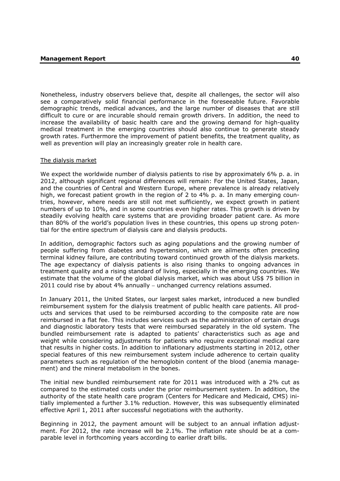Nonetheless, industry observers believe that, despite all challenges, the sector will also see a comparatively solid financial performance in the foreseeable future. Favorable demographic trends, medical advances, and the large number of diseases that are still difficult to cure or are incurable should remain growth drivers. In addition, the need to increase the availability of basic health care and the growing demand for high-quality medical treatment in the emerging countries should also continue to generate steady growth rates. Furthermore the improvement of patient benefits, the treatment quality, as well as prevention will play an increasingly greater role in health care.

### The dialysis market

We expect the worldwide number of dialysis patients to rise by approximately 6% p. a. in 2012, although significant regional differences will remain: For the United States, Japan, and the countries of Central and Western Europe, where prevalence is already relatively high, we forecast patient growth in the region of 2 to 4% p. a. In many emerging countries, however, where needs are still not met sufficiently, we expect growth in patient numbers of up to 10%, and in some countries even higher rates. This growth is driven by steadily evolving health care systems that are providing broader patient care. As more than 80% of the world's population lives in these countries, this opens up strong potential for the entire spectrum of dialysis care and dialysis products.

In addition, demographic factors such as aging populations and the growing number of people suffering from diabetes and hypertension, which are ailments often preceding terminal kidney failure, are contributing toward continued growth of the dialysis markets. The age expectancy of dialysis patients is also rising thanks to ongoing advances in treatment quality and a rising standard of living, especially in the emerging countries. We estimate that the volume of the global dialysis market, which was about US\$ 75 billion in 2011 could rise by about 4% annually − unchanged currency relations assumed.

In January 2011, the United States, our largest sales market, introduced a new bundled reimbursement system for the dialysis treatment of public health care patients. All products and services that used to be reimbursed according to the composite rate are now reimbursed in a flat fee. This includes services such as the administration of certain drugs and diagnostic laboratory tests that were reimbursed separately in the old system. The bundled reimbursement rate is adapted to patients' characteristics such as age and weight while considering adjustments for patients who require exceptional medical care that results in higher costs. In addition to inflationary adjustments starting in 2012, other special features of this new reimbursement system include adherence to certain quality parameters such as regulation of the hemoglobin content of the blood (anemia management) and the mineral metabolism in the bones.

The initial new bundled reimbursement rate for 2011 was introduced with a 2% cut as compared to the estimated costs under the prior reimbursement system. In addition, the authority of the state health care program (Centers for Medicare and Medicaid, CMS) initially implemented a further 3.1% reduction. However, this was subsequently eliminated effective April 1, 2011 after successful negotiations with the authority.

Beginning in 2012, the payment amount will be subject to an annual inflation adjustment. For 2012, the rate increase will be 2.1%. The inflation rate should be at a comparable level in forthcoming years according to earlier draft bills.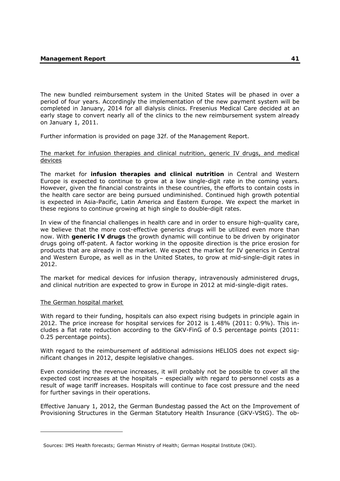The new bundled reimbursement system in the United States will be phased in over a period of four years. Accordingly the implementation of the new payment system will be completed in January, 2014 for all dialysis clinics. Fresenius Medical Care decided at an early stage to convert nearly all of the clinics to the new reimbursement system already on January 1, 2011.

Further information is provided on page 32f. of the Management Report.

## The market for infusion therapies and clinical nutrition, generic IV drugs, and medical devices

The market for **infusion therapies and clinical nutrition** in Central and Western Europe is expected to continue to grow at a low single-digit rate in the coming years. However, given the financial constraints in these countries, the efforts to contain costs in the health care sector are being pursued undiminished. Continued high growth potential is expected in Asia-Pacific, Latin America and Eastern Europe. We expect the market in these regions to continue growing at high single to double-digit rates.

In view of the financial challenges in health care and in order to ensure high-quality care, we believe that the more cost-effective generics drugs will be utilized even more than now. With **generic IV drugs** the growth dynamic will continue to be driven by originator drugs going off-patent. A factor working in the opposite direction is the price erosion for products that are already in the market. We expect the market for IV generics in Central and Western Europe, as well as in the United States, to grow at mid-single-digit rates in 2012.

The market for medical devices for infusion therapy, intravenously administered drugs, and clinical nutrition are expected to grow in Europe in 2012 at mid-single-digit rates.

# The German hospital market

-

With regard to their funding, hospitals can also expect rising budgets in principle again in 2012. The price increase for hospital services for 2012 is 1.48% (2011: 0.9%). This includes a flat rate reduction according to the GKV-FinG of 0.5 percentage points (2011: 0.25 percentage points).

With regard to the reimbursement of additional admissions HELIOS does not expect significant changes in 2012, despite legislative changes.

Even considering the revenue increases, it will probably not be possible to cover all the expected cost increases at the hospitals – especially with regard to personnel costs as a result of wage tariff increases. Hospitals will continue to face cost pressure and the need for further savings in their operations.

Effective January 1, 2012, the German Bundestag passed the Act on the Improvement of Provisioning Structures in the German Statutory Health Insurance (GKV-VStG). The ob-

Sources: IMS Health forecasts; German Ministry of Health; German Hospital Institute (DKI).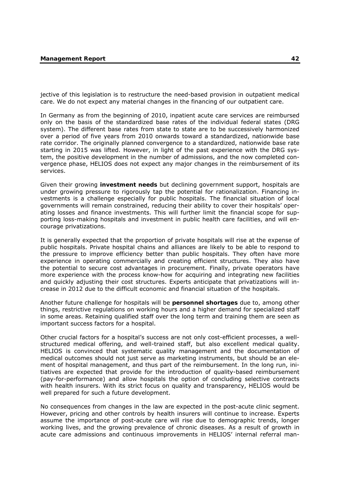jective of this legislation is to restructure the need-based provision in outpatient medical care. We do not expect any material changes in the financing of our outpatient care.

In Germany as from the beginning of 2010, inpatient acute care services are reimbursed only on the basis of the standardized base rates of the individual federal states (DRG system). The different base rates from state to state are to be successively harmonized over a period of five years from 2010 onwards toward a standardized, nationwide base rate corridor. The originally planned convergence to a standardized, nationwide base rate starting in 2015 was lifted. However, in light of the past experience with the DRG system, the positive development in the number of admissions, and the now completed convergence phase, HELIOS does not expect any major changes in the reimbursement of its services.

Given their growing **investment needs** but declining government support, hospitals are under growing pressure to rigorously tap the potential for rationalization. Financing investments is a challenge especially for public hospitals. The financial situation of local governments will remain constrained, reducing their ability to cover their hospitals' operating losses and finance investments. This will further limit the financial scope for supporting loss-making hospitals and investment in public health care facilities, and will encourage privatizations.

It is generally expected that the proportion of private hospitals will rise at the expense of public hospitals. Private hospital chains and alliances are likely to be able to respond to the pressure to improve efficiency better than public hospitals. They often have more experience in operating commercially and creating efficient structures. They also have the potential to secure cost advantages in procurement. Finally, private operators have more experience with the process know-how for acquiring and integrating new facilities and quickly adjusting their cost structures. Experts anticipate that privatizations will increase in 2012 due to the difficult economic and financial situation of the hospitals.

Another future challenge for hospitals will be **personnel shortages** due to, among other things, restrictive regulations on working hours and a higher demand for specialized staff in some areas. Retaining qualified staff over the long term and training them are seen as important success factors for a hospital.

Other crucial factors for a hospital's success are not only cost-efficient processes, a wellstructured medical offering, and well-trained staff, but also excellent medical quality. HELIOS is convinced that systematic quality management and the documentation of medical outcomes should not just serve as marketing instruments, but should be an element of hospital management, and thus part of the reimbursement. In the long run, initiatives are expected that provide for the introduction of quality-based reimbursement (pay-for-performance) and allow hospitals the option of concluding selective contracts with health insurers. With its strict focus on quality and transparency, HELIOS would be well prepared for such a future development.

No consequences from changes in the law are expected in the post-acute clinic segment. However, pricing and other controls by health insurers will continue to increase. Experts assume the importance of post-acute care will rise due to demographic trends, longer working lives, and the growing prevalence of chronic diseases. As a result of growth in acute care admissions and continuous improvements in HELIOS' internal referral man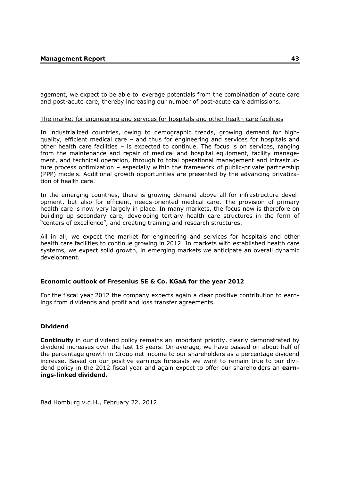agement, we expect to be able to leverage potentials from the combination of acute care and post-acute care, thereby increasing our number of post-acute care admissions.

### The market for engineering and services for hospitals and other health care facilities

In industrialized countries, owing to demographic trends, growing demand for highquality, efficient medical care – and thus for engineering and services for hospitals and other health care facilities – is expected to continue. The focus is on services, ranging from the maintenance and repair of medical and hospital equipment, facility management, and technical operation, through to total operational management and infrastructure process optimization – especially within the framework of public-private partnership (PPP) models. Additional growth opportunities are presented by the advancing privatization of health care.

In the emerging countries, there is growing demand above all for infrastructure development, but also for efficient, needs-oriented medical care. The provision of primary health care is now very largely in place. In many markets, the focus now is therefore on building up secondary care, developing tertiary health care structures in the form of "centers of excellence", and creating training and research structures.

All in all, we expect the market for engineering and services for hospitals and other health care facilities to continue growing in 2012. In markets with established health care systems, we expect solid growth, in emerging markets we anticipate an overall dynamic development.

# **Economic outlook of Fresenius SE & Co. KGaA for the year 2012**

For the fiscal year 2012 the company expects again a clear positive contribution to earnings from dividends and profit and loss transfer agreements.

# **Dividend**

**Continuity** in our dividend policy remains an important priority, clearly demonstrated by dividend increases over the last 18 years. On average, we have passed on about half of the percentage growth in Group net income to our shareholders as a percentage dividend increase. Based on our positive earnings forecasts we want to remain true to our dividend policy in the 2012 fiscal year and again expect to offer our shareholders an **earnings-linked dividend.** 

Bad Homburg v.d.H., February 22, 2012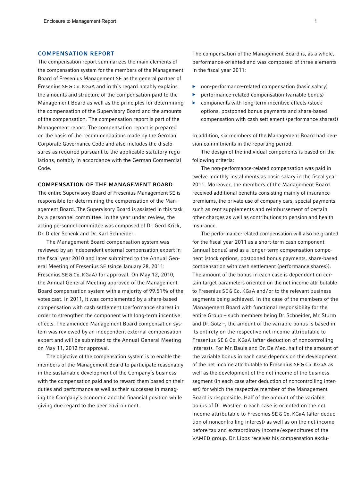#### COMPENSATION REPORT

The compensation report summarizes the main elements of the compensation system for the members of the Management Board of Fresenius Management SE as the general partner of Fresenius SE & Co. KGaA and in this regard notably explains the amounts and structure of the compensation paid to the Management Board as well as the principles for determining the compensation of the Supervisory Board and the amounts of the compensation. The compensation report is part of the Management report. The compensation report is prepared on the basis of the recommendations made by the German Corporate Governance Code and also includes the disclosures as required pursuant to the applicable statutory regulations, notably in accordance with the German Commercial Code.

#### COMPENSATION OF THE MANAGEMENT BOARD

The entire Supervisory Board of Fresenius Management SE is responsible for determining the compensation of the Management Board. The Supervisory Board is assisted in this task by a personnel committee. In the year under review, the acting personnel committee was composed of Dr. Gerd Krick, Dr. Dieter Schenk and Dr. Karl Schneider.

The Management Board compensation system was reviewed by an independent external compensation expert in the fiscal year 2010 and later submitted to the Annual General Meeting of Fresenius SE (since January 28, 2011: Fresenius SE & Co. KGaA) for approval. On May 12, 2010, the Annual General Meeting approved of the Management Board compensation system with a majority of 99.51% of the votes cast. In 2011, it was complemented by a share-based compensation with cash settlement (performance shares) in order to strengthen the component with long-term incentive effects. The amended Management Board compensation system was reviewed by an independent external compensation expert and will be submitted to the Annual General Meeting on May 11, 2012 for approval.

The objective of the compensation system is to enable the members of the Management Board to participate reasonably in the sustainable development of the Company's business with the compensation paid and to reward them based on their duties and performance as well as their successes in managing the Company's economic and the financial position while giving due regard to the peer environment.

The compensation of the Management Board is, as a whole, performance-oriented and was composed of three elements in the fiscal year 2011:

- ▶ non-performance-related compensation (basic salary)
- performance-related compensation (variable bonus)
- ▶ components with long-term incentive effects (stock options, postponed bonus payments and share-based compensation with cash settlement (performance shares))

In addition, six members of the Management Board had pension commitments in the reporting period.

The design of the individual components is based on the following criteria:

The non-performance-related compensation was paid in twelve monthly installments as basic salary in the fiscal year 2011. Moreover, the members of the Management Board received additional benefits consisting mainly of insurance premiums, the private use of company cars, special payments such as rent supplements and reimbursement of certain other charges as well as contributions to pension and health insurance.

The performance-related compensation will also be granted for the fiscal year 2011 as a short-term cash component (annual bonus) and as a longer-term compensation component (stock options, postponed bonus payments, share-based compensation with cash settlement (performance shares)). The amount of the bonus in each case is dependent on certain target parameters oriented on the net income attributable to Fresenius SE & Co. KGaA and/or to the relevant business segments being achieved. In the case of the members of the Management Board with functional responsibility for the entire Group – such members being Dr. Schneider, Mr. Sturm and Dr. Götz –, the amount of the variable bonus is based in its entirety on the respective net income attributable to Fresenius SE & Co. KGaA (after deduction of noncontrolling interest). For Mr.Baule and Dr. De Meo, half of the amount of the variable bonus in each case depends on the development of the net income attributable to Fresenius SE & Co. KGaA as well as the development of the net income of the business segment (in each case after deduction of noncontrolling interest) for which the respective member of the Management Board is responsible. Half of the amount of the variable bonus of Dr. Wastler in each case is oriented on the net income attributable to Fresenius SE & Co. KGaA (after deduction of noncontrolling interest) as well as on the net income before tax and extraordinary income/expenditures of the VAMED group. Dr. Lipps receives his compensation exclu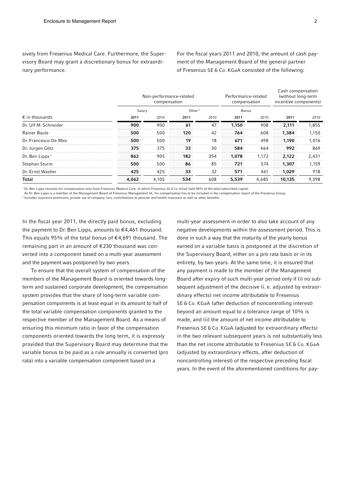sively from Fresenius Medical Care. Furthermore, the Supervisory Board may grant a discretionary bonus for extraordinary performance.

For the fiscal years 2011 and 2010, the amount of cash payment of the Management Board of the general partner of Fresenius SE & Co. KGaA consisted of the following:

|                            |        | Non-performance-related<br>compensation |                    | Performance-related<br>compensation |       | Cash compensation<br>(without long-term<br>incentive components) |        |       |
|----------------------------|--------|-----------------------------------------|--------------------|-------------------------------------|-------|------------------------------------------------------------------|--------|-------|
|                            | Salary |                                         | Other <sup>2</sup> |                                     | Bonus |                                                                  |        |       |
| $\epsilon$ in thousands    | 2011   | 2010                                    | 2011               | 2010                                | 2011  | 2010                                                             | 2011   | 2010  |
| Dr. Ulf M. Schneider       | 900    | 900                                     | 61                 | 47                                  | 1,150 | 908                                                              | 2,111  | 1,855 |
| Rainer Baule               | 500    | 500                                     | 120                | 42                                  | 764   | 608                                                              | 1,384  | 1,150 |
| Dr. Francesco De Meo       | 500    | 500                                     | 19                 | 18                                  | 671   | 498                                                              | 1.190  | 1,016 |
| Dr. Jürgen Götz            | 375    | 375                                     | 33                 | 30                                  | 584   | 464                                                              | 992    | 869   |
| Dr. Ben Lipps <sup>1</sup> | 862    | 905                                     | 182                | 354                                 | 1,078 | 1.172                                                            | 2,122  | 2,431 |
| Stephan Sturm              | 500    | 500                                     | 86                 | 85                                  | 721   | 574                                                              | 1,307  | 1.159 |
| Dr. Ernst Wastler          | 425    | 425                                     | 33                 | 32                                  | 571   | 461                                                              | 1,029  | 918   |
| Total                      | 4,062  | 4,105                                   | 534                | 608                                 | 5,539 | 4,685                                                            | 10,135 | 9,398 |

<sup>1</sup> Dr.Ben Lipps receives his compensation only from Fresenius Medical Care, of which Fresenius SE & Co. KGaA held 30% of the total subscribed capital.

As Dr.Ben Lipps is a member of the Management Board of Fresenius Management SE, his compensation has to be included in the compensation report of the Fresenius Group.

<sup>2</sup> Includes insurance premiums, private use of company cars, contributions to pension and health insurance as well as other benefits.

In the fiscal year 2011, the directly paid bonus, excluding the payment to Dr. Ben Lipps, amounts to  $\epsilon$ 4,461 thousand. This equals 95% of the total bonus of €4,691 thousand. The remaining part in an amount of €230 thousand was converted into a component based on a multi-year assessment and the payment was postponed by two years.

To ensure that the overall system of compensation of the members of the Management Board is oriented towards longterm and sustained corporate development, the compensation system provides that the share of long-term variable compensation components is at least equal in its amount to half of the total variable compensation components granted to the respective member of the Management Board. As a means of ensuring this minimum ratio in favor of the compensation components oriented towards the long term, it is expressly provided that the Supervisory Board may determine that the variable bonus to be paid as a rule annually is converted (pro rata) into a variable compensation component based on a

multi-year assessment in order to also take account of any negative developments within the assessment period. This is done in such a way that the maturity of the yearly bonus earned on a variable basis is postponed at the discretion of the Supervisory Board, either on a pro rata basis or in its entirety, by two years. At the same time, it is ensured that any payment is made to the member of the Management Board after expiry of such multi-year period only if (i) no subsequent adjustment of the decisive (i. e. adjusted by extraordinary effects) net income attributable to Fresenius SE & Co. KGaA (after deduction of noncontrolling interest) beyond an amount equal to a tolerance range of 10% is made, and (ii) the amount of net income attributable to Fresenius SE & Co. KGaA (adjusted for extraordinary effects) in the two relevant subsequent years is not substantially less than the net income attributable to Fresenius SE & Co. KGaA (adjusted by extraordinary effects, after deduction of noncontrolling interest) of the respective preceding fiscal years. In the event of the aforementioned conditions for pay-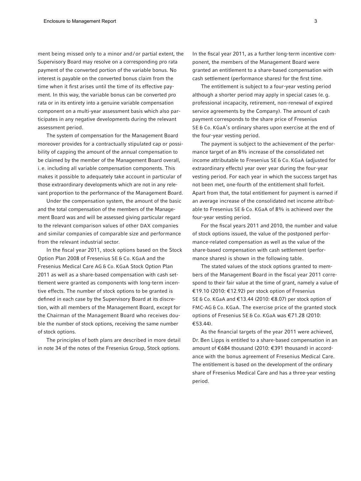ment being missed only to a minor and / or partial extent, the Supervisory Board may resolve on a corresponding pro rata payment of the converted portion of the variable bonus. No interest is payable on the converted bonus claim from the time when it first arises until the time of its effective payment. In this way, the variable bonus can be converted pro rata or in its entirety into a genuine variable compensation component on a multi-year assessment basis which also participates in any negative developments during the relevant assessment period.

The system of compensation for the Management Board moreover provides for a contractually stipulated cap or possibility of capping the amount of the annual compensation to be claimed by the member of the Management Board overall, i. e. including all variable compensation components. This makes it possible to adequately take account in particular of those extraordinary developments which are not in any relevant proportion to the performance of the Management Board.

Under the compensation system, the amount of the basic and the total compensation of the members of the Management Board was and will be assessed giving particular regard to the relevant comparison values of other DAX companies and similar companies of comparable size and performance from the relevant industrial sector.

In the fiscal year 2011, stock options based on the Stock Option Plan 2008 of Fresenius SE & Co. KGaA and the Fresenius Medical Care AG & Co. KGaA Stock Option Plan 2011 as well as a share-based compensation with cash settlement were granted as components with long-term incentive effects. The number of stock options to be granted is defined in each case by the Supervisory Board at its discretion, with all members of the Management Board, except for the Chairman of the Management Board who receives double the number of stock options, receiving the same number of stock options.

The principles of both plans are described in more detail in note 34 of the notes of the Fresenius Group, Stock options.

In the fiscal year 2011, as a further long-term incentive component, the members of the Management Board were granted an entitlement to a share-based compensation with cash settlement (performance shares) for the first time.

The entitlement is subject to a four-year vesting period although a shorter period may apply in special cases (e. g. professional incapacity, retirement, non-renewal of expired service agreements by the Company). The amount of cash payment corresponds to the share price of Fresenius SE & Co. KGaA's ordinary shares upon exercise at the end of the four-year vesting period.

The payment is subject to the achievement of the performance target of an 8% increase of the consolidated net income attributable to Fresenius SE & Co. KGaA (adjusted for extraordinary effects) year over year during the four-year vesting period. For each year in which the success target has not been met, one-fourth of the entitlement shall forfeit. Apart from that, the total entitlement for payment is earned if an average increase of the consolidated net income attributable to Fresenius SE & Co. KGaA of 8% is achieved over the four-year vesting period.

For the fiscal years 2011 and 2010, the number and value of stock options issued, the value of the postponed performance-related compensation as well as the value of the share-based compensation with cash settlement (performance shares) is shown in the following table.

The stated values of the stock options granted to members of the Management Board in the fiscal year 2011 correspond to their fair value at the time of grant, namely a value of €19.10 (2010: €12.92) per stock option of Fresenius SE & Co. KGaA and €13.44 (2010: €8.07) per stock option of FMC-AG & Co. KGaA. The exercise price of the granted stock options of Fresenius SE & Co. KGaA was €71.28 (2010: €53.44).

As the financial targets of the year 2011 were achieved, Dr.Ben Lipps is entitled to a share-based compensation in an amount of €684 thousand (2010: €391 thousand) in accordance with the bonus agreement of Fresenius Medical Care. The entitlement is based on the development of the ordinary share of Fresenius Medical Care and has a three-year vesting period.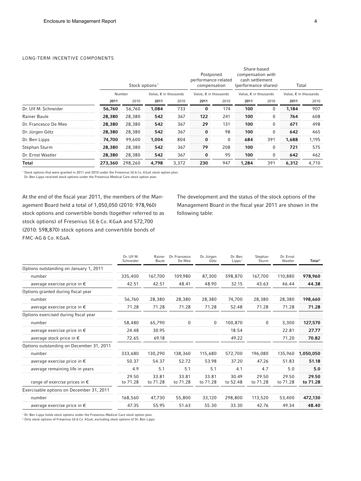#### LONG-TERM INCENTIVE COMPONENTS

|                      |         | Stock options <sup>1</sup>               |       |       | Postponed<br>performance-related<br>compensation |                                | Share-based<br>compensation with<br>cash settlement<br>(performance shares) |                                | Total                          |       |
|----------------------|---------|------------------------------------------|-------|-------|--------------------------------------------------|--------------------------------|-----------------------------------------------------------------------------|--------------------------------|--------------------------------|-------|
|                      |         | Number<br>Value, $\epsilon$ in thousands |       |       |                                                  | Value, $\epsilon$ in thousands |                                                                             | Value, $\epsilon$ in thousands | Value, $\epsilon$ in thousands |       |
|                      | 2011    | 2010                                     | 2011  | 2010  | 2011                                             | 2010                           | 2011                                                                        | 2010                           | 2011                           | 2010  |
| Dr. Ulf M. Schneider | 56,760  | 56,760                                   | 1,084 | 733   | 0                                                | 174                            | 100                                                                         | 0                              | 1,184                          | 907   |
| Rainer Baule         | 28,380  | 28,380                                   | 542   | 367   | 122                                              | 241                            | 100                                                                         | 0                              | 764                            | 608   |
| Dr. Francesco De Meo | 28,380  | 28,380                                   | 542   | 367   | 29                                               | 131                            | 100                                                                         | $\Omega$                       | 671                            | 498   |
| Dr. Jürgen Götz      | 28,380  | 28,380                                   | 542   | 367   | $\Omega$                                         | 98                             | 100                                                                         | $\Omega$                       | 642                            | 465   |
| Dr. Ben Lipps        | 74,700  | 99,600                                   | 1.004 | 804   | $\bf{0}$                                         | $\Omega$                       | 684                                                                         | 391                            | 1,688                          | 1,195 |
| Stephan Sturm        | 28,380  | 28,380                                   | 542   | 367   | 79                                               | 208                            | 100                                                                         | $\Omega$                       | 721                            | 575   |
| Dr. Ernst Wastler    | 28,380  | 28,380                                   | 542   | 367   | 0                                                | 95                             | 100                                                                         | 0                              | 642                            | 462   |
| Total                | 273,360 | 298.260                                  | 4.798 | 3,372 | 230                                              | 947                            | 1,284                                                                       | 391                            | 6,312                          | 4,710 |

<sup>1</sup> Stock options that were granted in 2011 and 2010 under the Fresenius SE & Co. KGaA stock option plan.

Dr.Ben Lipps received stock options under the Fresenius Medical Care stock option plan.

At the end of the fiscal year 2011, the members of the Management Board held a total of 1,050,050 (2010: 978,960) stock options and convertible bonds (together referred to as stock options) of Fresenius SE & Co. KGaA and 572,700 (2010: 598,870) stock options and convertible bonds of FMC-AG & Co. KGaA.

The development and the status of the stock options of the Management Board in the fiscal year 2011 are shown in the following table:

|                                          | Dr. Ulf M.<br>Schneider | Rainer<br>Baule   | Dr. Francesco<br>De Meo | Dr. Jürgen<br>Götz | Dr. Ben<br>Lipps <sup>1</sup> | Stephan<br>Sturm  | Dr. Ernst<br>Wastler | Total <sup>2</sup> |
|------------------------------------------|-------------------------|-------------------|-------------------------|--------------------|-------------------------------|-------------------|----------------------|--------------------|
| Options outstanding on January 1, 2011   |                         |                   |                         |                    |                               |                   |                      |                    |
| number                                   | 335,400                 | 167,700           | 109,980                 | 87,300             | 598,870                       | 167,700           | 110,880              | 978,960            |
| average exercise price in $\epsilon$     | 42.51                   | 42.51             | 48.41                   | 48.90              | 32.15                         | 43.63             | 46.44                | 44.38              |
| Options granted during fiscal year       |                         |                   |                         |                    |                               |                   |                      |                    |
| number                                   | 56,760                  | 28,380            | 28,380                  | 28,380             | 74,700                        | 28,380            | 28,380               | 198,660            |
| average exercise price in $\epsilon$     | 71.28                   | 71.28             | 71.28                   | 71.28              | 52.48                         | 71.28             | 71.28                | 71.28              |
| Options exercised during fiscal year     |                         |                   |                         |                    |                               |                   |                      |                    |
| number                                   | 58,480                  | 65,790            |                         |                    | 100,870                       |                   | 3,300                | 127,570            |
| average exercise price in $\epsilon$     | 24.48                   | 30.95             |                         |                    | 18.54                         |                   | 22.81                | 27.77              |
| average stock price in $\epsilon$        | 72.65                   | 69.18             |                         |                    | 49.22                         |                   | 71.20                | 70.82              |
| Options outstanding on December 31, 2011 |                         |                   |                         |                    |                               |                   |                      |                    |
| number                                   | 333,680                 | 130,290           | 138,360                 | 115,680            | 572,700                       | 196,080           | 135,960              | 1,050,050          |
| average exercise price in $\epsilon$     | 50.37                   | 54.37             | 52.72                   | 53.98              | 37.20                         | 47.26             | 51.83                | 51.18              |
| average remaining life in years          | 4.9                     | 5.1               | 5.1                     | 5.1                | 4.1                           | 4.7               | 5.0                  | 5.0                |
| range of exercise prices in $\epsilon$   | 29.50<br>to 71.28       | 33.81<br>to 71.28 | 33.81<br>to 71.28       | 33.81<br>to 71.28  | 30.49<br>to 52.48             | 29.50<br>to 71.28 | 29.50<br>to 71.28    | 29.50<br>to 71.28  |
| Exercisable options on December 31, 2011 |                         |                   |                         |                    |                               |                   |                      |                    |
| number                                   | 168,560                 | 47.730            | 55,800                  | 33,120             | 298,800                       | 113,520           | 53,400               | 472,130            |
| average exercise price in $\epsilon$     | 47.35                   | 55.95             | 51.63                   | 55.30              | 33.30                         | 42.76             | 49.34                | 48.40              |

1 Dr.Ben Lipps holds stock options under the Fresenius Medical Care stock option plan.

2 Only stock options of Fresenius SE & Co. KGaA, excluding stock options of Dr.Ben Lipps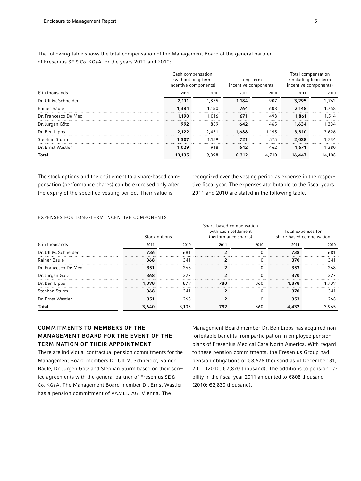The following table shows the total compensation of the Management Board of the general partner of Fresenius SE & Co. KGaA for the years 2011 and 2010:

|                         | Cash compensation<br>(without long-term<br>incentive components) |       | Long-term<br>incentive components |       | Total compensation<br>(including long-term<br>incentive components) |        |  |
|-------------------------|------------------------------------------------------------------|-------|-----------------------------------|-------|---------------------------------------------------------------------|--------|--|
| $\epsilon$ in thousands | 2011                                                             | 2010  | 2011                              | 2010  | 2011                                                                | 2010   |  |
| Dr. Ulf M. Schneider    | 2.111                                                            | 1.855 | 1.184                             | 907   | 3,295                                                               | 2.762  |  |
| Rainer Baule            | 1,384                                                            | 1.150 | 764                               | 608   | 2.148                                                               | 1.758  |  |
| Dr. Francesco De Meo    | 1.190                                                            | 1.016 | 671                               | 498   | 1,861                                                               | 1.514  |  |
| Dr. Jürgen Götz         | 992                                                              | 869   | 642                               | 465   | 1,634                                                               | 1.334  |  |
| Dr. Ben Lipps           | 2.122                                                            | 2.431 | 1,688                             | 1.195 | 3,810                                                               | 3.626  |  |
| Stephan Sturm           | 1,307                                                            | 1.159 | 721                               | 575   | 2.028                                                               | 1.734  |  |
| Dr. Ernst Wastler       | 1,029                                                            | 918   | 642                               | 462   | 1.671                                                               | 1.380  |  |
| <b>Total</b>            | 10,135                                                           | 9.398 | 6,312                             | 4.710 | 16,447                                                              | 14,108 |  |

The stock options and the entitlement to a share-based compensation (performance shares) can be exercised only after the expiry of the specified vesting period. Their value is

recognized over the vesting period as expense in the respective fiscal year. The expenses attributable to the fiscal years 2011 and 2010 are stated in the following table.

#### EXPENSES FOR LONG-TERM INCENTIVE COMPONENTS

|                         | Stock options |       | Share-based compensation<br>with cash settlement<br>(performance shares) |              | Total expenses for<br>share-based compensation |       |  |
|-------------------------|---------------|-------|--------------------------------------------------------------------------|--------------|------------------------------------------------|-------|--|
| $\epsilon$ in thousands | 2011          | 2010  | 2011                                                                     | 2010         | 2011                                           | 2010  |  |
| Dr. Ulf M. Schneider    | 736           | 681   |                                                                          |              | 738                                            | 681   |  |
| Rainer Baule            | 368           | 341   |                                                                          | $\mathbf{0}$ | 370                                            | 341   |  |
| Dr. Francesco De Meo    | 351           | 268   |                                                                          |              | 353                                            | 268   |  |
| Dr. Jürgen Götz         | 368           | 327   |                                                                          |              | 370                                            | 327   |  |
| Dr. Ben Lipps           | 1.098         | 879   | 780                                                                      | 860          | 1.878                                          | 1.739 |  |
| Stephan Sturm           | 368           | 341   |                                                                          |              | 370                                            | 341   |  |
| Dr. Ernst Wastler       | 351           | 268   |                                                                          |              | 353                                            | 268   |  |
| Total                   | 3,640         | 3,105 | 792                                                                      | 860          | 4,432                                          | 3.965 |  |

# COMMITMENTS TO MEMBERS OF THE MANAGEMENT BOARD FOR THE EVENT OF THE TERMINATION OF THEIR APPOINTMENT

There are individual contractual pension commitments for the Management Board members Dr. Ulf M. Schneider, Rainer Baule, Dr.Jürgen Götz and Stephan Sturm based on their service agreements with the general partner of Fresenius SE & Co. KGaA. The Management Board member Dr. Ernst Wastler has a pension commitment of VAMED AG, Vienna. The

Management Board member Dr.Ben Lipps has acquired nonforfeitable benefits from participation in employee pension plans of Fresenius Medical Care North America. With regard to these pension commitments, the Fresenius Group had pension obligations of €8,678 thousand as of December 31, 2011 (2010: €7,870 thousand). The additions to pension liability in the fiscal year 2011 amounted to €808 thousand (2010: €2,830 thousand).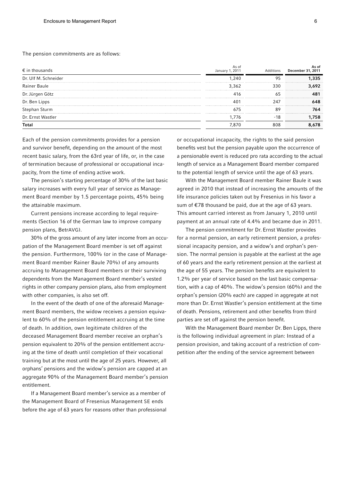#### The pension commitments are as follows:

| $\epsilon$ in thousands | As of<br>January 1, 2011 | Additions | As of<br>December 31, 2011 |
|-------------------------|--------------------------|-----------|----------------------------|
| Dr. Ulf M. Schneider    | 1.240                    | 95        | 1,335                      |
| Rainer Baule            | 3,362                    | 330       | 3,692                      |
| Dr. Jürgen Götz         | 416                      | 65        | 481                        |
| Dr. Ben Lipps           | 40.                      | 247       | 648                        |
| Stephan Sturm           | 675                      | 89        | 764                        |
| Dr. Ernst Wastler       | 1.776                    | -18       | .758                       |
| <b>Total</b>            | 7.870                    | 808       | 8,678                      |

Each of the pension commitments provides for a pension and survivor benefit, depending on the amount of the most recent basic salary, from the 63rd year of life, or, in the case of termination because of professional or occupational incapacity, from the time of ending active work.

The pension's starting percentage of 30% of the last basic salary increases with every full year of service as Management Board member by 1.5 percentage points, 45% being the attainable maximum.

Current pensions increase according to legal requirements (Section 16 of the German law to improve company pension plans, BetrAVG).

30% of the gross amount of any later income from an occupation of the Management Board member is set off against the pension. Furthermore, 100% (or in the case of Management Board member Rainer Baule 70%) of any amounts accruing to Management Board members or their surviving dependents from the Management Board member's vested rights in other company pension plans, also from employment with other companies, is also set off.

In the event of the death of one of the aforesaid Management Board members, the widow receives a pension equivalent to 60% of the pension entitlement accruing at the time of death. In addition, own legitimate children of the deceased Management Board member receive an orphan's pension equivalent to 20% of the pension entitlement accruing at the time of death until completion of their vocational training but at the most until the age of 25 years. However, all orphans' pensions and the widow's pension are capped at an aggregate 90% of the Management Board member's pension entitlement.

If a Management Board member's service as a member of the Management Board of Fresenius Management SE ends before the age of 63 years for reasons other than professional or occupational incapacity, the rights to the said pension benefits vest but the pension payable upon the occurrence of a pensionable event is reduced pro rata according to the actual length of service as a Management Board member compared to the potential length of service until the age of 63 years.

With the Management Board member Rainer Baule it was agreed in 2010 that instead of increasing the amounts of the life insurance policies taken out by Fresenius in his favor a sum of €78 thousand be paid, due at the age of 63 years. This amount carried interest as from January 1, 2010 until payment at an annual rate of 4.4% and became due in 2011.

The pension commitment for Dr. Ernst Wastler provides for a normal pension, an early retirement pension, a professional incapacity pension, and a widow's and orphan's pension. The normal pension is payable at the earliest at the age of 60 years and the early retirement pension at the earliest at the age of 55 years. The pension benefits are equivalent to 1.2% per year of service based on the last basic compensation, with a cap of 40%. The widow's pension (60%) and the orphan's pension (20% each) are capped in aggregate at not more than Dr. Ernst Wastler's pension entitlement at the time of death. Pensions, retirement and other benefits from third parties are set off against the pension benefit.

With the Management Board member Dr. Ben Lipps, there is the following individual agreement in plan: Instead of a pension provision, and taking account of a restriction of competition after the ending of the service agreement between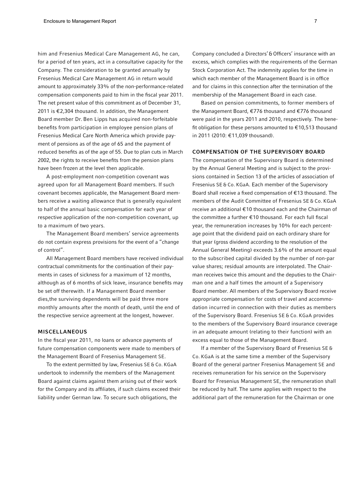him and Fresenius Medical Care Management AG, he can, for a period of ten years, act in a consultative capacity for the Company. The consideration to be granted annually by Fresenius Medical Care Management AG in return would amount to approximately 33% of the non-performance-related compensation components paid to him in the fiscal year 2011. The net present value of this commitment as of December 31, 2011 is €2,304 thousand. In addition, the Management Board member Dr. Ben Lipps has acquired non-forfeitable benefits from participation in employee pension plans of Fresenius Medical Care North America which provide payment of pensions as of the age of 65 and the payment of reduced benefits as of the age of 55. Due to plan cuts in March 2002, the rights to receive benefits from the pension plans have been frozen at the level then applicable.

A post-employment non-competition covenant was agreed upon for all Management Board members. If such covenant becomes applicable, the Management Board members receive a waiting allowance that is generally equivalent to half of the annual basic compensation for each year of respective application of the non-competition covenant, up to a maximum of two years.

The Management Board members' service agreements do not contain express provisions for the event of a "change of control".

All Management Board members have received individual contractual commitments for the continuation of their payments in cases of sickness for a maximum of 12 months, although as of 6 months of sick leave, insurance benefits may be set off therewith. If a Management Board member dies,the surviving dependents will be paid three more monthly amounts after the month of death, until the end of the respective service agreement at the longest, however.

#### MISCELLANEOUS

In the fiscal year 2011, no loans or advance payments of future compensation components were made to members of the Management Board of Fresenius Management SE.

To the extent permitted by law, Fresenius SE & Co. KGaA undertook to indemnify the members of the Management Board against claims against them arising out of their work for the Company and its affiliates, if such claims exceed their liability under German law. To secure such obligations, the

Company concluded a Directors' & Officers' insurance with an excess, which complies with the requirements of the German Stock Corporation Act. The indemnity applies for the time in which each member of the Management Board is in office and for claims in this connection after the termination of the membership of the Management Board in each case.

Based on pension commitments, to former members of the Management Board, €776 thousand and €776 thousand were paid in the years 2011 and 2010, respectively. The benefit obligation for these persons amounted to €10,513 thousand in 2011 (2010: €11,039 thousand).

#### COMPENSATION OF THE SUPERVISORY BOARD

The compensation of the Supervisory Board is determined by the Annual General Meeting and is subject to the provisions contained in Section 13 of the articles of association of Fresenius SE & Co. KGaA. Each member of the Supervisory Board shall receive a fixed compensation of €13 thousand. The members of the Audit Committee of Fresenius SE & Co. KGaA receive an additional €10 thousand each and the Chairman of the committee a further €10 thousand. For each full fiscal year, the remuneration increases by 10% for each percentage point that the dividend paid on each ordinary share for that year (gross dividend according to the resolution of the Annual General Meeting) exceeds 3.6% of the amount equal to the subscribed capital divided by the number of non-par value shares; residual amounts are interpolated. The Chairman receives twice this amount and the deputies to the Chairman one and a half times the amount of a Supervisory Board member. All members of the Supervisory Board receive appropriate compensation for costs of travel and accommodation incurred in connection with their duties as members of the Supervisory Board. Fresenius SE & Co. KGaA provides to the members of the Supervisory Board insurance coverage in an adequate amount (relating to their function) with an excess equal to those of the Management Board.

If a member of the Supervisory Board of Fresenius SE & Co. KGaA is at the same time a member of the Supervisory Board of the general partner Fresenius Management SE and receives remuneration for his service on the Supervisory Board for Fresenius Management SE, the remuneration shall be reduced by half. The same applies with respect to the additional part of the remuneration for the Chairman or one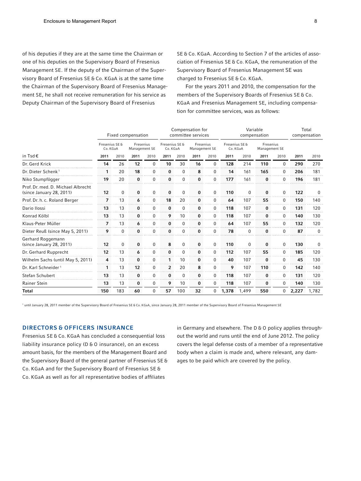of his deputies if they are at the same time the Chairman or one of his deputies on the Supervisory Board of Fresenius Management SE. If the deputy of the Chairman of the Supervisory Board of Fresenius SE & Co. KGaA is at the same time the Chairman of the Supervisory Board of Fresenius Management SE, he shall not receive remuneration for his service as Deputy Chairman of the Supervisory Board of Fresenius

SE & Co. KGaA. According to Section 7 of the articles of association of Fresenius SE & Co. KGaA, the remuneration of the Supervisory Board of Fresenius Management SE was charged to Fresenius SE & Co. KGaA.

For the years 2011 and 2010, the compensation for the members of the Supervisory Boards of Fresenius SE & Co. KGaA and Fresenius Management SE, including compensation for committee services, was as follows:

|                                                                | Fixed compensation         |          |                            |             | Compensation for<br>committee services |             |                            |          | Variable<br>compensation   |          |                            |          | Total<br>compensation |          |
|----------------------------------------------------------------|----------------------------|----------|----------------------------|-------------|----------------------------------------|-------------|----------------------------|----------|----------------------------|----------|----------------------------|----------|-----------------------|----------|
|                                                                | Fresenius SE &<br>Co. KGaA |          | Fresenius<br>Management SE |             | Fresenius SE &<br>Co. KGaA             |             | Fresenius<br>Management SE |          | Fresenius SE &<br>Co. KGaA |          | Fresenius<br>Management SE |          |                       |          |
| in Tsd €                                                       | 2011                       | 2010     | 2011                       | 2010        | 2011                                   | 2010        | 2011                       | 2010     | 2011                       | 2010     | 2011                       | 2010     | 2011                  | 2010     |
| Dr. Gerd Krick                                                 | 14                         | 26       | 12                         | $\Omega$    | 10                                     | 30          | 16                         | 0        | 128                        | 214      | 110                        | 0        | 290                   | 270      |
| Dr. Dieter Schenk <sup>1</sup>                                 | 1                          | 20       | 18                         | $\Omega$    | 0                                      | 0           | 8                          | 0        | 14                         | 161      | 165                        | 0        | 206                   | 181      |
| Niko Stumpfögger                                               | 19                         | 20       | 0                          | 0           | 0                                      | $\mathbf 0$ | $\bf{0}$                   | 0        | 177                        | 161      | $\bf{0}$                   | $\Omega$ | 196                   | 181      |
| Prof. Dr. med. D. Michael Albrecht<br>(since January 28, 2011) | 12                         | 0        | 0                          | 0           | 0                                      | 0           | 0                          | 0        | 110                        | 0        | 0                          | 0        | 122                   | 0        |
| Prof. Dr. h. c. Roland Berger                                  | 7                          | 13       | 6                          | $\mathbf 0$ | 18                                     | 20          | 0                          | 0        | 64                         | 107      | 55                         | 0        | 150                   | 140      |
| Dario Ilossi                                                   | 13                         | 13       | 0                          | $\Omega$    | $\bf{0}$                               | 0           | $\bf{0}$                   | 0        | 118                        | 107      | $\bf{0}$                   | 0        | 131                   | 120      |
| Konrad Kölbl                                                   | 13                         | 13       | 0                          | 0           | 9                                      | 10          | 0                          | 0        | 118                        | 107      | 0                          | 0        | 140                   | 130      |
| Klaus-Peter Müller                                             | 7<br>.                     | 13       | 6                          | 0           | 0                                      | 0           | 0                          | 0        | 64                         | 107      | 55                         | 0        | 132                   | 120      |
| Dieter Reuß (since May 5, 2011)                                | 9                          | 0        | 0                          | $\Omega$    | 0                                      | 0           | 0                          | $\Omega$ | 78                         | $\Omega$ | 0                          | 0        | 87                    | $\Omega$ |
| Gerhard Roggemann<br>(since January 28, 2011)                  | 12                         | $\Omega$ | $\bf{0}$                   | 0           | 8                                      | $\mathbf 0$ | $\bf{0}$                   | $\Omega$ | 110                        | $\Omega$ | $\bf{0}$                   | 0        | 130                   | $\Omega$ |
| Dr. Gerhard Rupprecht                                          | 12                         | 13       | 6                          | 0           | 0                                      | $\mathbf 0$ | 0                          | $\Omega$ | 112                        | 107      | 55                         | 0        | 185                   | 120      |
| Wilhelm Sachs (until May 5, 2011)                              | 4                          | 13       | 0                          | 0           | 1                                      | 10          | 0                          | 0        | 40                         | 107      | 0                          | 0        | 45                    | 130      |
| Dr. Karl Schneider <sup>1</sup>                                | 1                          | 13       | 12                         | 0           | 2                                      | 20          | 8                          | 0        | 9                          | 107      | 110                        | 0        | 142                   | 140      |
| Stefan Schubert                                                | 13                         | 13       | 0                          | 0           | $\bf{0}$                               | 0           | 0                          | 0        | 118                        | 107      | 0                          | $\Omega$ | 131                   | 120      |
| Rainer Stein                                                   | 13                         | 13       | 0                          | $\mathbf 0$ | 9                                      | 10          | 0                          | 0        | 118                        | 107      | 0                          | 0        | 140                   | 130      |
| <b>Total</b>                                                   | 150                        | 183      | 60                         | $\mathbf 0$ | 57                                     | 100         | 32                         | 0        | 1,378                      | 1,499    | 550                        | 0        | 2,227                 | 1,782    |

 $^{\rm I}$  until January 28, 2011 member of the Supervisory Board of Fresenius SE & Co. KGaA, since January 28, 2011 member of the Supervisory Board of Fresenius Management SE

### DIRECTORS & OFFICERS INSURANCE

Fresenius SE & Co. KGaA has concluded a consequential loss liability insurance policy (D & O insurance), on an excess amount basis, for the members of the Management Board and the Supervisory Board of the general partner of Fresenius SE & Co. KGaA and for the Supervisory Board of Fresenius SE & Co. KGaA as well as for all representative bodies of affiliates

in Germany and elsewhere. The D & O policy applies throughout the world and runs until the end of June 2012. The policy covers the legal defense costs of a member of a representative body when a claim is made and, where relevant, any damages to be paid which are covered by the policy.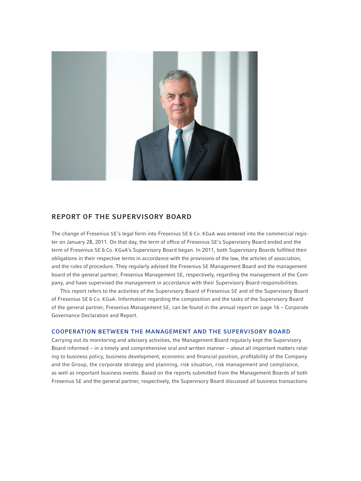

# REPORT OF THE SUPERVISORY BOARD

The change of Fresenius SE's legal form into Fresenius SE & Co. KGaA was entered into the commercial register on January 28, 2011. On that day, the term of office of Fresenius SE's Supervisory Board ended and the term of Fresenius SE & Co. KGaA's Supervisory Board began. In 2011, both Supervisory Boards fulfilled their obligations in their respective terms in accordance with the provisions of the law, the articles of association, and the rules of procedure. They regularly advised the Fresenius SE Management Board and the management board of the general partner, Fresenius Management SE, respectively, regarding the management of the Company, and have supervised the management in accordance with their Supervisory Board responsibilities.

This report refers to the activities of the Supervisory Board of Fresenius SE and of the Supervisory Board of Fresenius SE & Co. KGaA. Information regarding the composition and the tasks of the Supervisory Board of the general partner, Fresenius Management SE, can be found in the annual report on page 16 – Corporate Governance Declaration and Report.

#### COOPERATION BETWEEN THE MANAGEMENT AND THE SUPERVISORY BOARD

Carrying out its monitoring and advisory activities, the Management Board regularly kept the Supervisory Board informed − in a timely and comprehensive oral and written manner − about all important matters relating to business policy, business development, economic and financial position, profitability of the Company and the Group, the corporate strategy and planning, risk situation, risk management and compliance, as well as important business events. Based on the reports submitted from the Management Boards of both Fresenius SE and the general partner, respectively, the Supervisory Board discussed all business transactions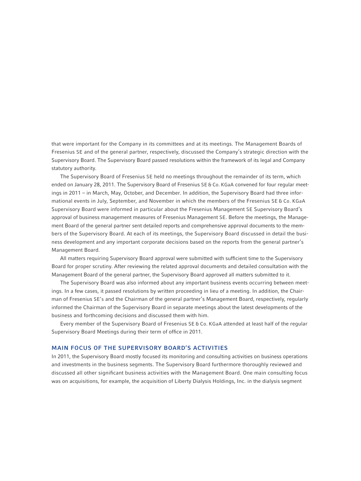that were important for the Company in its committees and at its meetings. The Management Boards of Fresenius SE and of the general partner, respectively, discussed the Company's strategic direction with the Supervisory Board. The Supervisory Board passed resolutions within the framework of its legal and Company statutory authority.

The Supervisory Board of Fresenius SE held no meetings throughout the remainder of its term, which ended on January 28, 2011. The Supervisory Board of Fresenius SE & Co. KGaA convened for four regular meetings in 2011 – in March, May, October, and December. In addition, the Supervisory Board had three informational events in July, September, and November in which the members of the Fresenius SE & Co. KGaA Supervisory Board were informed in particular about the Fresenius Management SE Supervisory Board's approval of business management measures of Fresenius Management SE. Before the meetings, the Management Board of the general partner sent detailed reports and comprehensive approval documents to the members of the Supervisory Board. At each of its meetings, the Supervisory Board discussed in detail the business development and any important corporate decisions based on the reports from the general partner's Management Board.

All matters requiring Supervisory Board approval were submitted with sufficient time to the Supervisory Board for proper scrutiny. After reviewing the related approval documents and detailed consultation with the Management Board of the general partner, the Supervisory Board approved all matters submitted to it.

The Supervisory Board was also informed about any important business events occurring between meetings. In a few cases, it passed resolutions by written proceeding in lieu of a meeting. In addition, the Chairman of Fresenius SE's and the Chairman of the general partner's Management Board, respectively, regularly informed the Chairman of the Supervisory Board in separate meetings about the latest developments of the business and forthcoming decisions and discussed them with him.

Every member of the Supervisory Board of Fresenius SE & Co. KGaA attended at least half of the regular Supervisory Board Meetings during their term of office in 2011.

#### MAIN FOCUS OF THE SUPERVISORY BOARD'S ACTIVITIES

In 2011, the Supervisory Board mostly focused its monitoring and consulting activities on business operations and investments in the business segments. The Supervisory Board furthermore thoroughly reviewed and discussed all other significant business activities with the Management Board. One main consulting focus was on acquisitions, for example, the acquisition of Liberty Dialysis Holdings, Inc. in the dialysis segment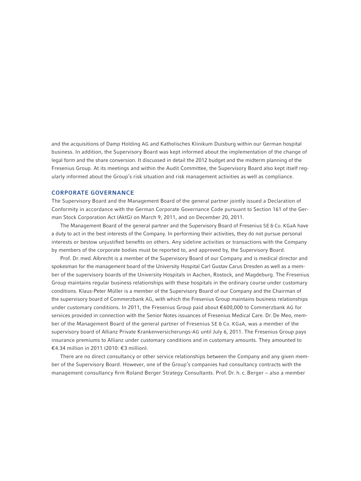and the acquisitions of Damp Holding AG and Katholisches Klinikum Duisburg within our German hospital business. In addition, the Supervisory Board was kept informed about the implementation of the change of legal form and the share conversion. It discussed in detail the 2012 budget and the midterm planning of the Fresenius Group. At its meetings and within the Audit Committee, the Supervisory Board also kept itself regularly informed about the Group's risk situation and risk management activities as well as compliance.

#### CORPORATE GOVERNANCE

The Supervisory Board and the Management Board of the general partner jointly issued a Declaration of Conformity in accordance with the German Corporate Governance Code pursuant to Section 161 of the German Stock Corporation Act (AktG) on March 9, 2011, and on December 20, 2011.

The Management Board of the general partner and the Supervisory Board of Fresenius SE & Co. KGaA have a duty to act in the best interests of the Company. In performing their activities, they do not pursue personal interests or bestow unjustified benefits on others. Any sideline activities or transactions with the Company by members of the corporate bodies must be reported to, and approved by, the Supervisory Board.

Prof. Dr. med.Albrecht is a member of the Supervisory Board of our Company and is medical director and spokesman for the management board of the University Hospital Carl Gustav Carus Dresden as well as a member of the supervisory boards of the University Hospitals in Aachen, Rostock, and Magdeburg. The Fresenius Group maintains regular business relationships with these hospitals in the ordinary course under customary conditions. Klaus-Peter Müller is a member of the Supervisory Board of our Company and the Chairman of the supervisory board of Commerzbank AG, with which the Fresenius Group maintains business relationships under customary conditions. In 2011, the Fresenius Group paid about €600,000 to Commerzbank AG for services provided in connection with the Senior Notes issuances of Fresenius Medical Care. Dr. De Meo, member of the Management Board of the general partner of Fresenius SE & Co. KGaA, was a member of the supervisory board of Allianz Private Krankenversicherungs-AG until July 6, 2011. The Fresenius Group pays insurance premiums to Allianz under customary conditions and in customary amounts. They amounted to €4.34 million in 2011 (2010: €3 million).

There are no direct consultancy or other service relationships between the Company and any given member of the Supervisory Board. However, one of the Group's companies had consultancy contracts with the management consultancy firm Roland Berger Strategy Consultants. Prof. Dr. h. c. Berger − also a member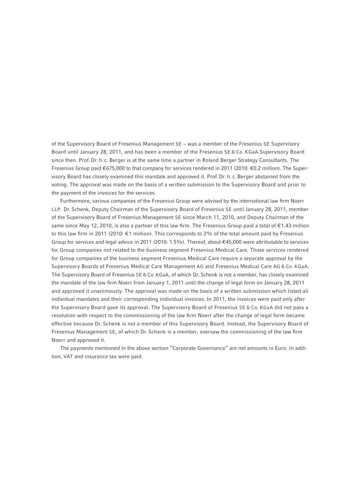of the Supervisory Board of Fresenius Management SE – was a member of the Fresenius SE Supervisory Board until January 28, 2011, and has been a member of the Fresenius SE & Co. KGaA Supervisory Board since then. Prof. Dr. h. c. Berger is at the same time a partner in Roland Berger Strategy Consultants. The Fresenius Group paid €675,000 to that company for services rendered in 2011 (2010: €0.2 million). The Supervisory Board has closely examined this mandate and approved it. Prof. Dr. h. c.Berger abstained from the voting. The approval was made on the basis of a written submission to the Supervisory Board and prior to the payment of the invoices for the services.

Furthermore, various companies of the Fresenius Group were advised by the international law firm Noerr LLP. Dr. Schenk, Deputy Chairman of the Supervisory Board of Fresenius SE until January 28, 2011, member of the Supervisory Board of Fresenius Management SE since March 11, 2010, and Deputy Chairman of the same since May 12, 2010, is also a partner of this law firm. The Fresenius Group paid a total of €1.43 million to this law firm in 2011 (2010: €1 million). This corresponds to 2% of the total amount paid by Fresenius Group for services and legal advice in 2011 (2010: 1.5%). Thereof, about €45,000 were attributable to services for Group companies not related to the business segment Fresenius Medical Care. Those services rendered for Group companies of the business segment Fresenius Medical Care require a separate approval by the Supervisory Boards of Fresenius Medical Care Management AG and Fresenius Medical Care AG & Co. KGaA. The Supervisory Board of Fresenius SE & Co. KGaA, of which Dr. Schenk is not a member, has closely examined the mandate of the law firm Noerr from January 1, 2011 until the change of legal form on January 28, 2011 and approved it unanimously. The approval was made on the basis of a written submission which listed all individual mandates and their corresponding individual invoices. In 2011, the invoices were paid only after the Supervisory Board gave its approval. The Supervisory Board of Fresenius SE & Co. KGaA did not pass a resolution with respect to the commissioning of the law firm Noerr after the change of legal form became effective because Dr. Schenk is not a member of this Supervisory Board. Instead, the Supervisory Board of Fresenius Management SE, of which Dr. Schenk is a member, oversaw the commissioning of the law firm Noerr and approved it.

The payments mentioned in the above section "Corporate Governance" are net amounts in Euro. In addition, VAT and insurance tax were paid.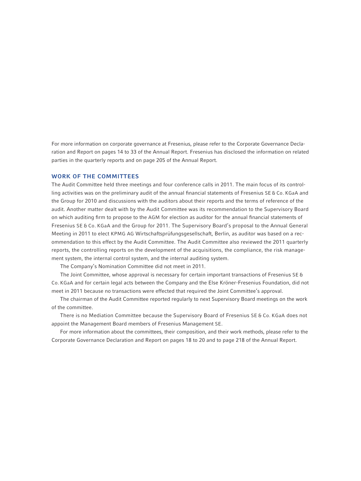For more information on corporate governance at Fresenius, please refer to the Corporate Governance Declaration and Report on pages 14 to 33 of the Annual Report. Fresenius has disclosed the information on related parties in the quarterly reports and on page 205 of the Annual Report.

#### WORK OF THE COMMITTEES

The Audit Committee held three meetings and four conference calls in 2011. The main focus of its controlling activities was on the preliminary audit of the annual financial statements of Fresenius SE & Co. KGaA and the Group for 2010 and discussions with the auditors about their reports and the terms of reference of the audit. Another matter dealt with by the Audit Committee was its recommendation to the Supervisory Board on which auditing firm to propose to the AGM for election as auditor for the annual financial statements of Fresenius SE & Co. KGaA and the Group for 2011. The Supervisory Board's proposal to the Annual General Meeting in 2011 to elect KPMG AG Wirtschaftsprüfungsgesellschaft, Berlin, as auditor was based on a recommendation to this effect by the Audit Committee. The Audit Committee also reviewed the 2011 quarterly reports, the controlling reports on the development of the acquisitions, the compliance, the risk management system, the internal control system, and the internal auditing system.

The Company's Nomination Committee did not meet in 2011.

The Joint Committee, whose approval is necessary for certain important transactions of Fresenius SE & Co. KGaA and for certain legal acts between the Company and the Else Kröner-Fresenius Foundation, did not meet in 2011 because no transactions were effected that required the Joint Committee's approval.

The chairman of the Audit Committee reported regularly to next Supervisory Board meetings on the work of the committee.

There is no Mediation Committee because the Supervisory Board of Fresenius SE & Co. KGaA does not appoint the Management Board members of Fresenius Management SE.

For more information about the committees, their composition, and their work methods, please refer to the Corporate Governance Declaration and Report on pages 18 to 20 and to page 218 of the Annual Report.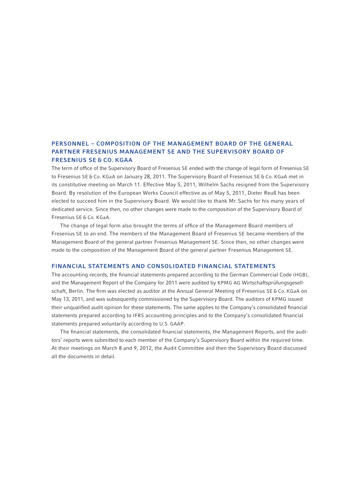# PERSONNEL – COMPOSITION OF THE MANAGEMENT BOARD OF THE GENERAL PARTNER FRESENIUS MANAGEMENT SE AND THE SUPERVISORY BOARD OF FRESENIUS SE & CO. KGAA

The term of office of the Supervisory Board of Fresenius SE ended with the change of legal form of Fresenius SE to Fresenius SE & Co. KGaA on January 28, 2011. The Supervisory Board of Fresenius SE & Co. KGaA met in its constitutive meeting on March 11. Effective May 5, 2011, Wilhelm Sachs resigned from the Supervisory Board. By resolution of the European Works Council effective as of May 5, 2011, Dieter Reuß has been elected to succeed him in the Supervisory Board. We would like to thank Mr. Sachs for his many years of dedicated service. Since then, no other changes were made to the composition of the Supervisory Board of Fresenius SE & Co. KGaA.

The change of legal form also brought the terms of office of the Management Board members of Fresenius SE to an end. The members of the Management Board of Fresenius SE became members of the Management Board of the general partner Fresenius Management SE. Since then, no other changes were made to the composition of the Management Board of the general partner Fresenius Management SE.

#### FINANCIAL STATEMENTS AND CONSOLIDATED FINANCIAL STATEMENTS

The accounting records, the financial statements prepared according to the German Commercial Code (HGB), and the Management Report of the Company for 2011 were audited by KPMG AG Wirtschaftsprüfungsgesellschaft, Berlin. The firm was elected as auditor at the Annual General Meeting of Fresenius SE & Co. KGaA on May 13, 2011, and was subsequently commissioned by the Supervisory Board. The auditors of KPMG issued their unqualified audit opinion for these statements. The same applies to the Company's consolidated financial statements prepared according to IFRS accounting principles and to the Company's consolidated financial statements prepared voluntarily according to U.S. GAAP.

The financial statements, the consolidated financial statements, the Management Reports, and the auditors' reports were submitted to each member of the Company's Supervisory Board within the required time. At their meetings on March 8 and 9, 2012, the Audit Committee and then the Supervisory Board discussed all the documents in detail.